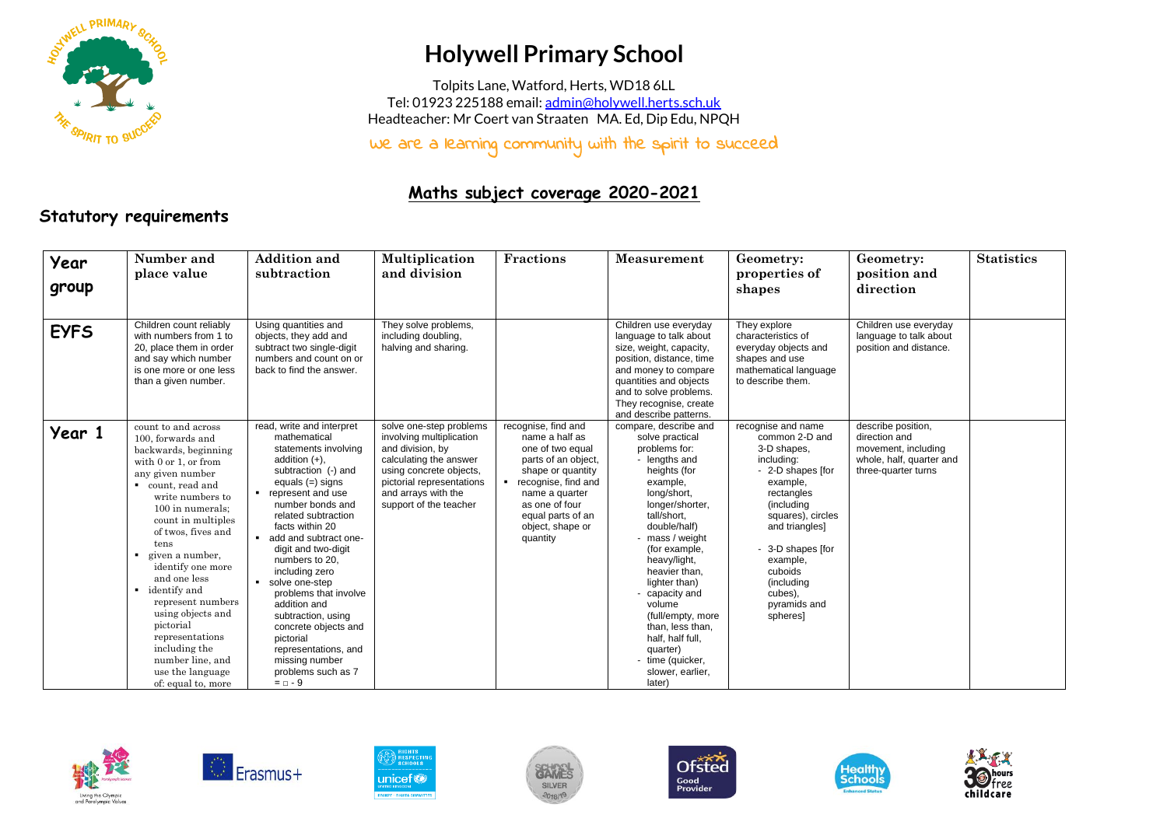

## **Holywell Primary School**

Tolpits Lane, Watford, Herts, WD18 6LL Tel: 01923 225188 email[: admin@holywell.herts.sch.uk](mailto:admin@holywell.herts.sch.uk) Headteacher: Mr Coert van Straaten MA. Ed, Dip Edu, NPQH

We are a learning community with the spirit to succeed

## **Maths subject coverage 2020-2021**

## **Statutory requirements**

| Year<br>group | Number and<br>place value                                                                                                                                                                                                                                                                                                                                                                                                                                           | <b>Addition and</b><br>subtraction                                                                                                                                                                                                                                                                                                                                                                                                                                                                                | Multiplication<br>and division                                                                                                                                                                             | <b>Fractions</b>                                                                                                                                                                                                      | Measurement                                                                                                                                                                                                                                                                                                                                                                                                      | Geometry:<br>properties of<br>shapes                                                                                                                                                                                                                                  | Geometry:<br>position and<br>direction                                                                        | <b>Statistics</b> |
|---------------|---------------------------------------------------------------------------------------------------------------------------------------------------------------------------------------------------------------------------------------------------------------------------------------------------------------------------------------------------------------------------------------------------------------------------------------------------------------------|-------------------------------------------------------------------------------------------------------------------------------------------------------------------------------------------------------------------------------------------------------------------------------------------------------------------------------------------------------------------------------------------------------------------------------------------------------------------------------------------------------------------|------------------------------------------------------------------------------------------------------------------------------------------------------------------------------------------------------------|-----------------------------------------------------------------------------------------------------------------------------------------------------------------------------------------------------------------------|------------------------------------------------------------------------------------------------------------------------------------------------------------------------------------------------------------------------------------------------------------------------------------------------------------------------------------------------------------------------------------------------------------------|-----------------------------------------------------------------------------------------------------------------------------------------------------------------------------------------------------------------------------------------------------------------------|---------------------------------------------------------------------------------------------------------------|-------------------|
| <b>EYFS</b>   | Children count reliably<br>with numbers from 1 to<br>20, place them in order<br>and say which number<br>is one more or one less<br>than a given number.                                                                                                                                                                                                                                                                                                             | Using quantities and<br>objects, they add and<br>subtract two single-digit<br>numbers and count on or<br>back to find the answer.                                                                                                                                                                                                                                                                                                                                                                                 | They solve problems,<br>including doubling,<br>halving and sharing.                                                                                                                                        |                                                                                                                                                                                                                       | Children use everyday<br>language to talk about<br>size, weight, capacity,<br>position, distance, time<br>and money to compare<br>quantities and objects<br>and to solve problems.<br>They recognise, create<br>and describe patterns.                                                                                                                                                                           | They explore<br>characteristics of<br>everyday objects and<br>shapes and use<br>mathematical language<br>to describe them.                                                                                                                                            | Children use everyday<br>language to talk about<br>position and distance.                                     |                   |
| Year 1        | count to and across<br>100, forwards and<br>backwards, beginning<br>with $0$ or $1$ , or from<br>any given number<br>count, read and<br>write numbers to<br>100 in numerals:<br>count in multiples<br>of twos, fives and<br>tens<br>given a number,<br>identify one more<br>and one less<br>• identify and<br>represent numbers<br>using objects and<br>pictorial<br>representations<br>including the<br>number line, and<br>use the language<br>of: equal to, more | read, write and interpret<br>mathematical<br>statements involving<br>addition $(+)$ ,<br>subtraction (-) and<br>equals $(=)$ signs<br>represent and use<br>number bonds and<br>related subtraction<br>facts within 20<br>add and subtract one-<br>digit and two-digit<br>numbers to 20,<br>including zero<br>solve one-step<br>problems that involve<br>addition and<br>subtraction, using<br>concrete objects and<br>pictorial<br>representations, and<br>missing number<br>problems such as 7<br>$=$ $\Box$ - 9 | solve one-step problems<br>involving multiplication<br>and division, by<br>calculating the answer<br>using concrete objects,<br>pictorial representations<br>and arrays with the<br>support of the teacher | recognise, find and<br>name a half as<br>one of two equal<br>parts of an object,<br>shape or quantity<br>recognise, find and<br>name a quarter<br>as one of four<br>equal parts of an<br>object, shape or<br>quantity | compare, describe and<br>solve practical<br>problems for:<br>- lengths and<br>heights (for<br>example,<br>long/short,<br>longer/shorter,<br>tall/short.<br>double/half)<br>mass / weight<br>(for example,<br>heavy/light,<br>heavier than,<br>lighter than)<br>capacity and<br>volume<br>(full/empty, more<br>than, less than,<br>half, half full,<br>quarter)<br>- time (quicker,<br>slower, earlier,<br>later) | recognise and name<br>common 2-D and<br>3-D shapes,<br>including:<br>- 2-D shapes [for<br>example,<br>rectangles<br>(including<br>squares), circles<br>and triangles]<br>- 3-D shapes [for<br>example,<br>cuboids<br>(including<br>cubes),<br>pyramids and<br>spheres | describe position,<br>direction and<br>movement, including<br>whole, half, quarter and<br>three-quarter turns |                   |













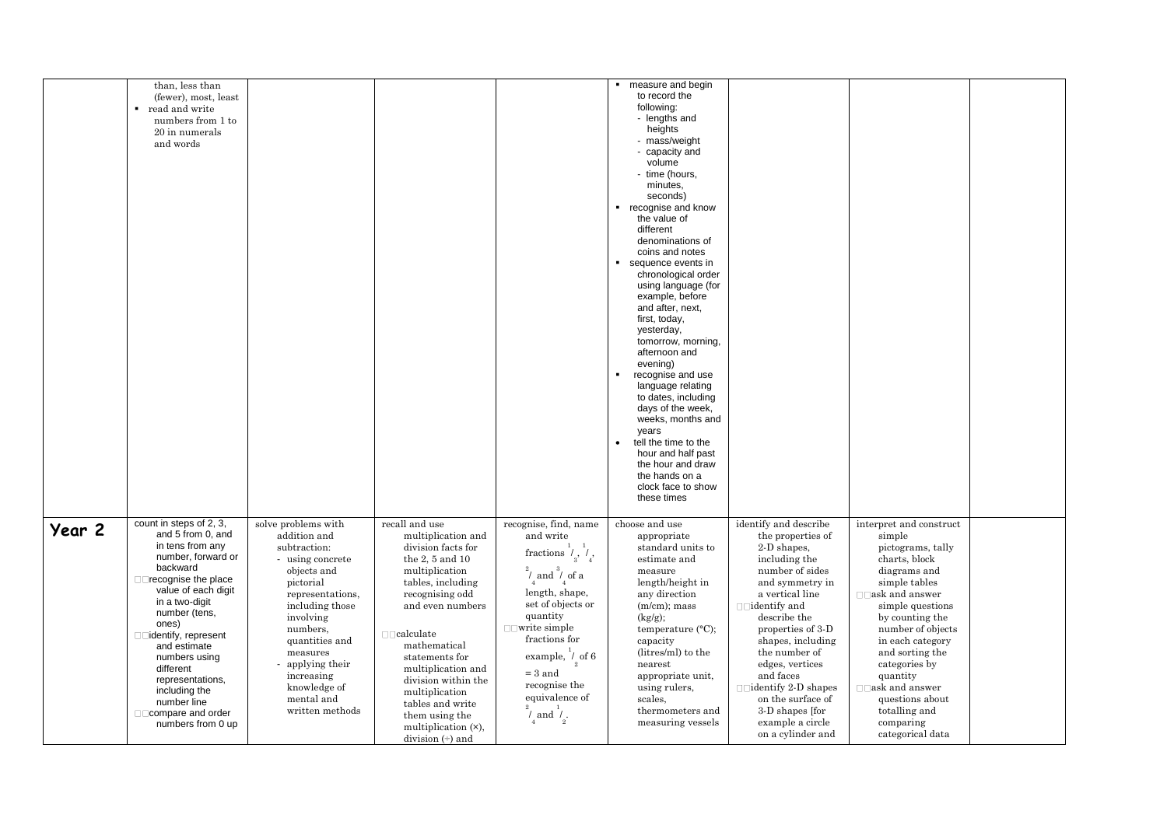|        | than, less than<br>(fewer), most, least<br>read and write<br>٠<br>numbers from 1 to<br>20 in numerals<br>and words                                                                                                                                                                                                                                                     |                                                                                                                                                                                                                                                                                      |                                                                                                                                                                                                                                                                                                                                                                                           |                                                                                                                                                                                                                                                                                                                                                        | ■ measure and begin<br>to record the<br>following:<br>- lengths and<br>heights<br>- mass/weight<br>- capacity and<br>volume<br>- time (hours,<br>minutes.<br>seconds)<br>■ recognise and know<br>the value of<br>different<br>denominations of<br>coins and notes<br>sequence events in<br>$\blacksquare$<br>chronological order<br>using language (for<br>example, before<br>and after, next,<br>first, today,<br>yesterday,<br>tomorrow, morning,<br>afternoon and<br>evening)<br>$\blacksquare$<br>recognise and use<br>language relating<br>to dates, including<br>days of the week,<br>weeks, months and<br>years<br>tell the time to the<br>$\bullet$<br>hour and half past<br>the hour and draw<br>the hands on a<br>clock face to show<br>these times |                                                                                                                                                                                                                                                                                                                                                               |                                                                                                                                                                                                                                                                                                                                                                 |  |
|--------|------------------------------------------------------------------------------------------------------------------------------------------------------------------------------------------------------------------------------------------------------------------------------------------------------------------------------------------------------------------------|--------------------------------------------------------------------------------------------------------------------------------------------------------------------------------------------------------------------------------------------------------------------------------------|-------------------------------------------------------------------------------------------------------------------------------------------------------------------------------------------------------------------------------------------------------------------------------------------------------------------------------------------------------------------------------------------|--------------------------------------------------------------------------------------------------------------------------------------------------------------------------------------------------------------------------------------------------------------------------------------------------------------------------------------------------------|---------------------------------------------------------------------------------------------------------------------------------------------------------------------------------------------------------------------------------------------------------------------------------------------------------------------------------------------------------------------------------------------------------------------------------------------------------------------------------------------------------------------------------------------------------------------------------------------------------------------------------------------------------------------------------------------------------------------------------------------------------------|---------------------------------------------------------------------------------------------------------------------------------------------------------------------------------------------------------------------------------------------------------------------------------------------------------------------------------------------------------------|-----------------------------------------------------------------------------------------------------------------------------------------------------------------------------------------------------------------------------------------------------------------------------------------------------------------------------------------------------------------|--|
| Year 2 | count in steps of 2, 3,<br>and 5 from 0, and<br>in tens from any<br>number, forward or<br>backward<br>□□recognise the place<br>value of each digit<br>in a two-digit<br>number (tens,<br>ones)<br>□□identify, represent<br>and estimate<br>numbers using<br>different<br>representations,<br>including the<br>number line<br>□□ compare and order<br>numbers from 0 up | solve problems with<br>addition and<br>subtraction:<br>- using concrete<br>objects and<br>pictorial<br>representations,<br>including those<br>involving<br>numbers,<br>quantities and<br>measures<br>- applying their<br>increasing<br>knowledge of<br>mental and<br>written methods | recall and use<br>multiplication and<br>division facts for<br>the $2, 5$ and $10$<br>multiplication<br>tables, including<br>recognising odd<br>and even numbers<br>$\Box\,\Box$ calculate<br>mathematical<br>statements for<br>multiplication and<br>division within the<br>multiplication<br>tables and write<br>them using the<br>multiplication (×),<br>division $\leftrightarrow$ and | recognise, find, name<br>and write<br>fractions $\overset{1}{\prime}_{3},\overset{1}{\prime}_{4}$<br>$\int_{4}$ and $\int_{4}^{9}$ of a<br>length, shape,<br>set of objects or<br>quantity<br>$\Box$ write simple<br>fractions for<br>example, / of 6<br>$=$ 3 and<br>recognise the<br>equivalence of<br>$^{2}$ .<br>$\frac{2}{l}$ and $\frac{1}{l}$ . | choose and use<br>appropriate<br>standard units to<br>estimate and<br>measure<br>length/height in<br>any direction<br>$(m/cm)$ ; mass<br>(kg/g);<br>temperature (°C);<br>capacity<br>(litres/ml) to the<br>nearest<br>appropriate unit,<br>using rulers,<br>scales.<br>thermometers and<br>measuring vessels                                                                                                                                                                                                                                                                                                                                                                                                                                                  | identify and describe<br>the properties of<br>2-D shapes,<br>including the<br>number of sides<br>and symmetry in<br>a vertical line<br>describe the<br>properties of 3-D<br>shapes, including<br>the number of<br>edges, vertices<br>and faces<br>$\Box$ identify 2-D shapes<br>on the surface of<br>3-D shapes [for<br>example a circle<br>on a cylinder and | interpret and construct<br>simple<br>pictograms, tally<br>charts, block<br>diagrams and<br>simple tables<br>$\Box$ ask and answer<br>simple questions<br>by counting the<br>number of objects<br>in each category<br>and sorting the<br>categories by<br>quantity<br>$\Box$ ask and answer<br>questions about<br>totalling and<br>comparing<br>categorical data |  |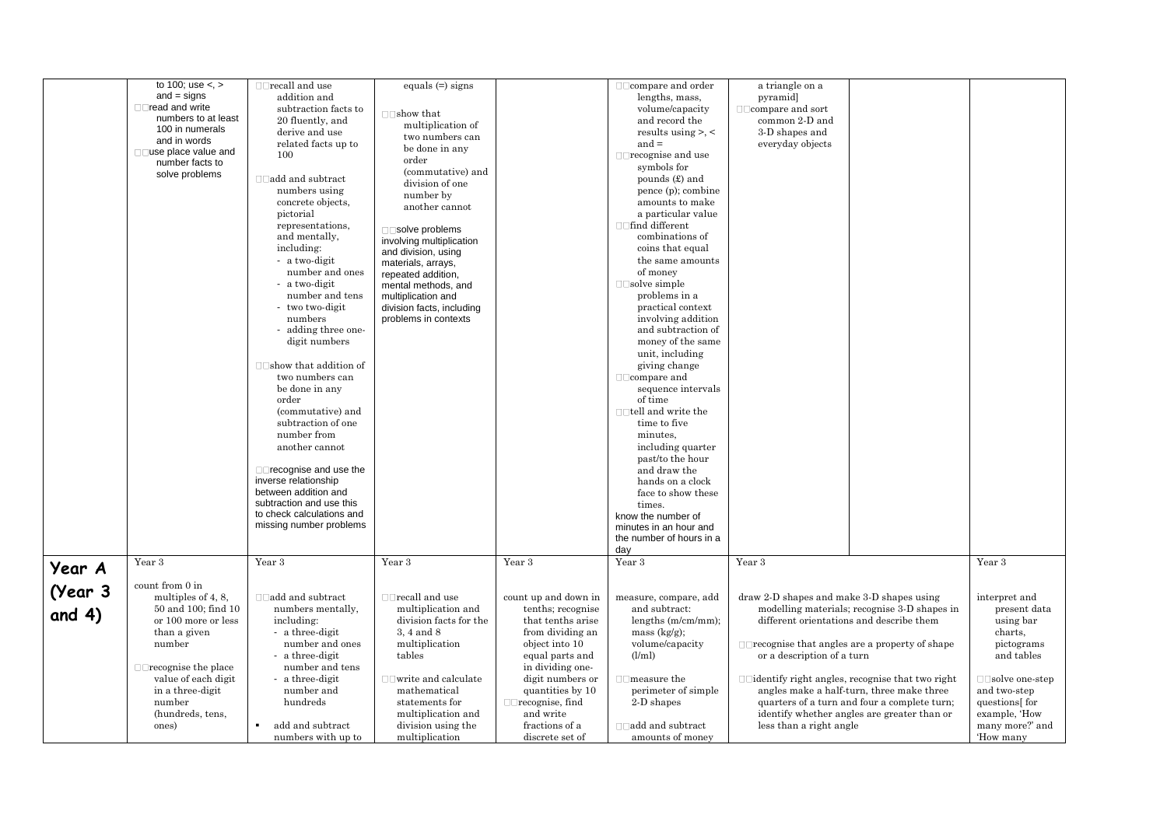|          | to 100; use $\lt$ , $>$                | $\Box$ recall and use             | equals $(=)$ signs                       |                        | $\Box$ $\Box$ compare and order       | a triangle on a                                        |                                              |                       |
|----------|----------------------------------------|-----------------------------------|------------------------------------------|------------------------|---------------------------------------|--------------------------------------------------------|----------------------------------------------|-----------------------|
|          | $and = signs$                          | addition and                      |                                          |                        | lengths, mass,                        | pyramid]                                               |                                              |                       |
|          | □□read and write                       | subtraction facts to              | $\Box$ show that                         |                        | volume/capacity                       | $\Box$ $\Box$ compare and sort                         |                                              |                       |
|          | numbers to at least<br>100 in numerals | 20 fluently, and                  | multiplication of                        |                        | and record the                        | common 2-D and                                         |                                              |                       |
|          | and in words                           | derive and use                    | two numbers can                          |                        | results using $>$ , $\lt$             | 3-D shapes and                                         |                                              |                       |
|          | $\Box$ use place value and             | related facts up to               | be done in any                           |                        | and $=$                               | everyday objects                                       |                                              |                       |
|          | number facts to                        | 100                               | order                                    |                        | $\Box$ recognise and use              |                                                        |                                              |                       |
|          | solve problems                         |                                   | (commutative) and                        |                        | symbols for                           |                                                        |                                              |                       |
|          |                                        | $\Box$ add and subtract           | division of one                          |                        | pounds $(\pounds)$ and                |                                                        |                                              |                       |
|          |                                        | numbers using                     | number by                                |                        | pence (p); combine                    |                                                        |                                              |                       |
|          |                                        | concrete objects,<br>pictorial    | another cannot                           |                        | amounts to make<br>a particular value |                                                        |                                              |                       |
|          |                                        | representations,                  |                                          |                        | □□find different                      |                                                        |                                              |                       |
|          |                                        | and mentally,                     | $\Box$ Solve problems                    |                        | combinations of                       |                                                        |                                              |                       |
|          |                                        | including:                        | involving multiplication                 |                        | coins that equal                      |                                                        |                                              |                       |
|          |                                        | - a two-digit                     | and division, using                      |                        | the same amounts                      |                                                        |                                              |                       |
|          |                                        | number and ones                   | materials, arrays,<br>repeated addition, |                        | of money                              |                                                        |                                              |                       |
|          |                                        | - a two-digit                     | mental methods, and                      |                        | $\Box$ solve simple                   |                                                        |                                              |                       |
|          |                                        | number and tens                   | multiplication and                       |                        | problems in a                         |                                                        |                                              |                       |
|          |                                        | - two two-digit                   | division facts, including                |                        | practical context                     |                                                        |                                              |                       |
|          |                                        | numbers                           | problems in contexts                     |                        | involving addition                    |                                                        |                                              |                       |
|          |                                        | - adding three one-               |                                          |                        | and subtraction of                    |                                                        |                                              |                       |
|          |                                        | digit numbers                     |                                          |                        | money of the same                     |                                                        |                                              |                       |
|          |                                        |                                   |                                          |                        | unit, including                       |                                                        |                                              |                       |
|          |                                        | $\Box$ Show that addition of      |                                          |                        | giving change                         |                                                        |                                              |                       |
|          |                                        | two numbers can                   |                                          |                        | $\Box$ compare and                    |                                                        |                                              |                       |
|          |                                        | be done in any                    |                                          |                        | sequence intervals                    |                                                        |                                              |                       |
|          |                                        | order                             |                                          |                        | of time                               |                                                        |                                              |                       |
|          |                                        | (commutative) and                 |                                          |                        | $\Box$ tell and write the             |                                                        |                                              |                       |
|          |                                        | subtraction of one<br>number from |                                          |                        | time to five<br>minutes,              |                                                        |                                              |                       |
|          |                                        | another cannot                    |                                          |                        | including quarter                     |                                                        |                                              |                       |
|          |                                        |                                   |                                          |                        | past/to the hour                      |                                                        |                                              |                       |
|          |                                        | $\Box$ recognise and use the      |                                          |                        | and draw the                          |                                                        |                                              |                       |
|          |                                        | inverse relationship              |                                          |                        | hands on a clock                      |                                                        |                                              |                       |
|          |                                        | between addition and              |                                          |                        | face to show these                    |                                                        |                                              |                       |
|          |                                        | subtraction and use this          |                                          |                        | times.                                |                                                        |                                              |                       |
|          |                                        | to check calculations and         |                                          |                        | know the number of                    |                                                        |                                              |                       |
|          |                                        | missing number problems           |                                          |                        | minutes in an hour and                |                                                        |                                              |                       |
|          |                                        |                                   |                                          |                        | the number of hours in a              |                                                        |                                              |                       |
|          |                                        |                                   |                                          |                        | day                                   |                                                        |                                              |                       |
| Year A   | Year 3                                 | Year 3                            | Year 3                                   | Year 3                 | Year 3                                | Year 3                                                 |                                              | Year 3                |
|          | count from 0 in                        |                                   |                                          |                        |                                       |                                                        |                                              |                       |
| (Year 3  | multiples of 4, 8,                     | $\Box$ add and subtract           | $\Box$ recall and use                    | count up and down in   | measure, compare, add                 | draw 2-D shapes and make 3-D shapes using              |                                              | interpret and         |
|          | 50 and 100; find 10                    | numbers mentally,                 | multiplication and                       | tenths; recognise      | and subtract:                         |                                                        | modelling materials; recognise 3-D shapes in | present data          |
| and $4)$ | or 100 more or less                    | including:                        | division facts for the                   | that tenths arise      | lengths $(m/cm/mm)$ ;                 |                                                        | different orientations and describe them     | using bar             |
|          | than a given                           | - a three-digit                   | 3.4 and 8                                | from dividing an       | mass $(kg/g)$ ;                       |                                                        |                                              | charts.               |
|          | number                                 | number and ones                   | multiplication                           | object into 10         | volume/capacity                       | $\Box$ recognise that angles are a property of shape   |                                              | pictograms            |
|          |                                        | - a three-digit                   | tables                                   | equal parts and        | (l/ml)                                | or a description of a turn                             |                                              | and tables            |
|          | $\Box$ recognise the place             | number and tens                   |                                          | in dividing one-       |                                       |                                                        |                                              |                       |
|          | value of each digit                    | - a three-digit                   | $\Box$ write and calculate               | digit numbers or       | $\Box$ measure the                    | $\Box$ identify right angles, recognise that two right |                                              | $\Box$ solve one-step |
|          | in a three-digit                       | number and                        | mathematical                             | quantities by 10       | perimeter of simple                   |                                                        | angles make a half-turn, three make three    | and two-step          |
|          | number                                 | hundreds                          | statements for                           | $\Box$ recognise, find | 2-D shapes                            |                                                        | quarters of a turn and four a complete turn; | questions for         |
|          | (hundreds, tens,                       |                                   | multiplication and                       | and write              |                                       |                                                        | identify whether angles are greater than or  | example, 'How         |
|          | ones)                                  | add and subtract                  | division using the                       | fractions of a         | $\Box$ add and subtract               | less than a right angle                                |                                              | many more?' and       |
|          |                                        | numbers with up to                | multiplication                           | discrete set of        | amounts of money                      |                                                        |                                              | 'How many             |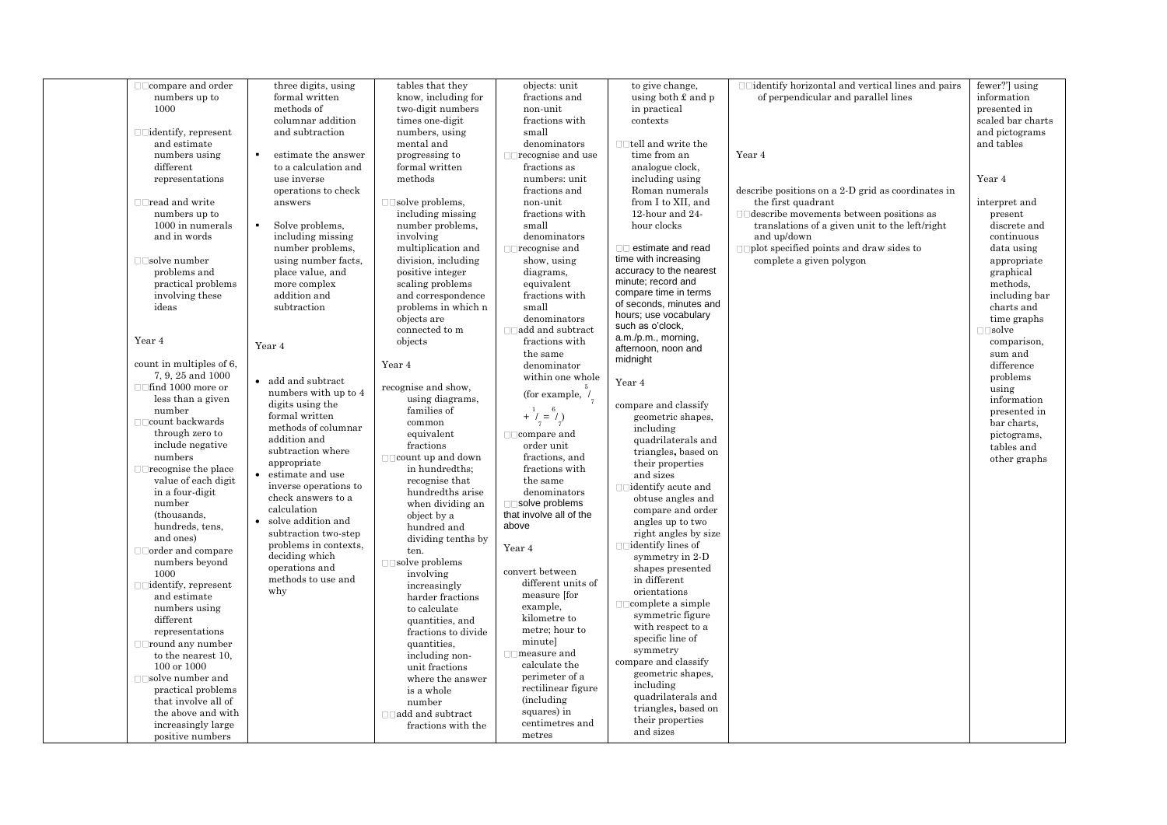| numbers up to<br>formal written<br>know, including for<br>fractions and<br>using both $\pounds$ and $p$<br>of perpendicular and parallel lines<br>information<br>1000<br>methods of<br>two-digit numbers<br>non-unit<br>in practical<br>presented in<br>scaled bar charts<br>columnar addition<br>times one-digit<br>fractions with<br>contexts<br>and pictograms<br>$\Box$ identify, represent<br>and subtraction<br>numbers, using<br>small<br>and estimate<br>mental and<br>$\Box$ tell and write the<br>and tables<br>denominators<br>time from an<br>Year 4<br>numbers using<br>estimate the answer<br>progressing to<br>$\Box$ recognise and use<br>different<br>to a calculation and<br>formal written<br>fractions as<br>analogue clock,<br>methods<br>including using<br>Year 4<br>representations<br>use inverse<br>numbers: unit<br>operations to check<br>fractions and<br>Roman numerals<br>describe positions on a 2-D grid as coordinates in<br>from I to XII, and<br>$\Box$ read and write<br>answers<br>$\Box$ solve problems,<br>non-unit<br>the first quadrant<br>interpret and<br>including missing<br>12-hour and 24-<br>$\square \square$ describe movements between positions as<br>numbers up to<br>fractions with<br>present<br>1000 in numerals<br>$\blacksquare$<br>Solve problems,<br>hour clocks<br>translations of a given unit to the left/right<br>number problems,<br>small<br>discrete and<br>and in words<br>including missing<br>involving<br>denominators<br>and up/down<br>continuous<br>□□ estimate and read<br>number problems,<br>multiplication and<br>$\Box$ recognise and<br>$\Box$ plot specified points and draw sides to<br>data using<br>time with increasing<br>using number facts.<br>complete a given polygon<br>$\Box$ solve number<br>division, including<br>show, using<br>appropriate<br>accuracy to the nearest<br>problems and<br>place value, and<br>positive integer<br>diagrams,<br>graphical<br>minute; record and<br>practical problems<br>more complex<br>scaling problems<br>equivalent<br>methods,<br>compare time in terms<br>including bar<br>involving these<br>addition and<br>and correspondence<br>fractions with<br>of seconds, minutes and<br>ideas<br>subtraction<br>problems in which n<br>small<br>charts and<br>hours; use vocabulary<br>objects are<br>denominators<br>time graphs<br>such as o'clock,<br>$\Box\Box$ add and subtract<br>connected to m<br>$\square \square$ solve<br>a.m./p.m., morning,<br>Year 4<br>fractions with<br>objects<br>comparison,<br>Year 4<br>afternoon, noon and<br>the same<br>sum and<br>midnight<br>count in multiples of 6,<br>Year 4<br>denominator<br>difference<br>7, 9, 25 and 1000<br>within one whole<br>problems<br>• add and subtract<br>Year 4<br>□□find 1000 more or<br>recognise and show.<br>using<br>numbers with up to 4<br>(for example, $\frac{1}{2}$<br>less than a given<br>using diagrams,<br>information<br>digits using the<br>compare and classify<br>families of<br>number<br>$+\frac{1}{7} = \frac{6}{7}$<br>presented in<br>formal written<br>geometric shapes,<br>$\Box$ count backwards<br>common<br>bar charts.<br>methods of columnar<br>including<br>through zero to<br>equivalent<br>$\Box$ compare and<br>pictograms,<br>addition and<br>quadrilaterals and<br>include negative<br>fractions<br>order unit<br>tables and<br>subtraction where<br>triangles, based on<br>numbers<br>$\Box$ count up and down<br>fractions, and<br>other graphs<br>their properties<br>appropriate<br>$\Box$ recognise the place<br>in hundredths;<br>fractions with<br>estimate and use<br>and sizes<br>value of each digit<br>recognise that<br>the same<br>inverse operations to<br>in a four-digit<br>denominators<br>hundredths arise<br>check answers to a<br>obtuse angles and<br>number<br>□□solve problems<br>when dividing an<br>calculation<br>compare and order<br>that involve all of the<br>(thousands,<br>object by a<br>solve addition and<br>$\bullet$<br>angles up to two<br>above<br>hundreds, tens,<br>hundred and<br>subtraction two-step<br>right angles by size<br>and ones)<br>dividing tenths by<br>problems in contexts,<br>$\Box$ identify lines of<br>Year 4<br>$\Box$ $\Box$ order and compare<br>ten.<br>deciding which<br>symmetry in 2-D<br>numbers beyond<br>$\Box$ solve problems<br>operations and<br>shapes presented<br>convert between<br>1000<br>involving<br>methods to use and<br>in different<br>different units of<br>$\Box$ identify, represent<br>increasingly<br>why<br>orientations<br>measure [for<br>and estimate<br>harder fractions<br>complete a simple<br>example,<br>numbers using<br>to calculate<br>symmetric figure<br>kilometre to<br>different<br>quantities, and<br>with respect to a<br>metre; hour to<br>representations<br>fractions to divide<br>specific line of<br>minutel<br>$\square$ Tround any number<br>quantities,<br>symmetry<br>$\Box$ measure and<br>to the nearest 10,<br>including non-<br>compare and classify<br>calculate the<br>100 or 1000<br>unit fractions<br>geometric shapes,<br>perimeter of a<br>$\Box$ solve number and<br>where the answer<br>including<br>rectilinear figure<br>practical problems<br>is a whole<br>quadrilaterals and<br><i>(including)</i><br>that involve all of<br>number<br>triangles, based on<br>squares) in<br>the above and with<br>$\Box$ add and subtract<br>their properties<br>centimetres and<br>increasingly large<br>fractions with the<br>and sizes<br>metres<br>positive numbers |  | three digits, using | tables that they | objects: unit | to give change, | □□identify horizontal and vertical lines and pairs | fewer?'] using |
|-----------------------------------------------------------------------------------------------------------------------------------------------------------------------------------------------------------------------------------------------------------------------------------------------------------------------------------------------------------------------------------------------------------------------------------------------------------------------------------------------------------------------------------------------------------------------------------------------------------------------------------------------------------------------------------------------------------------------------------------------------------------------------------------------------------------------------------------------------------------------------------------------------------------------------------------------------------------------------------------------------------------------------------------------------------------------------------------------------------------------------------------------------------------------------------------------------------------------------------------------------------------------------------------------------------------------------------------------------------------------------------------------------------------------------------------------------------------------------------------------------------------------------------------------------------------------------------------------------------------------------------------------------------------------------------------------------------------------------------------------------------------------------------------------------------------------------------------------------------------------------------------------------------------------------------------------------------------------------------------------------------------------------------------------------------------------------------------------------------------------------------------------------------------------------------------------------------------------------------------------------------------------------------------------------------------------------------------------------------------------------------------------------------------------------------------------------------------------------------------------------------------------------------------------------------------------------------------------------------------------------------------------------------------------------------------------------------------------------------------------------------------------------------------------------------------------------------------------------------------------------------------------------------------------------------------------------------------------------------------------------------------------------------------------------------------------------------------------------------------------------------------------------------------------------------------------------------------------------------------------------------------------------------------------------------------------------------------------------------------------------------------------------------------------------------------------------------------------------------------------------------------------------------------------------------------------------------------------------------------------------------------------------------------------------------------------------------------------------------------------------------------------------------------------------------------------------------------------------------------------------------------------------------------------------------------------------------------------------------------------------------------------------------------------------------------------------------------------------------------------------------------------------------------------------------------------------------------------------------------------------------------------------------------------------------------------------------------------------------------------------------------------------------------------------------------------------------------------------------------------------------------------------------------------------------------------------------------------------------------------------------------------------------------------------------------------------------------------------------------------------------------------------------------------------------------------------------------------------------------------------------------------------------------------------------------------------------------------------------------------------------------------------------------------------------------------------------------------------------------------------------------------------------------------------------------------------------------------------------------------------------------------------------------------------------------------------------------------------------------------------------------------------------------------------------------------------------------------------------------------------------------------------------------------|--|---------------------|------------------|---------------|-----------------|----------------------------------------------------|----------------|
|                                                                                                                                                                                                                                                                                                                                                                                                                                                                                                                                                                                                                                                                                                                                                                                                                                                                                                                                                                                                                                                                                                                                                                                                                                                                                                                                                                                                                                                                                                                                                                                                                                                                                                                                                                                                                                                                                                                                                                                                                                                                                                                                                                                                                                                                                                                                                                                                                                                                                                                                                                                                                                                                                                                                                                                                                                                                                                                                                                                                                                                                                                                                                                                                                                                                                                                                                                                                                                                                                                                                                                                                                                                                                                                                                                                                                                                                                                                                                                                                                                                                                                                                                                                                                                                                                                                                                                                                                                                                                                                                                                                                                                                                                                                                                                                                                                                                                                                                                                                                                                                                                                                                                                                                                                                                                                                                                                                                                                                                                                                                               |  |                     |                  |               |                 |                                                    |                |
|                                                                                                                                                                                                                                                                                                                                                                                                                                                                                                                                                                                                                                                                                                                                                                                                                                                                                                                                                                                                                                                                                                                                                                                                                                                                                                                                                                                                                                                                                                                                                                                                                                                                                                                                                                                                                                                                                                                                                                                                                                                                                                                                                                                                                                                                                                                                                                                                                                                                                                                                                                                                                                                                                                                                                                                                                                                                                                                                                                                                                                                                                                                                                                                                                                                                                                                                                                                                                                                                                                                                                                                                                                                                                                                                                                                                                                                                                                                                                                                                                                                                                                                                                                                                                                                                                                                                                                                                                                                                                                                                                                                                                                                                                                                                                                                                                                                                                                                                                                                                                                                                                                                                                                                                                                                                                                                                                                                                                                                                                                                                               |  |                     |                  |               |                 |                                                    |                |
|                                                                                                                                                                                                                                                                                                                                                                                                                                                                                                                                                                                                                                                                                                                                                                                                                                                                                                                                                                                                                                                                                                                                                                                                                                                                                                                                                                                                                                                                                                                                                                                                                                                                                                                                                                                                                                                                                                                                                                                                                                                                                                                                                                                                                                                                                                                                                                                                                                                                                                                                                                                                                                                                                                                                                                                                                                                                                                                                                                                                                                                                                                                                                                                                                                                                                                                                                                                                                                                                                                                                                                                                                                                                                                                                                                                                                                                                                                                                                                                                                                                                                                                                                                                                                                                                                                                                                                                                                                                                                                                                                                                                                                                                                                                                                                                                                                                                                                                                                                                                                                                                                                                                                                                                                                                                                                                                                                                                                                                                                                                                               |  |                     |                  |               |                 |                                                    |                |
|                                                                                                                                                                                                                                                                                                                                                                                                                                                                                                                                                                                                                                                                                                                                                                                                                                                                                                                                                                                                                                                                                                                                                                                                                                                                                                                                                                                                                                                                                                                                                                                                                                                                                                                                                                                                                                                                                                                                                                                                                                                                                                                                                                                                                                                                                                                                                                                                                                                                                                                                                                                                                                                                                                                                                                                                                                                                                                                                                                                                                                                                                                                                                                                                                                                                                                                                                                                                                                                                                                                                                                                                                                                                                                                                                                                                                                                                                                                                                                                                                                                                                                                                                                                                                                                                                                                                                                                                                                                                                                                                                                                                                                                                                                                                                                                                                                                                                                                                                                                                                                                                                                                                                                                                                                                                                                                                                                                                                                                                                                                                               |  |                     |                  |               |                 |                                                    |                |
|                                                                                                                                                                                                                                                                                                                                                                                                                                                                                                                                                                                                                                                                                                                                                                                                                                                                                                                                                                                                                                                                                                                                                                                                                                                                                                                                                                                                                                                                                                                                                                                                                                                                                                                                                                                                                                                                                                                                                                                                                                                                                                                                                                                                                                                                                                                                                                                                                                                                                                                                                                                                                                                                                                                                                                                                                                                                                                                                                                                                                                                                                                                                                                                                                                                                                                                                                                                                                                                                                                                                                                                                                                                                                                                                                                                                                                                                                                                                                                                                                                                                                                                                                                                                                                                                                                                                                                                                                                                                                                                                                                                                                                                                                                                                                                                                                                                                                                                                                                                                                                                                                                                                                                                                                                                                                                                                                                                                                                                                                                                                               |  |                     |                  |               |                 |                                                    |                |
|                                                                                                                                                                                                                                                                                                                                                                                                                                                                                                                                                                                                                                                                                                                                                                                                                                                                                                                                                                                                                                                                                                                                                                                                                                                                                                                                                                                                                                                                                                                                                                                                                                                                                                                                                                                                                                                                                                                                                                                                                                                                                                                                                                                                                                                                                                                                                                                                                                                                                                                                                                                                                                                                                                                                                                                                                                                                                                                                                                                                                                                                                                                                                                                                                                                                                                                                                                                                                                                                                                                                                                                                                                                                                                                                                                                                                                                                                                                                                                                                                                                                                                                                                                                                                                                                                                                                                                                                                                                                                                                                                                                                                                                                                                                                                                                                                                                                                                                                                                                                                                                                                                                                                                                                                                                                                                                                                                                                                                                                                                                                               |  |                     |                  |               |                 |                                                    |                |
|                                                                                                                                                                                                                                                                                                                                                                                                                                                                                                                                                                                                                                                                                                                                                                                                                                                                                                                                                                                                                                                                                                                                                                                                                                                                                                                                                                                                                                                                                                                                                                                                                                                                                                                                                                                                                                                                                                                                                                                                                                                                                                                                                                                                                                                                                                                                                                                                                                                                                                                                                                                                                                                                                                                                                                                                                                                                                                                                                                                                                                                                                                                                                                                                                                                                                                                                                                                                                                                                                                                                                                                                                                                                                                                                                                                                                                                                                                                                                                                                                                                                                                                                                                                                                                                                                                                                                                                                                                                                                                                                                                                                                                                                                                                                                                                                                                                                                                                                                                                                                                                                                                                                                                                                                                                                                                                                                                                                                                                                                                                                               |  |                     |                  |               |                 |                                                    |                |
|                                                                                                                                                                                                                                                                                                                                                                                                                                                                                                                                                                                                                                                                                                                                                                                                                                                                                                                                                                                                                                                                                                                                                                                                                                                                                                                                                                                                                                                                                                                                                                                                                                                                                                                                                                                                                                                                                                                                                                                                                                                                                                                                                                                                                                                                                                                                                                                                                                                                                                                                                                                                                                                                                                                                                                                                                                                                                                                                                                                                                                                                                                                                                                                                                                                                                                                                                                                                                                                                                                                                                                                                                                                                                                                                                                                                                                                                                                                                                                                                                                                                                                                                                                                                                                                                                                                                                                                                                                                                                                                                                                                                                                                                                                                                                                                                                                                                                                                                                                                                                                                                                                                                                                                                                                                                                                                                                                                                                                                                                                                                               |  |                     |                  |               |                 |                                                    |                |
|                                                                                                                                                                                                                                                                                                                                                                                                                                                                                                                                                                                                                                                                                                                                                                                                                                                                                                                                                                                                                                                                                                                                                                                                                                                                                                                                                                                                                                                                                                                                                                                                                                                                                                                                                                                                                                                                                                                                                                                                                                                                                                                                                                                                                                                                                                                                                                                                                                                                                                                                                                                                                                                                                                                                                                                                                                                                                                                                                                                                                                                                                                                                                                                                                                                                                                                                                                                                                                                                                                                                                                                                                                                                                                                                                                                                                                                                                                                                                                                                                                                                                                                                                                                                                                                                                                                                                                                                                                                                                                                                                                                                                                                                                                                                                                                                                                                                                                                                                                                                                                                                                                                                                                                                                                                                                                                                                                                                                                                                                                                                               |  |                     |                  |               |                 |                                                    |                |
|                                                                                                                                                                                                                                                                                                                                                                                                                                                                                                                                                                                                                                                                                                                                                                                                                                                                                                                                                                                                                                                                                                                                                                                                                                                                                                                                                                                                                                                                                                                                                                                                                                                                                                                                                                                                                                                                                                                                                                                                                                                                                                                                                                                                                                                                                                                                                                                                                                                                                                                                                                                                                                                                                                                                                                                                                                                                                                                                                                                                                                                                                                                                                                                                                                                                                                                                                                                                                                                                                                                                                                                                                                                                                                                                                                                                                                                                                                                                                                                                                                                                                                                                                                                                                                                                                                                                                                                                                                                                                                                                                                                                                                                                                                                                                                                                                                                                                                                                                                                                                                                                                                                                                                                                                                                                                                                                                                                                                                                                                                                                               |  |                     |                  |               |                 |                                                    |                |
|                                                                                                                                                                                                                                                                                                                                                                                                                                                                                                                                                                                                                                                                                                                                                                                                                                                                                                                                                                                                                                                                                                                                                                                                                                                                                                                                                                                                                                                                                                                                                                                                                                                                                                                                                                                                                                                                                                                                                                                                                                                                                                                                                                                                                                                                                                                                                                                                                                                                                                                                                                                                                                                                                                                                                                                                                                                                                                                                                                                                                                                                                                                                                                                                                                                                                                                                                                                                                                                                                                                                                                                                                                                                                                                                                                                                                                                                                                                                                                                                                                                                                                                                                                                                                                                                                                                                                                                                                                                                                                                                                                                                                                                                                                                                                                                                                                                                                                                                                                                                                                                                                                                                                                                                                                                                                                                                                                                                                                                                                                                                               |  |                     |                  |               |                 |                                                    |                |
|                                                                                                                                                                                                                                                                                                                                                                                                                                                                                                                                                                                                                                                                                                                                                                                                                                                                                                                                                                                                                                                                                                                                                                                                                                                                                                                                                                                                                                                                                                                                                                                                                                                                                                                                                                                                                                                                                                                                                                                                                                                                                                                                                                                                                                                                                                                                                                                                                                                                                                                                                                                                                                                                                                                                                                                                                                                                                                                                                                                                                                                                                                                                                                                                                                                                                                                                                                                                                                                                                                                                                                                                                                                                                                                                                                                                                                                                                                                                                                                                                                                                                                                                                                                                                                                                                                                                                                                                                                                                                                                                                                                                                                                                                                                                                                                                                                                                                                                                                                                                                                                                                                                                                                                                                                                                                                                                                                                                                                                                                                                                               |  |                     |                  |               |                 |                                                    |                |
|                                                                                                                                                                                                                                                                                                                                                                                                                                                                                                                                                                                                                                                                                                                                                                                                                                                                                                                                                                                                                                                                                                                                                                                                                                                                                                                                                                                                                                                                                                                                                                                                                                                                                                                                                                                                                                                                                                                                                                                                                                                                                                                                                                                                                                                                                                                                                                                                                                                                                                                                                                                                                                                                                                                                                                                                                                                                                                                                                                                                                                                                                                                                                                                                                                                                                                                                                                                                                                                                                                                                                                                                                                                                                                                                                                                                                                                                                                                                                                                                                                                                                                                                                                                                                                                                                                                                                                                                                                                                                                                                                                                                                                                                                                                                                                                                                                                                                                                                                                                                                                                                                                                                                                                                                                                                                                                                                                                                                                                                                                                                               |  |                     |                  |               |                 |                                                    |                |
|                                                                                                                                                                                                                                                                                                                                                                                                                                                                                                                                                                                                                                                                                                                                                                                                                                                                                                                                                                                                                                                                                                                                                                                                                                                                                                                                                                                                                                                                                                                                                                                                                                                                                                                                                                                                                                                                                                                                                                                                                                                                                                                                                                                                                                                                                                                                                                                                                                                                                                                                                                                                                                                                                                                                                                                                                                                                                                                                                                                                                                                                                                                                                                                                                                                                                                                                                                                                                                                                                                                                                                                                                                                                                                                                                                                                                                                                                                                                                                                                                                                                                                                                                                                                                                                                                                                                                                                                                                                                                                                                                                                                                                                                                                                                                                                                                                                                                                                                                                                                                                                                                                                                                                                                                                                                                                                                                                                                                                                                                                                                               |  |                     |                  |               |                 |                                                    |                |
|                                                                                                                                                                                                                                                                                                                                                                                                                                                                                                                                                                                                                                                                                                                                                                                                                                                                                                                                                                                                                                                                                                                                                                                                                                                                                                                                                                                                                                                                                                                                                                                                                                                                                                                                                                                                                                                                                                                                                                                                                                                                                                                                                                                                                                                                                                                                                                                                                                                                                                                                                                                                                                                                                                                                                                                                                                                                                                                                                                                                                                                                                                                                                                                                                                                                                                                                                                                                                                                                                                                                                                                                                                                                                                                                                                                                                                                                                                                                                                                                                                                                                                                                                                                                                                                                                                                                                                                                                                                                                                                                                                                                                                                                                                                                                                                                                                                                                                                                                                                                                                                                                                                                                                                                                                                                                                                                                                                                                                                                                                                                               |  |                     |                  |               |                 |                                                    |                |
|                                                                                                                                                                                                                                                                                                                                                                                                                                                                                                                                                                                                                                                                                                                                                                                                                                                                                                                                                                                                                                                                                                                                                                                                                                                                                                                                                                                                                                                                                                                                                                                                                                                                                                                                                                                                                                                                                                                                                                                                                                                                                                                                                                                                                                                                                                                                                                                                                                                                                                                                                                                                                                                                                                                                                                                                                                                                                                                                                                                                                                                                                                                                                                                                                                                                                                                                                                                                                                                                                                                                                                                                                                                                                                                                                                                                                                                                                                                                                                                                                                                                                                                                                                                                                                                                                                                                                                                                                                                                                                                                                                                                                                                                                                                                                                                                                                                                                                                                                                                                                                                                                                                                                                                                                                                                                                                                                                                                                                                                                                                                               |  |                     |                  |               |                 |                                                    |                |
|                                                                                                                                                                                                                                                                                                                                                                                                                                                                                                                                                                                                                                                                                                                                                                                                                                                                                                                                                                                                                                                                                                                                                                                                                                                                                                                                                                                                                                                                                                                                                                                                                                                                                                                                                                                                                                                                                                                                                                                                                                                                                                                                                                                                                                                                                                                                                                                                                                                                                                                                                                                                                                                                                                                                                                                                                                                                                                                                                                                                                                                                                                                                                                                                                                                                                                                                                                                                                                                                                                                                                                                                                                                                                                                                                                                                                                                                                                                                                                                                                                                                                                                                                                                                                                                                                                                                                                                                                                                                                                                                                                                                                                                                                                                                                                                                                                                                                                                                                                                                                                                                                                                                                                                                                                                                                                                                                                                                                                                                                                                                               |  |                     |                  |               |                 |                                                    |                |
|                                                                                                                                                                                                                                                                                                                                                                                                                                                                                                                                                                                                                                                                                                                                                                                                                                                                                                                                                                                                                                                                                                                                                                                                                                                                                                                                                                                                                                                                                                                                                                                                                                                                                                                                                                                                                                                                                                                                                                                                                                                                                                                                                                                                                                                                                                                                                                                                                                                                                                                                                                                                                                                                                                                                                                                                                                                                                                                                                                                                                                                                                                                                                                                                                                                                                                                                                                                                                                                                                                                                                                                                                                                                                                                                                                                                                                                                                                                                                                                                                                                                                                                                                                                                                                                                                                                                                                                                                                                                                                                                                                                                                                                                                                                                                                                                                                                                                                                                                                                                                                                                                                                                                                                                                                                                                                                                                                                                                                                                                                                                               |  |                     |                  |               |                 |                                                    |                |
|                                                                                                                                                                                                                                                                                                                                                                                                                                                                                                                                                                                                                                                                                                                                                                                                                                                                                                                                                                                                                                                                                                                                                                                                                                                                                                                                                                                                                                                                                                                                                                                                                                                                                                                                                                                                                                                                                                                                                                                                                                                                                                                                                                                                                                                                                                                                                                                                                                                                                                                                                                                                                                                                                                                                                                                                                                                                                                                                                                                                                                                                                                                                                                                                                                                                                                                                                                                                                                                                                                                                                                                                                                                                                                                                                                                                                                                                                                                                                                                                                                                                                                                                                                                                                                                                                                                                                                                                                                                                                                                                                                                                                                                                                                                                                                                                                                                                                                                                                                                                                                                                                                                                                                                                                                                                                                                                                                                                                                                                                                                                               |  |                     |                  |               |                 |                                                    |                |
|                                                                                                                                                                                                                                                                                                                                                                                                                                                                                                                                                                                                                                                                                                                                                                                                                                                                                                                                                                                                                                                                                                                                                                                                                                                                                                                                                                                                                                                                                                                                                                                                                                                                                                                                                                                                                                                                                                                                                                                                                                                                                                                                                                                                                                                                                                                                                                                                                                                                                                                                                                                                                                                                                                                                                                                                                                                                                                                                                                                                                                                                                                                                                                                                                                                                                                                                                                                                                                                                                                                                                                                                                                                                                                                                                                                                                                                                                                                                                                                                                                                                                                                                                                                                                                                                                                                                                                                                                                                                                                                                                                                                                                                                                                                                                                                                                                                                                                                                                                                                                                                                                                                                                                                                                                                                                                                                                                                                                                                                                                                                               |  |                     |                  |               |                 |                                                    |                |
|                                                                                                                                                                                                                                                                                                                                                                                                                                                                                                                                                                                                                                                                                                                                                                                                                                                                                                                                                                                                                                                                                                                                                                                                                                                                                                                                                                                                                                                                                                                                                                                                                                                                                                                                                                                                                                                                                                                                                                                                                                                                                                                                                                                                                                                                                                                                                                                                                                                                                                                                                                                                                                                                                                                                                                                                                                                                                                                                                                                                                                                                                                                                                                                                                                                                                                                                                                                                                                                                                                                                                                                                                                                                                                                                                                                                                                                                                                                                                                                                                                                                                                                                                                                                                                                                                                                                                                                                                                                                                                                                                                                                                                                                                                                                                                                                                                                                                                                                                                                                                                                                                                                                                                                                                                                                                                                                                                                                                                                                                                                                               |  |                     |                  |               |                 |                                                    |                |
|                                                                                                                                                                                                                                                                                                                                                                                                                                                                                                                                                                                                                                                                                                                                                                                                                                                                                                                                                                                                                                                                                                                                                                                                                                                                                                                                                                                                                                                                                                                                                                                                                                                                                                                                                                                                                                                                                                                                                                                                                                                                                                                                                                                                                                                                                                                                                                                                                                                                                                                                                                                                                                                                                                                                                                                                                                                                                                                                                                                                                                                                                                                                                                                                                                                                                                                                                                                                                                                                                                                                                                                                                                                                                                                                                                                                                                                                                                                                                                                                                                                                                                                                                                                                                                                                                                                                                                                                                                                                                                                                                                                                                                                                                                                                                                                                                                                                                                                                                                                                                                                                                                                                                                                                                                                                                                                                                                                                                                                                                                                                               |  |                     |                  |               |                 |                                                    |                |
|                                                                                                                                                                                                                                                                                                                                                                                                                                                                                                                                                                                                                                                                                                                                                                                                                                                                                                                                                                                                                                                                                                                                                                                                                                                                                                                                                                                                                                                                                                                                                                                                                                                                                                                                                                                                                                                                                                                                                                                                                                                                                                                                                                                                                                                                                                                                                                                                                                                                                                                                                                                                                                                                                                                                                                                                                                                                                                                                                                                                                                                                                                                                                                                                                                                                                                                                                                                                                                                                                                                                                                                                                                                                                                                                                                                                                                                                                                                                                                                                                                                                                                                                                                                                                                                                                                                                                                                                                                                                                                                                                                                                                                                                                                                                                                                                                                                                                                                                                                                                                                                                                                                                                                                                                                                                                                                                                                                                                                                                                                                                               |  |                     |                  |               |                 |                                                    |                |
|                                                                                                                                                                                                                                                                                                                                                                                                                                                                                                                                                                                                                                                                                                                                                                                                                                                                                                                                                                                                                                                                                                                                                                                                                                                                                                                                                                                                                                                                                                                                                                                                                                                                                                                                                                                                                                                                                                                                                                                                                                                                                                                                                                                                                                                                                                                                                                                                                                                                                                                                                                                                                                                                                                                                                                                                                                                                                                                                                                                                                                                                                                                                                                                                                                                                                                                                                                                                                                                                                                                                                                                                                                                                                                                                                                                                                                                                                                                                                                                                                                                                                                                                                                                                                                                                                                                                                                                                                                                                                                                                                                                                                                                                                                                                                                                                                                                                                                                                                                                                                                                                                                                                                                                                                                                                                                                                                                                                                                                                                                                                               |  |                     |                  |               |                 |                                                    |                |
|                                                                                                                                                                                                                                                                                                                                                                                                                                                                                                                                                                                                                                                                                                                                                                                                                                                                                                                                                                                                                                                                                                                                                                                                                                                                                                                                                                                                                                                                                                                                                                                                                                                                                                                                                                                                                                                                                                                                                                                                                                                                                                                                                                                                                                                                                                                                                                                                                                                                                                                                                                                                                                                                                                                                                                                                                                                                                                                                                                                                                                                                                                                                                                                                                                                                                                                                                                                                                                                                                                                                                                                                                                                                                                                                                                                                                                                                                                                                                                                                                                                                                                                                                                                                                                                                                                                                                                                                                                                                                                                                                                                                                                                                                                                                                                                                                                                                                                                                                                                                                                                                                                                                                                                                                                                                                                                                                                                                                                                                                                                                               |  |                     |                  |               |                 |                                                    |                |
|                                                                                                                                                                                                                                                                                                                                                                                                                                                                                                                                                                                                                                                                                                                                                                                                                                                                                                                                                                                                                                                                                                                                                                                                                                                                                                                                                                                                                                                                                                                                                                                                                                                                                                                                                                                                                                                                                                                                                                                                                                                                                                                                                                                                                                                                                                                                                                                                                                                                                                                                                                                                                                                                                                                                                                                                                                                                                                                                                                                                                                                                                                                                                                                                                                                                                                                                                                                                                                                                                                                                                                                                                                                                                                                                                                                                                                                                                                                                                                                                                                                                                                                                                                                                                                                                                                                                                                                                                                                                                                                                                                                                                                                                                                                                                                                                                                                                                                                                                                                                                                                                                                                                                                                                                                                                                                                                                                                                                                                                                                                                               |  |                     |                  |               |                 |                                                    |                |
|                                                                                                                                                                                                                                                                                                                                                                                                                                                                                                                                                                                                                                                                                                                                                                                                                                                                                                                                                                                                                                                                                                                                                                                                                                                                                                                                                                                                                                                                                                                                                                                                                                                                                                                                                                                                                                                                                                                                                                                                                                                                                                                                                                                                                                                                                                                                                                                                                                                                                                                                                                                                                                                                                                                                                                                                                                                                                                                                                                                                                                                                                                                                                                                                                                                                                                                                                                                                                                                                                                                                                                                                                                                                                                                                                                                                                                                                                                                                                                                                                                                                                                                                                                                                                                                                                                                                                                                                                                                                                                                                                                                                                                                                                                                                                                                                                                                                                                                                                                                                                                                                                                                                                                                                                                                                                                                                                                                                                                                                                                                                               |  |                     |                  |               |                 |                                                    |                |
|                                                                                                                                                                                                                                                                                                                                                                                                                                                                                                                                                                                                                                                                                                                                                                                                                                                                                                                                                                                                                                                                                                                                                                                                                                                                                                                                                                                                                                                                                                                                                                                                                                                                                                                                                                                                                                                                                                                                                                                                                                                                                                                                                                                                                                                                                                                                                                                                                                                                                                                                                                                                                                                                                                                                                                                                                                                                                                                                                                                                                                                                                                                                                                                                                                                                                                                                                                                                                                                                                                                                                                                                                                                                                                                                                                                                                                                                                                                                                                                                                                                                                                                                                                                                                                                                                                                                                                                                                                                                                                                                                                                                                                                                                                                                                                                                                                                                                                                                                                                                                                                                                                                                                                                                                                                                                                                                                                                                                                                                                                                                               |  |                     |                  |               |                 |                                                    |                |
|                                                                                                                                                                                                                                                                                                                                                                                                                                                                                                                                                                                                                                                                                                                                                                                                                                                                                                                                                                                                                                                                                                                                                                                                                                                                                                                                                                                                                                                                                                                                                                                                                                                                                                                                                                                                                                                                                                                                                                                                                                                                                                                                                                                                                                                                                                                                                                                                                                                                                                                                                                                                                                                                                                                                                                                                                                                                                                                                                                                                                                                                                                                                                                                                                                                                                                                                                                                                                                                                                                                                                                                                                                                                                                                                                                                                                                                                                                                                                                                                                                                                                                                                                                                                                                                                                                                                                                                                                                                                                                                                                                                                                                                                                                                                                                                                                                                                                                                                                                                                                                                                                                                                                                                                                                                                                                                                                                                                                                                                                                                                               |  |                     |                  |               |                 |                                                    |                |
|                                                                                                                                                                                                                                                                                                                                                                                                                                                                                                                                                                                                                                                                                                                                                                                                                                                                                                                                                                                                                                                                                                                                                                                                                                                                                                                                                                                                                                                                                                                                                                                                                                                                                                                                                                                                                                                                                                                                                                                                                                                                                                                                                                                                                                                                                                                                                                                                                                                                                                                                                                                                                                                                                                                                                                                                                                                                                                                                                                                                                                                                                                                                                                                                                                                                                                                                                                                                                                                                                                                                                                                                                                                                                                                                                                                                                                                                                                                                                                                                                                                                                                                                                                                                                                                                                                                                                                                                                                                                                                                                                                                                                                                                                                                                                                                                                                                                                                                                                                                                                                                                                                                                                                                                                                                                                                                                                                                                                                                                                                                                               |  |                     |                  |               |                 |                                                    |                |
|                                                                                                                                                                                                                                                                                                                                                                                                                                                                                                                                                                                                                                                                                                                                                                                                                                                                                                                                                                                                                                                                                                                                                                                                                                                                                                                                                                                                                                                                                                                                                                                                                                                                                                                                                                                                                                                                                                                                                                                                                                                                                                                                                                                                                                                                                                                                                                                                                                                                                                                                                                                                                                                                                                                                                                                                                                                                                                                                                                                                                                                                                                                                                                                                                                                                                                                                                                                                                                                                                                                                                                                                                                                                                                                                                                                                                                                                                                                                                                                                                                                                                                                                                                                                                                                                                                                                                                                                                                                                                                                                                                                                                                                                                                                                                                                                                                                                                                                                                                                                                                                                                                                                                                                                                                                                                                                                                                                                                                                                                                                                               |  |                     |                  |               |                 |                                                    |                |
|                                                                                                                                                                                                                                                                                                                                                                                                                                                                                                                                                                                                                                                                                                                                                                                                                                                                                                                                                                                                                                                                                                                                                                                                                                                                                                                                                                                                                                                                                                                                                                                                                                                                                                                                                                                                                                                                                                                                                                                                                                                                                                                                                                                                                                                                                                                                                                                                                                                                                                                                                                                                                                                                                                                                                                                                                                                                                                                                                                                                                                                                                                                                                                                                                                                                                                                                                                                                                                                                                                                                                                                                                                                                                                                                                                                                                                                                                                                                                                                                                                                                                                                                                                                                                                                                                                                                                                                                                                                                                                                                                                                                                                                                                                                                                                                                                                                                                                                                                                                                                                                                                                                                                                                                                                                                                                                                                                                                                                                                                                                                               |  |                     |                  |               |                 |                                                    |                |
|                                                                                                                                                                                                                                                                                                                                                                                                                                                                                                                                                                                                                                                                                                                                                                                                                                                                                                                                                                                                                                                                                                                                                                                                                                                                                                                                                                                                                                                                                                                                                                                                                                                                                                                                                                                                                                                                                                                                                                                                                                                                                                                                                                                                                                                                                                                                                                                                                                                                                                                                                                                                                                                                                                                                                                                                                                                                                                                                                                                                                                                                                                                                                                                                                                                                                                                                                                                                                                                                                                                                                                                                                                                                                                                                                                                                                                                                                                                                                                                                                                                                                                                                                                                                                                                                                                                                                                                                                                                                                                                                                                                                                                                                                                                                                                                                                                                                                                                                                                                                                                                                                                                                                                                                                                                                                                                                                                                                                                                                                                                                               |  |                     |                  |               |                 |                                                    |                |
|                                                                                                                                                                                                                                                                                                                                                                                                                                                                                                                                                                                                                                                                                                                                                                                                                                                                                                                                                                                                                                                                                                                                                                                                                                                                                                                                                                                                                                                                                                                                                                                                                                                                                                                                                                                                                                                                                                                                                                                                                                                                                                                                                                                                                                                                                                                                                                                                                                                                                                                                                                                                                                                                                                                                                                                                                                                                                                                                                                                                                                                                                                                                                                                                                                                                                                                                                                                                                                                                                                                                                                                                                                                                                                                                                                                                                                                                                                                                                                                                                                                                                                                                                                                                                                                                                                                                                                                                                                                                                                                                                                                                                                                                                                                                                                                                                                                                                                                                                                                                                                                                                                                                                                                                                                                                                                                                                                                                                                                                                                                                               |  |                     |                  |               |                 |                                                    |                |
|                                                                                                                                                                                                                                                                                                                                                                                                                                                                                                                                                                                                                                                                                                                                                                                                                                                                                                                                                                                                                                                                                                                                                                                                                                                                                                                                                                                                                                                                                                                                                                                                                                                                                                                                                                                                                                                                                                                                                                                                                                                                                                                                                                                                                                                                                                                                                                                                                                                                                                                                                                                                                                                                                                                                                                                                                                                                                                                                                                                                                                                                                                                                                                                                                                                                                                                                                                                                                                                                                                                                                                                                                                                                                                                                                                                                                                                                                                                                                                                                                                                                                                                                                                                                                                                                                                                                                                                                                                                                                                                                                                                                                                                                                                                                                                                                                                                                                                                                                                                                                                                                                                                                                                                                                                                                                                                                                                                                                                                                                                                                               |  |                     |                  |               |                 |                                                    |                |
|                                                                                                                                                                                                                                                                                                                                                                                                                                                                                                                                                                                                                                                                                                                                                                                                                                                                                                                                                                                                                                                                                                                                                                                                                                                                                                                                                                                                                                                                                                                                                                                                                                                                                                                                                                                                                                                                                                                                                                                                                                                                                                                                                                                                                                                                                                                                                                                                                                                                                                                                                                                                                                                                                                                                                                                                                                                                                                                                                                                                                                                                                                                                                                                                                                                                                                                                                                                                                                                                                                                                                                                                                                                                                                                                                                                                                                                                                                                                                                                                                                                                                                                                                                                                                                                                                                                                                                                                                                                                                                                                                                                                                                                                                                                                                                                                                                                                                                                                                                                                                                                                                                                                                                                                                                                                                                                                                                                                                                                                                                                                               |  |                     |                  |               |                 |                                                    |                |
|                                                                                                                                                                                                                                                                                                                                                                                                                                                                                                                                                                                                                                                                                                                                                                                                                                                                                                                                                                                                                                                                                                                                                                                                                                                                                                                                                                                                                                                                                                                                                                                                                                                                                                                                                                                                                                                                                                                                                                                                                                                                                                                                                                                                                                                                                                                                                                                                                                                                                                                                                                                                                                                                                                                                                                                                                                                                                                                                                                                                                                                                                                                                                                                                                                                                                                                                                                                                                                                                                                                                                                                                                                                                                                                                                                                                                                                                                                                                                                                                                                                                                                                                                                                                                                                                                                                                                                                                                                                                                                                                                                                                                                                                                                                                                                                                                                                                                                                                                                                                                                                                                                                                                                                                                                                                                                                                                                                                                                                                                                                                               |  |                     |                  |               |                 |                                                    |                |
|                                                                                                                                                                                                                                                                                                                                                                                                                                                                                                                                                                                                                                                                                                                                                                                                                                                                                                                                                                                                                                                                                                                                                                                                                                                                                                                                                                                                                                                                                                                                                                                                                                                                                                                                                                                                                                                                                                                                                                                                                                                                                                                                                                                                                                                                                                                                                                                                                                                                                                                                                                                                                                                                                                                                                                                                                                                                                                                                                                                                                                                                                                                                                                                                                                                                                                                                                                                                                                                                                                                                                                                                                                                                                                                                                                                                                                                                                                                                                                                                                                                                                                                                                                                                                                                                                                                                                                                                                                                                                                                                                                                                                                                                                                                                                                                                                                                                                                                                                                                                                                                                                                                                                                                                                                                                                                                                                                                                                                                                                                                                               |  |                     |                  |               |                 |                                                    |                |
|                                                                                                                                                                                                                                                                                                                                                                                                                                                                                                                                                                                                                                                                                                                                                                                                                                                                                                                                                                                                                                                                                                                                                                                                                                                                                                                                                                                                                                                                                                                                                                                                                                                                                                                                                                                                                                                                                                                                                                                                                                                                                                                                                                                                                                                                                                                                                                                                                                                                                                                                                                                                                                                                                                                                                                                                                                                                                                                                                                                                                                                                                                                                                                                                                                                                                                                                                                                                                                                                                                                                                                                                                                                                                                                                                                                                                                                                                                                                                                                                                                                                                                                                                                                                                                                                                                                                                                                                                                                                                                                                                                                                                                                                                                                                                                                                                                                                                                                                                                                                                                                                                                                                                                                                                                                                                                                                                                                                                                                                                                                                               |  |                     |                  |               |                 |                                                    |                |
|                                                                                                                                                                                                                                                                                                                                                                                                                                                                                                                                                                                                                                                                                                                                                                                                                                                                                                                                                                                                                                                                                                                                                                                                                                                                                                                                                                                                                                                                                                                                                                                                                                                                                                                                                                                                                                                                                                                                                                                                                                                                                                                                                                                                                                                                                                                                                                                                                                                                                                                                                                                                                                                                                                                                                                                                                                                                                                                                                                                                                                                                                                                                                                                                                                                                                                                                                                                                                                                                                                                                                                                                                                                                                                                                                                                                                                                                                                                                                                                                                                                                                                                                                                                                                                                                                                                                                                                                                                                                                                                                                                                                                                                                                                                                                                                                                                                                                                                                                                                                                                                                                                                                                                                                                                                                                                                                                                                                                                                                                                                                               |  |                     |                  |               |                 |                                                    |                |
|                                                                                                                                                                                                                                                                                                                                                                                                                                                                                                                                                                                                                                                                                                                                                                                                                                                                                                                                                                                                                                                                                                                                                                                                                                                                                                                                                                                                                                                                                                                                                                                                                                                                                                                                                                                                                                                                                                                                                                                                                                                                                                                                                                                                                                                                                                                                                                                                                                                                                                                                                                                                                                                                                                                                                                                                                                                                                                                                                                                                                                                                                                                                                                                                                                                                                                                                                                                                                                                                                                                                                                                                                                                                                                                                                                                                                                                                                                                                                                                                                                                                                                                                                                                                                                                                                                                                                                                                                                                                                                                                                                                                                                                                                                                                                                                                                                                                                                                                                                                                                                                                                                                                                                                                                                                                                                                                                                                                                                                                                                                                               |  |                     |                  |               |                 |                                                    |                |
|                                                                                                                                                                                                                                                                                                                                                                                                                                                                                                                                                                                                                                                                                                                                                                                                                                                                                                                                                                                                                                                                                                                                                                                                                                                                                                                                                                                                                                                                                                                                                                                                                                                                                                                                                                                                                                                                                                                                                                                                                                                                                                                                                                                                                                                                                                                                                                                                                                                                                                                                                                                                                                                                                                                                                                                                                                                                                                                                                                                                                                                                                                                                                                                                                                                                                                                                                                                                                                                                                                                                                                                                                                                                                                                                                                                                                                                                                                                                                                                                                                                                                                                                                                                                                                                                                                                                                                                                                                                                                                                                                                                                                                                                                                                                                                                                                                                                                                                                                                                                                                                                                                                                                                                                                                                                                                                                                                                                                                                                                                                                               |  |                     |                  |               |                 |                                                    |                |
|                                                                                                                                                                                                                                                                                                                                                                                                                                                                                                                                                                                                                                                                                                                                                                                                                                                                                                                                                                                                                                                                                                                                                                                                                                                                                                                                                                                                                                                                                                                                                                                                                                                                                                                                                                                                                                                                                                                                                                                                                                                                                                                                                                                                                                                                                                                                                                                                                                                                                                                                                                                                                                                                                                                                                                                                                                                                                                                                                                                                                                                                                                                                                                                                                                                                                                                                                                                                                                                                                                                                                                                                                                                                                                                                                                                                                                                                                                                                                                                                                                                                                                                                                                                                                                                                                                                                                                                                                                                                                                                                                                                                                                                                                                                                                                                                                                                                                                                                                                                                                                                                                                                                                                                                                                                                                                                                                                                                                                                                                                                                               |  |                     |                  |               |                 |                                                    |                |
|                                                                                                                                                                                                                                                                                                                                                                                                                                                                                                                                                                                                                                                                                                                                                                                                                                                                                                                                                                                                                                                                                                                                                                                                                                                                                                                                                                                                                                                                                                                                                                                                                                                                                                                                                                                                                                                                                                                                                                                                                                                                                                                                                                                                                                                                                                                                                                                                                                                                                                                                                                                                                                                                                                                                                                                                                                                                                                                                                                                                                                                                                                                                                                                                                                                                                                                                                                                                                                                                                                                                                                                                                                                                                                                                                                                                                                                                                                                                                                                                                                                                                                                                                                                                                                                                                                                                                                                                                                                                                                                                                                                                                                                                                                                                                                                                                                                                                                                                                                                                                                                                                                                                                                                                                                                                                                                                                                                                                                                                                                                                               |  |                     |                  |               |                 |                                                    |                |
|                                                                                                                                                                                                                                                                                                                                                                                                                                                                                                                                                                                                                                                                                                                                                                                                                                                                                                                                                                                                                                                                                                                                                                                                                                                                                                                                                                                                                                                                                                                                                                                                                                                                                                                                                                                                                                                                                                                                                                                                                                                                                                                                                                                                                                                                                                                                                                                                                                                                                                                                                                                                                                                                                                                                                                                                                                                                                                                                                                                                                                                                                                                                                                                                                                                                                                                                                                                                                                                                                                                                                                                                                                                                                                                                                                                                                                                                                                                                                                                                                                                                                                                                                                                                                                                                                                                                                                                                                                                                                                                                                                                                                                                                                                                                                                                                                                                                                                                                                                                                                                                                                                                                                                                                                                                                                                                                                                                                                                                                                                                                               |  |                     |                  |               |                 |                                                    |                |
|                                                                                                                                                                                                                                                                                                                                                                                                                                                                                                                                                                                                                                                                                                                                                                                                                                                                                                                                                                                                                                                                                                                                                                                                                                                                                                                                                                                                                                                                                                                                                                                                                                                                                                                                                                                                                                                                                                                                                                                                                                                                                                                                                                                                                                                                                                                                                                                                                                                                                                                                                                                                                                                                                                                                                                                                                                                                                                                                                                                                                                                                                                                                                                                                                                                                                                                                                                                                                                                                                                                                                                                                                                                                                                                                                                                                                                                                                                                                                                                                                                                                                                                                                                                                                                                                                                                                                                                                                                                                                                                                                                                                                                                                                                                                                                                                                                                                                                                                                                                                                                                                                                                                                                                                                                                                                                                                                                                                                                                                                                                                               |  |                     |                  |               |                 |                                                    |                |
|                                                                                                                                                                                                                                                                                                                                                                                                                                                                                                                                                                                                                                                                                                                                                                                                                                                                                                                                                                                                                                                                                                                                                                                                                                                                                                                                                                                                                                                                                                                                                                                                                                                                                                                                                                                                                                                                                                                                                                                                                                                                                                                                                                                                                                                                                                                                                                                                                                                                                                                                                                                                                                                                                                                                                                                                                                                                                                                                                                                                                                                                                                                                                                                                                                                                                                                                                                                                                                                                                                                                                                                                                                                                                                                                                                                                                                                                                                                                                                                                                                                                                                                                                                                                                                                                                                                                                                                                                                                                                                                                                                                                                                                                                                                                                                                                                                                                                                                                                                                                                                                                                                                                                                                                                                                                                                                                                                                                                                                                                                                                               |  |                     |                  |               |                 |                                                    |                |
|                                                                                                                                                                                                                                                                                                                                                                                                                                                                                                                                                                                                                                                                                                                                                                                                                                                                                                                                                                                                                                                                                                                                                                                                                                                                                                                                                                                                                                                                                                                                                                                                                                                                                                                                                                                                                                                                                                                                                                                                                                                                                                                                                                                                                                                                                                                                                                                                                                                                                                                                                                                                                                                                                                                                                                                                                                                                                                                                                                                                                                                                                                                                                                                                                                                                                                                                                                                                                                                                                                                                                                                                                                                                                                                                                                                                                                                                                                                                                                                                                                                                                                                                                                                                                                                                                                                                                                                                                                                                                                                                                                                                                                                                                                                                                                                                                                                                                                                                                                                                                                                                                                                                                                                                                                                                                                                                                                                                                                                                                                                                               |  |                     |                  |               |                 |                                                    |                |
|                                                                                                                                                                                                                                                                                                                                                                                                                                                                                                                                                                                                                                                                                                                                                                                                                                                                                                                                                                                                                                                                                                                                                                                                                                                                                                                                                                                                                                                                                                                                                                                                                                                                                                                                                                                                                                                                                                                                                                                                                                                                                                                                                                                                                                                                                                                                                                                                                                                                                                                                                                                                                                                                                                                                                                                                                                                                                                                                                                                                                                                                                                                                                                                                                                                                                                                                                                                                                                                                                                                                                                                                                                                                                                                                                                                                                                                                                                                                                                                                                                                                                                                                                                                                                                                                                                                                                                                                                                                                                                                                                                                                                                                                                                                                                                                                                                                                                                                                                                                                                                                                                                                                                                                                                                                                                                                                                                                                                                                                                                                                               |  |                     |                  |               |                 |                                                    |                |
|                                                                                                                                                                                                                                                                                                                                                                                                                                                                                                                                                                                                                                                                                                                                                                                                                                                                                                                                                                                                                                                                                                                                                                                                                                                                                                                                                                                                                                                                                                                                                                                                                                                                                                                                                                                                                                                                                                                                                                                                                                                                                                                                                                                                                                                                                                                                                                                                                                                                                                                                                                                                                                                                                                                                                                                                                                                                                                                                                                                                                                                                                                                                                                                                                                                                                                                                                                                                                                                                                                                                                                                                                                                                                                                                                                                                                                                                                                                                                                                                                                                                                                                                                                                                                                                                                                                                                                                                                                                                                                                                                                                                                                                                                                                                                                                                                                                                                                                                                                                                                                                                                                                                                                                                                                                                                                                                                                                                                                                                                                                                               |  |                     |                  |               |                 |                                                    |                |
|                                                                                                                                                                                                                                                                                                                                                                                                                                                                                                                                                                                                                                                                                                                                                                                                                                                                                                                                                                                                                                                                                                                                                                                                                                                                                                                                                                                                                                                                                                                                                                                                                                                                                                                                                                                                                                                                                                                                                                                                                                                                                                                                                                                                                                                                                                                                                                                                                                                                                                                                                                                                                                                                                                                                                                                                                                                                                                                                                                                                                                                                                                                                                                                                                                                                                                                                                                                                                                                                                                                                                                                                                                                                                                                                                                                                                                                                                                                                                                                                                                                                                                                                                                                                                                                                                                                                                                                                                                                                                                                                                                                                                                                                                                                                                                                                                                                                                                                                                                                                                                                                                                                                                                                                                                                                                                                                                                                                                                                                                                                                               |  |                     |                  |               |                 |                                                    |                |
|                                                                                                                                                                                                                                                                                                                                                                                                                                                                                                                                                                                                                                                                                                                                                                                                                                                                                                                                                                                                                                                                                                                                                                                                                                                                                                                                                                                                                                                                                                                                                                                                                                                                                                                                                                                                                                                                                                                                                                                                                                                                                                                                                                                                                                                                                                                                                                                                                                                                                                                                                                                                                                                                                                                                                                                                                                                                                                                                                                                                                                                                                                                                                                                                                                                                                                                                                                                                                                                                                                                                                                                                                                                                                                                                                                                                                                                                                                                                                                                                                                                                                                                                                                                                                                                                                                                                                                                                                                                                                                                                                                                                                                                                                                                                                                                                                                                                                                                                                                                                                                                                                                                                                                                                                                                                                                                                                                                                                                                                                                                                               |  |                     |                  |               |                 |                                                    |                |
|                                                                                                                                                                                                                                                                                                                                                                                                                                                                                                                                                                                                                                                                                                                                                                                                                                                                                                                                                                                                                                                                                                                                                                                                                                                                                                                                                                                                                                                                                                                                                                                                                                                                                                                                                                                                                                                                                                                                                                                                                                                                                                                                                                                                                                                                                                                                                                                                                                                                                                                                                                                                                                                                                                                                                                                                                                                                                                                                                                                                                                                                                                                                                                                                                                                                                                                                                                                                                                                                                                                                                                                                                                                                                                                                                                                                                                                                                                                                                                                                                                                                                                                                                                                                                                                                                                                                                                                                                                                                                                                                                                                                                                                                                                                                                                                                                                                                                                                                                                                                                                                                                                                                                                                                                                                                                                                                                                                                                                                                                                                                               |  |                     |                  |               |                 |                                                    |                |
|                                                                                                                                                                                                                                                                                                                                                                                                                                                                                                                                                                                                                                                                                                                                                                                                                                                                                                                                                                                                                                                                                                                                                                                                                                                                                                                                                                                                                                                                                                                                                                                                                                                                                                                                                                                                                                                                                                                                                                                                                                                                                                                                                                                                                                                                                                                                                                                                                                                                                                                                                                                                                                                                                                                                                                                                                                                                                                                                                                                                                                                                                                                                                                                                                                                                                                                                                                                                                                                                                                                                                                                                                                                                                                                                                                                                                                                                                                                                                                                                                                                                                                                                                                                                                                                                                                                                                                                                                                                                                                                                                                                                                                                                                                                                                                                                                                                                                                                                                                                                                                                                                                                                                                                                                                                                                                                                                                                                                                                                                                                                               |  |                     |                  |               |                 |                                                    |                |
|                                                                                                                                                                                                                                                                                                                                                                                                                                                                                                                                                                                                                                                                                                                                                                                                                                                                                                                                                                                                                                                                                                                                                                                                                                                                                                                                                                                                                                                                                                                                                                                                                                                                                                                                                                                                                                                                                                                                                                                                                                                                                                                                                                                                                                                                                                                                                                                                                                                                                                                                                                                                                                                                                                                                                                                                                                                                                                                                                                                                                                                                                                                                                                                                                                                                                                                                                                                                                                                                                                                                                                                                                                                                                                                                                                                                                                                                                                                                                                                                                                                                                                                                                                                                                                                                                                                                                                                                                                                                                                                                                                                                                                                                                                                                                                                                                                                                                                                                                                                                                                                                                                                                                                                                                                                                                                                                                                                                                                                                                                                                               |  |                     |                  |               |                 |                                                    |                |
|                                                                                                                                                                                                                                                                                                                                                                                                                                                                                                                                                                                                                                                                                                                                                                                                                                                                                                                                                                                                                                                                                                                                                                                                                                                                                                                                                                                                                                                                                                                                                                                                                                                                                                                                                                                                                                                                                                                                                                                                                                                                                                                                                                                                                                                                                                                                                                                                                                                                                                                                                                                                                                                                                                                                                                                                                                                                                                                                                                                                                                                                                                                                                                                                                                                                                                                                                                                                                                                                                                                                                                                                                                                                                                                                                                                                                                                                                                                                                                                                                                                                                                                                                                                                                                                                                                                                                                                                                                                                                                                                                                                                                                                                                                                                                                                                                                                                                                                                                                                                                                                                                                                                                                                                                                                                                                                                                                                                                                                                                                                                               |  |                     |                  |               |                 |                                                    |                |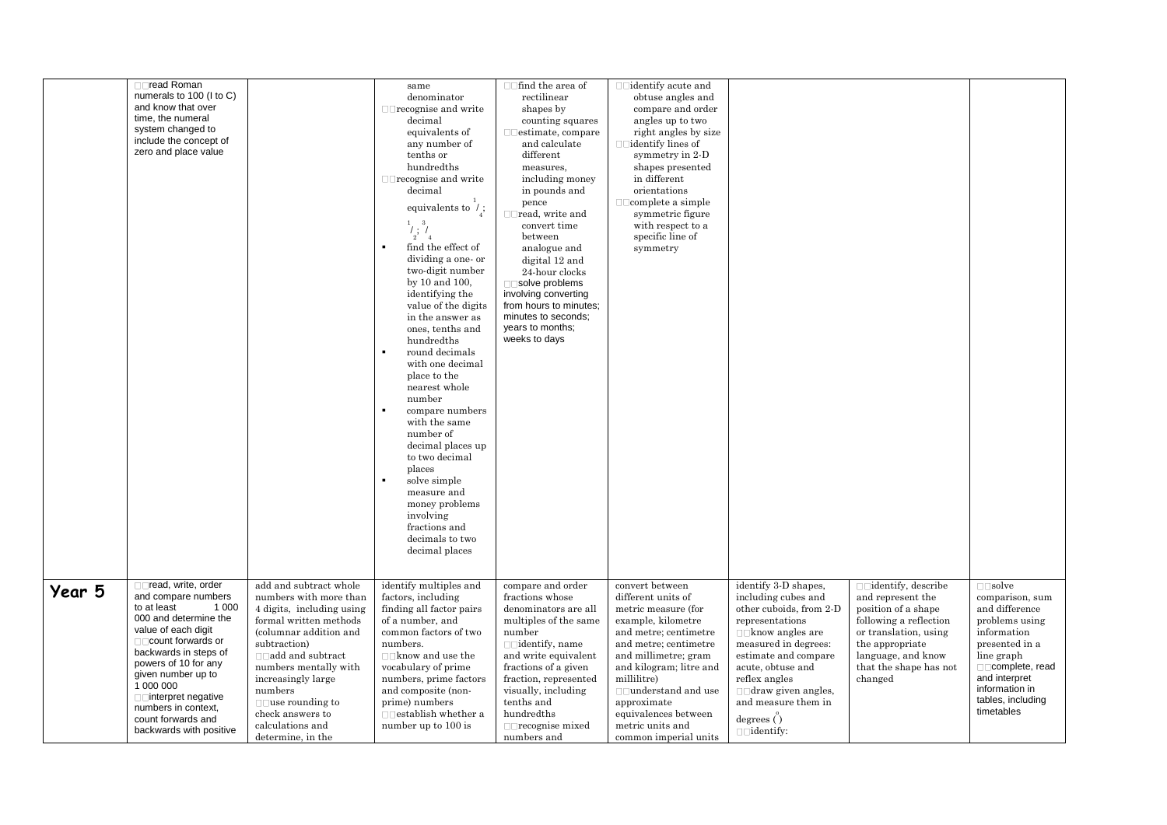|        | □□read Roman<br>numerals to 100 (I to C)<br>and know that over<br>time, the numeral<br>system changed to<br>include the concept of<br>zero and place value                                                                                                                                                                        |                                                                                                                                                                                                                                                                                                                               | same<br>denominator<br>$\Box$ recognise and write<br>decimal<br>equivalents of<br>any number of<br>tenths or<br>hundredths<br>$\Box$ recognise and write<br>decimal<br>equivalents to $\dot{\ }$ ;<br>$\frac{1}{2}$ ; $\frac{1}{4}$<br>find the effect of<br>dividing a one- or<br>two-digit number<br>by 10 and 100,<br>identifying the<br>value of the digits<br>in the answer as<br>ones, tenths and<br>hundredths<br>round decimals<br>with one decimal<br>place to the<br>nearest whole<br>number<br>compare numbers<br>with the same<br>number of<br>decimal places up<br>to two decimal<br>places<br>solve simple<br>measure and<br>money problems<br>involving<br>fractions and<br>decimals to two<br>decimal places | $\Box$ find the area of<br>rectilinear<br>shapes by<br>counting squares<br>$\Box$ estimate, compare<br>and calculate<br>different<br>measures,<br>including money<br>in pounds and<br>pence<br>$\Box$ read, write and<br>convert time<br>between<br>analogue and<br>digital 12 and<br>24-hour clocks<br>□□solve problems<br>involving converting<br>from hours to minutes;<br>minutes to seconds:<br>years to months;<br>weeks to days | $\Box$ identify acute and<br>obtuse angles and<br>compare and order<br>angles up to two<br>right angles by size<br>$\Box$ identify lines of<br>symmetry in 2-D<br>shapes presented<br>in different<br>orientations<br>$\Box$ complete a simple<br>symmetric figure<br>with respect to a<br>specific line of<br>symmetry |                                                                                                                                                                                                                                                                                                               |                                                                                                                                                                                                        |                                                                                                                                                                                                                         |
|--------|-----------------------------------------------------------------------------------------------------------------------------------------------------------------------------------------------------------------------------------------------------------------------------------------------------------------------------------|-------------------------------------------------------------------------------------------------------------------------------------------------------------------------------------------------------------------------------------------------------------------------------------------------------------------------------|------------------------------------------------------------------------------------------------------------------------------------------------------------------------------------------------------------------------------------------------------------------------------------------------------------------------------------------------------------------------------------------------------------------------------------------------------------------------------------------------------------------------------------------------------------------------------------------------------------------------------------------------------------------------------------------------------------------------------|----------------------------------------------------------------------------------------------------------------------------------------------------------------------------------------------------------------------------------------------------------------------------------------------------------------------------------------------------------------------------------------------------------------------------------------|-------------------------------------------------------------------------------------------------------------------------------------------------------------------------------------------------------------------------------------------------------------------------------------------------------------------------|---------------------------------------------------------------------------------------------------------------------------------------------------------------------------------------------------------------------------------------------------------------------------------------------------------------|--------------------------------------------------------------------------------------------------------------------------------------------------------------------------------------------------------|-------------------------------------------------------------------------------------------------------------------------------------------------------------------------------------------------------------------------|
| Year 5 | □□read, write, order<br>and compare numbers<br>to at least<br>1 0 0 0<br>000 and determine the<br>value of each digit<br>□□ count forwards or<br>backwards in steps of<br>powers of 10 for any<br>given number up to<br>1 000 000<br>□□interpret negative<br>numbers in context,<br>count forwards and<br>backwards with positive | add and subtract whole<br>numbers with more than<br>4 digits, including using<br>formal written methods<br>(columnar addition and<br>subtraction)<br>$\Box$ add and subtract<br>numbers mentally with<br>increasingly large<br>numbers<br>$\Box$ use rounding to<br>check answers to<br>calculations and<br>determine, in the | identify multiples and<br>factors, including<br>finding all factor pairs<br>of a number, and<br>common factors of two<br>numbers.<br>$\Box$ know and use the<br>vocabulary of prime<br>numbers, prime factors<br>and composite (non-<br>prime) numbers<br>$\Box$ establish whether a<br>number up to 100 is                                                                                                                                                                                                                                                                                                                                                                                                                  | compare and order<br>fractions whose<br>denominators are all<br>multiples of the same<br>number<br>and write equivalent<br>fractions of a given<br>fraction, represented<br>visually, including<br>tenths and<br>hundredths<br>$\Box$ recognise mixed<br>numbers and                                                                                                                                                                   | convert between<br>different units of<br>metric measure (for<br>example, kilometre<br>and metre; centimetre<br>and metre; centimetre<br>and millimetre; gram<br>and kilogram; litre and<br>millilitre)<br>□□understand and use<br>approximate<br>equivalences between<br>metric units and<br>common imperial units      | identify 3-D shapes.<br>including cubes and<br>other cuboids, from 2-D<br>representations<br>$\Box$ know angles are<br>measured in degrees:<br>estimate and compare<br>acute, obtuse and<br>reflex angles<br>$\Box$ draw given angles,<br>and measure them in<br>degrees $\ddot{\text{}}$<br>$\Box$ identify: | $\Box$ identify, describe<br>and represent the<br>position of a shape<br>following a reflection<br>or translation, using<br>the appropriate<br>language, and know<br>that the shape has not<br>changed | $\square \square$ solve<br>comparison, sum<br>and difference<br>problems using<br>information<br>presented in a<br>line graph<br>□□complete, read<br>and interpret<br>information in<br>tables, including<br>timetables |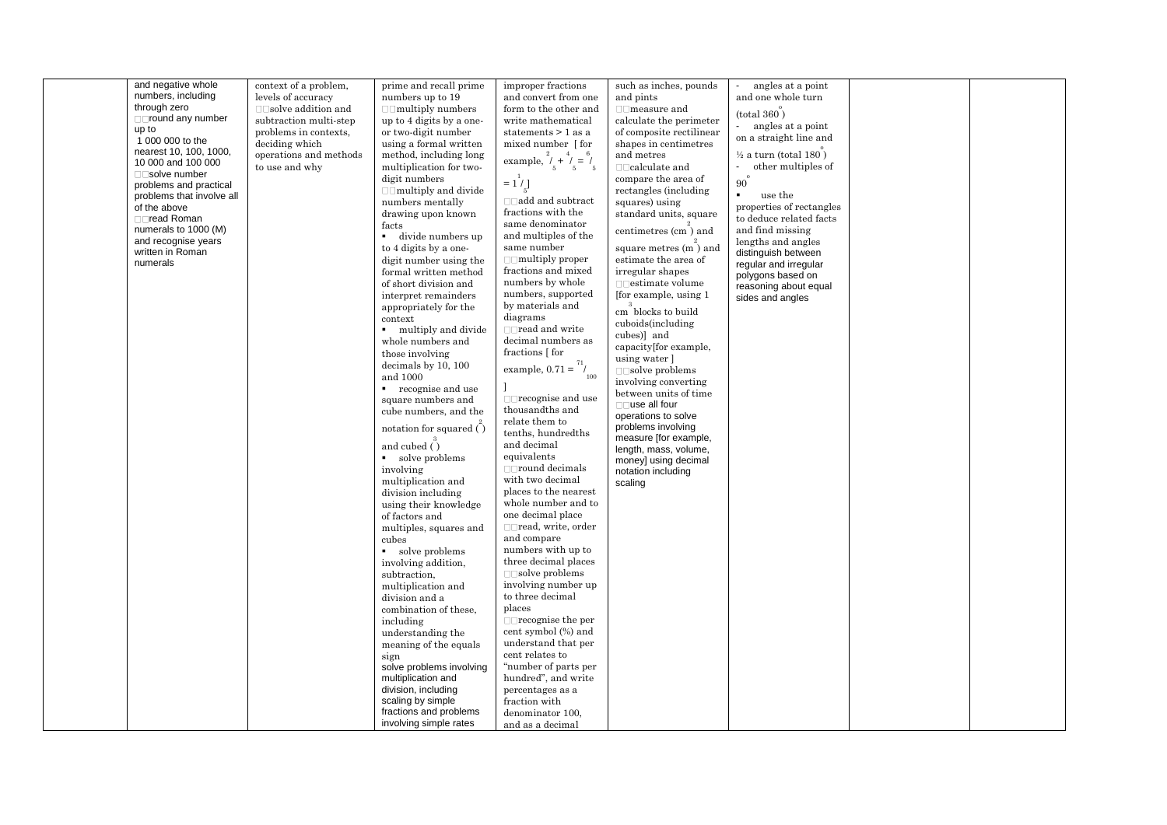|  | numbers, including<br>through zero<br>□□round any number<br>up to<br>1 000 000 to the<br>nearest 10, 100, 1000,<br>10 000 and 100 000<br>□□solve number<br>problems and practical<br>problems that involve all<br>of the above<br>□□read Roman<br>numerals to 1000 (M)<br>and recognise years<br>written in Roman<br>numerals | levels of accuracy<br>$\Box$ Solve addition and<br>subtraction multi-step<br>problems in contexts,<br>deciding which<br>operations and methods<br>to use and why | numbers up to 19<br>$\Box$ multiply numbers<br>up to 4 digits by a one-<br>or two-digit number<br>using a formal written<br>method, including long<br>multiplication for two-<br>digit numbers<br>$\Box$ multiply and divide<br>numbers mentally<br>drawing upon known<br>facts<br>divide numbers up<br>$\blacksquare$<br>to 4 digits by a one-<br>digit number using the<br>formal written method<br>of short division and<br>interpret remainders<br>appropriately for the<br>context<br>multiply and divide<br>whole numbers and<br>those involving<br>decimals by 10, 100<br>and 1000<br>recognise and use<br>$\mathbf{r}$<br>square numbers and<br>cube numbers, and the<br>notation for squared ()<br>and cubed $\binom{3}{1}$<br>• solve problems<br>involving<br>multiplication and<br>division including<br>using their knowledge<br>of factors and<br>multiples, squares and<br>cubes<br>solve problems<br>involving addition,<br>subtraction,<br>multiplication and<br>division and a<br>combination of these,<br>including<br>understanding the<br>meaning of the equals<br>sign<br>solve problems involving<br>multiplication and<br>division, including<br>scaling by simple<br>fractions and problems<br>involving simple rates | and convert from one<br>form to the other and<br>write mathematical<br>statements > 1 as a<br>mixed number [for<br>example, $\overset{2}{\prime}_{5} + \overset{4}{\prime}_{5} = \overset{6}{\prime}_{5}$<br>$= 1/1$<br>$\Box$ add and subtract<br>fractions with the<br>same denominator<br>and multiples of the<br>same number<br>$\Box$ multiply proper<br>fractions and mixed<br>numbers by whole<br>numbers, supported<br>by materials and<br>diagrams<br>$\Box$ read and write<br>decimal numbers as<br>fractions $\lceil$ for<br>example, $0.71 = \frac{71}{100}$<br>$\Box$ recognise and use<br>thousandths and<br>relate them to<br>tenths, hundredths<br>and decimal<br>equivalents<br>$\Box$ round decimals<br>with two decimal<br>places to the nearest<br>whole number and to<br>one decimal place<br>□□read, write, order<br>and compare<br>numbers with up to<br>three decimal places<br>$\Box$ solve problems<br>involving number up<br>to three decimal<br>places<br>$\Box$ recognise the per<br>cent symbol (%) and<br>understand that per<br>cent relates to<br>"number of parts per<br>hundred", and write<br>percentages as a<br>fraction with<br>denominator 100,<br>and as a decimal | and pints<br>$\Box$ measure and<br>calculate the perimeter<br>of composite rectilinear<br>shapes in centimetres<br>and metres<br>compare the area of<br>rectangles (including<br>squares) using<br>standard units, square<br>centimetres (cm) and<br>square metres (m) and<br>estimate the area of<br>irregular shapes<br>$\Box$ estimate volume<br>[for example, using 1<br>cm blocks to build<br>cuboids(including<br>cubes)] and<br>capacity[for example,<br>using water ]<br>$\Box$ solve problems<br>involving converting<br>between units of time<br>$\Box$ use all four<br>operations to solve<br>problems involving<br>measure [for example,<br>length, mass, volume,<br>money] using decimal<br>notation including<br>scaling | and one whole turn<br>(total 360)<br>angles at a point<br>on a straight line and<br>$\frac{1}{2}$ a turn (total 180)<br>other multiples of<br>$\omega$<br>90 <sup>°</sup><br>use the<br>properties of rectangles<br>to deduce related facts<br>and find missing<br>lengths and angles<br>distinguish between<br>regular and irregular<br>polygons based on<br>reasoning about equal<br>sides and angles |  |  |
|--|-------------------------------------------------------------------------------------------------------------------------------------------------------------------------------------------------------------------------------------------------------------------------------------------------------------------------------|------------------------------------------------------------------------------------------------------------------------------------------------------------------|------------------------------------------------------------------------------------------------------------------------------------------------------------------------------------------------------------------------------------------------------------------------------------------------------------------------------------------------------------------------------------------------------------------------------------------------------------------------------------------------------------------------------------------------------------------------------------------------------------------------------------------------------------------------------------------------------------------------------------------------------------------------------------------------------------------------------------------------------------------------------------------------------------------------------------------------------------------------------------------------------------------------------------------------------------------------------------------------------------------------------------------------------------------------------------------------------------------------------------------------|-------------------------------------------------------------------------------------------------------------------------------------------------------------------------------------------------------------------------------------------------------------------------------------------------------------------------------------------------------------------------------------------------------------------------------------------------------------------------------------------------------------------------------------------------------------------------------------------------------------------------------------------------------------------------------------------------------------------------------------------------------------------------------------------------------------------------------------------------------------------------------------------------------------------------------------------------------------------------------------------------------------------------------------------------------------------------------------------------------------------------------------------------------------------------------------------------------------|----------------------------------------------------------------------------------------------------------------------------------------------------------------------------------------------------------------------------------------------------------------------------------------------------------------------------------------------------------------------------------------------------------------------------------------------------------------------------------------------------------------------------------------------------------------------------------------------------------------------------------------------------------------------------------------------------------------------------------------|---------------------------------------------------------------------------------------------------------------------------------------------------------------------------------------------------------------------------------------------------------------------------------------------------------------------------------------------------------------------------------------------------------|--|--|
|--|-------------------------------------------------------------------------------------------------------------------------------------------------------------------------------------------------------------------------------------------------------------------------------------------------------------------------------|------------------------------------------------------------------------------------------------------------------------------------------------------------------|------------------------------------------------------------------------------------------------------------------------------------------------------------------------------------------------------------------------------------------------------------------------------------------------------------------------------------------------------------------------------------------------------------------------------------------------------------------------------------------------------------------------------------------------------------------------------------------------------------------------------------------------------------------------------------------------------------------------------------------------------------------------------------------------------------------------------------------------------------------------------------------------------------------------------------------------------------------------------------------------------------------------------------------------------------------------------------------------------------------------------------------------------------------------------------------------------------------------------------------------|-------------------------------------------------------------------------------------------------------------------------------------------------------------------------------------------------------------------------------------------------------------------------------------------------------------------------------------------------------------------------------------------------------------------------------------------------------------------------------------------------------------------------------------------------------------------------------------------------------------------------------------------------------------------------------------------------------------------------------------------------------------------------------------------------------------------------------------------------------------------------------------------------------------------------------------------------------------------------------------------------------------------------------------------------------------------------------------------------------------------------------------------------------------------------------------------------------------|----------------------------------------------------------------------------------------------------------------------------------------------------------------------------------------------------------------------------------------------------------------------------------------------------------------------------------------------------------------------------------------------------------------------------------------------------------------------------------------------------------------------------------------------------------------------------------------------------------------------------------------------------------------------------------------------------------------------------------------|---------------------------------------------------------------------------------------------------------------------------------------------------------------------------------------------------------------------------------------------------------------------------------------------------------------------------------------------------------------------------------------------------------|--|--|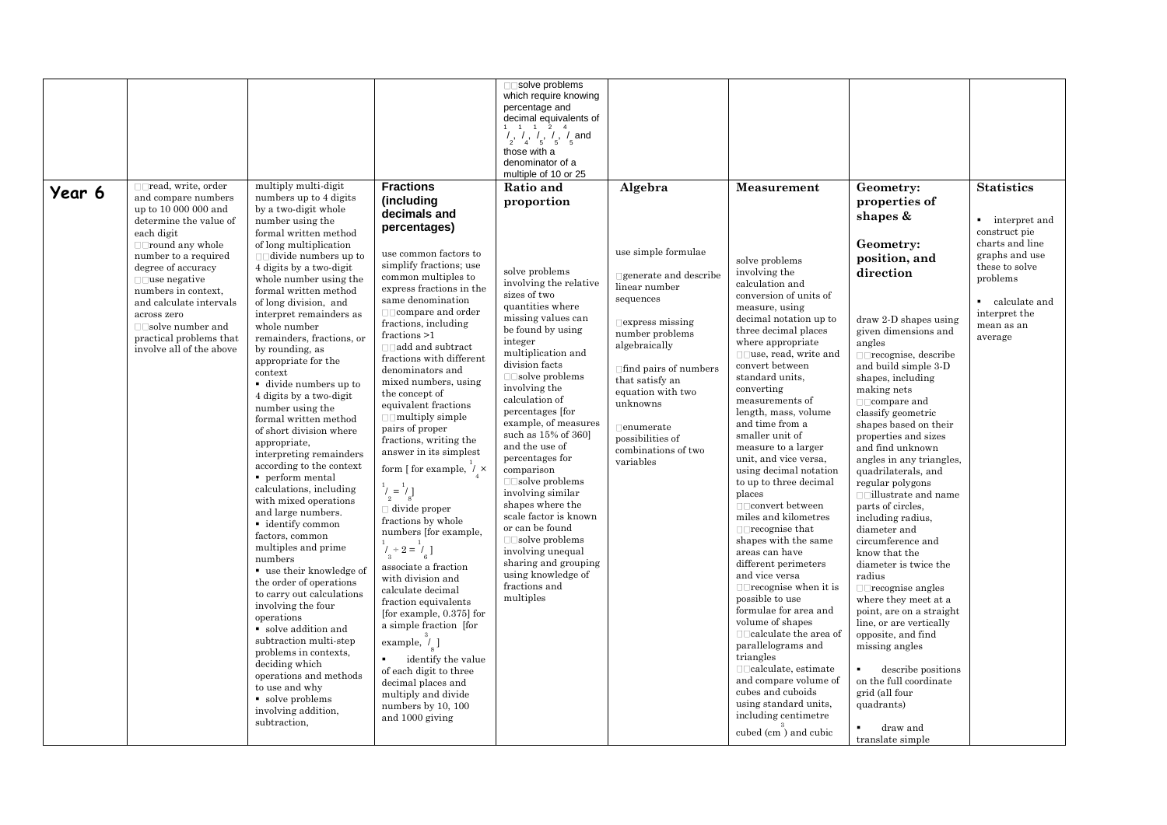|        |                                                |                                                     |                                                     | □□solve problems                                                                                   |                                      |                                           |                                                 |                   |
|--------|------------------------------------------------|-----------------------------------------------------|-----------------------------------------------------|----------------------------------------------------------------------------------------------------|--------------------------------------|-------------------------------------------|-------------------------------------------------|-------------------|
|        |                                                |                                                     |                                                     | which require knowing                                                                              |                                      |                                           |                                                 |                   |
|        |                                                |                                                     |                                                     | percentage and                                                                                     |                                      |                                           |                                                 |                   |
|        |                                                |                                                     |                                                     | decimal equivalents of                                                                             |                                      |                                           |                                                 |                   |
|        |                                                |                                                     |                                                     | $\begin{array}{ccccc} 1 & 1 & 1 & 2 & 4 \\ 1 & 1 & 1 & 2 & 4 \\ 2 & 4 & 5 & 5 & 5 \end{array}$ and |                                      |                                           |                                                 |                   |
|        |                                                |                                                     |                                                     | those with a                                                                                       |                                      |                                           |                                                 |                   |
|        |                                                |                                                     |                                                     | denominator of a                                                                                   |                                      |                                           |                                                 |                   |
|        |                                                |                                                     |                                                     | multiple of 10 or 25                                                                               |                                      |                                           |                                                 |                   |
| Year 6 | $\Box$ read, write, order                      | multiply multi-digit                                | <b>Fractions</b>                                    | Ratio and                                                                                          | Algebra                              | Measurement                               | Geometry:                                       | <b>Statistics</b> |
|        | and compare numbers                            | numbers up to 4 digits                              | (including                                          | proportion                                                                                         |                                      |                                           | properties of                                   |                   |
|        | up to 10 000 000 and<br>determine the value of | by a two-digit whole<br>number using the            | decimals and                                        |                                                                                                    |                                      |                                           | shapes &                                        | • interpret and   |
|        | each digit                                     | formal written method                               | percentages)                                        |                                                                                                    |                                      |                                           |                                                 | construct pie     |
|        | $\Box$ round any whole                         | of long multiplication                              |                                                     |                                                                                                    |                                      |                                           | Geometry:                                       | charts and line   |
|        | number to a required                           | $\Box$ divide numbers up to                         | use common factors to                               |                                                                                                    | use simple formulae                  | solve problems                            | position, and                                   | graphs and use    |
|        | degree of accuracy                             | 4 digits by a two-digit                             | simplify fractions; use                             | solve problems                                                                                     | $\Box$ generate and describe         | involving the                             | direction                                       | these to solve    |
|        | $\Box$ use negative                            | whole number using the                              | common multiples to<br>express fractions in the     | involving the relative                                                                             | linear number                        | calculation and                           |                                                 | problems          |
|        | numbers in context,<br>and calculate intervals | formal written method<br>of long division, and      | same denomination                                   | sizes of two                                                                                       | sequences                            | conversion of units of                    |                                                 | • calculate and   |
|        | across zero                                    | interpret remainders as                             |                                                     | quantities where                                                                                   |                                      | measure, using                            |                                                 | interpret the     |
|        | $\Box$ solve number and                        | whole number                                        | fractions, including                                | missing values can<br>be found by using                                                            | $\Box$ express missing               | decimal notation up to                    | $draw 2-D shapes using$                         | mean as an        |
|        | practical problems that                        | remainders, fractions, or                           | fractions $>1$                                      | integer                                                                                            | number problems                      | three decimal places<br>where appropriate | given dimensions and<br>angles                  | average           |
|        | involve all of the above                       | by rounding, as                                     | $\Box$ add and subtract<br>fractions with different | multiplication and                                                                                 | algebraically                        | $\Box$ use, read, write and               | $\Box$ recognise, describe                      |                   |
|        |                                                | appropriate for the                                 | denominators and                                    | division facts                                                                                     | $\Box$ find pairs of numbers         | convert between                           | and build simple 3-D                            |                   |
|        |                                                | context<br>divide numbers up to                     | mixed numbers, using                                | $\Box$ solve problems                                                                              | that satisfy an                      | standard units,                           | shapes, including                               |                   |
|        |                                                | 4 digits by a two-digit                             | the concept of                                      | involving the                                                                                      | equation with two                    | converting                                | making nets                                     |                   |
|        |                                                | number using the                                    | equivalent fractions                                | calculation of<br>percentages [for                                                                 | unknowns                             | measurements of<br>length, mass, volume   | $\Box$ compare and                              |                   |
|        |                                                | formal written method                               | $\Box$ multiply simple                              | example, of measures                                                                               |                                      | and time from a                           | classify geometric<br>shapes based on their     |                   |
|        |                                                | of short division where                             | pairs of proper                                     | such as 15% of 360]                                                                                | $\Box$ enumerate<br>possibilities of | smaller unit of                           | properties and sizes                            |                   |
|        |                                                | appropriate,                                        | fractions, writing the<br>answer in its simplest    | and the use of                                                                                     | combinations of two                  | measure to a larger                       | and find unknown                                |                   |
|        |                                                | interpreting remainders<br>according to the context |                                                     | percentages for                                                                                    | variables                            | unit, and vice versa,                     | angles in any triangles,                        |                   |
|        |                                                | perform mental                                      | form [ for example, $/ \times$                      | comparison                                                                                         |                                      | using decimal notation                    | quadrilaterals, and                             |                   |
|        |                                                | calculations, including                             |                                                     | $\Box$ solve problems<br>involving similar                                                         |                                      | to up to three decimal<br>places          | regular polygons                                |                   |
|        |                                                | with mixed operations                               | $1\choose 2 = 1\choose 8$                           | shapes where the                                                                                   |                                      | $\Box$ $\Box$ convert between             | $\Box$ illustrate and name<br>parts of circles, |                   |
|        |                                                | and large numbers.                                  | $\Box$ divide proper<br>fractions by whole          | scale factor is known                                                                              |                                      | miles and kilometres                      | including radius,                               |                   |
|        |                                                | • identify common                                   | numbers [for example,                               | or can be found                                                                                    |                                      | $\Box$ recognise that                     | diameter and                                    |                   |
|        |                                                | factors, common<br>multiples and prime              |                                                     | $\Box$ solve problems                                                                              |                                      | shapes with the same                      | circumference and                               |                   |
|        |                                                | numbers                                             | $i_3^+$ + 2 = $i_7^-$ ]                             | involving unequal                                                                                  |                                      | areas can have                            | know that the                                   |                   |
|        |                                                | $\blacksquare$ use their knowledge of               | associate a fraction                                | sharing and grouping<br>using knowledge of                                                         |                                      | different perimeters<br>and vice versa    | diameter is twice the<br>radius                 |                   |
|        |                                                | the order of operations                             | with division and                                   | fractions and                                                                                      |                                      | $\Box$ recognise when it is               | $\Box$ recognise angles                         |                   |
|        |                                                | to carry out calculations                           | calculate decimal<br>fraction equivalents           | multiples                                                                                          |                                      | possible to use                           | where they meet at a                            |                   |
|        |                                                | involving the four                                  | [for example, $0.375$ ] for                         |                                                                                                    |                                      | formulae for area and                     | point, are on a straight                        |                   |
|        |                                                | operations<br>solve addition and                    | a simple fraction [for                              |                                                                                                    |                                      | volume of shapes                          | line, or are vertically                         |                   |
|        |                                                | subtraction multi-step                              | example, $\frac{3}{7}$ ]                            |                                                                                                    |                                      |                                           | opposite, and find                              |                   |
|        |                                                | problems in contexts,                               |                                                     |                                                                                                    |                                      | parallelograms and<br>triangles           | missing angles                                  |                   |
|        |                                                | deciding which                                      | identify the value                                  |                                                                                                    |                                      | $\Box$ $\Box$ calculate, estimate         | describe positions                              |                   |
|        |                                                | operations and methods                              | of each digit to three<br>decimal places and        |                                                                                                    |                                      | and compare volume of                     | on the full coordinate                          |                   |
|        |                                                | to use and why                                      | multiply and divide                                 |                                                                                                    |                                      | cubes and cuboids                         | grid (all four                                  |                   |
|        |                                                | • solve problems                                    | numbers by 10, 100                                  |                                                                                                    |                                      | using standard units,                     | quadrants)                                      |                   |
|        |                                                | involving addition,<br>subtraction,                 | and 1000 giving                                     |                                                                                                    |                                      | including centimetre                      |                                                 |                   |
|        |                                                |                                                     |                                                     |                                                                                                    |                                      | cubed (cm) and cubic                      | draw and<br>translate simple                    |                   |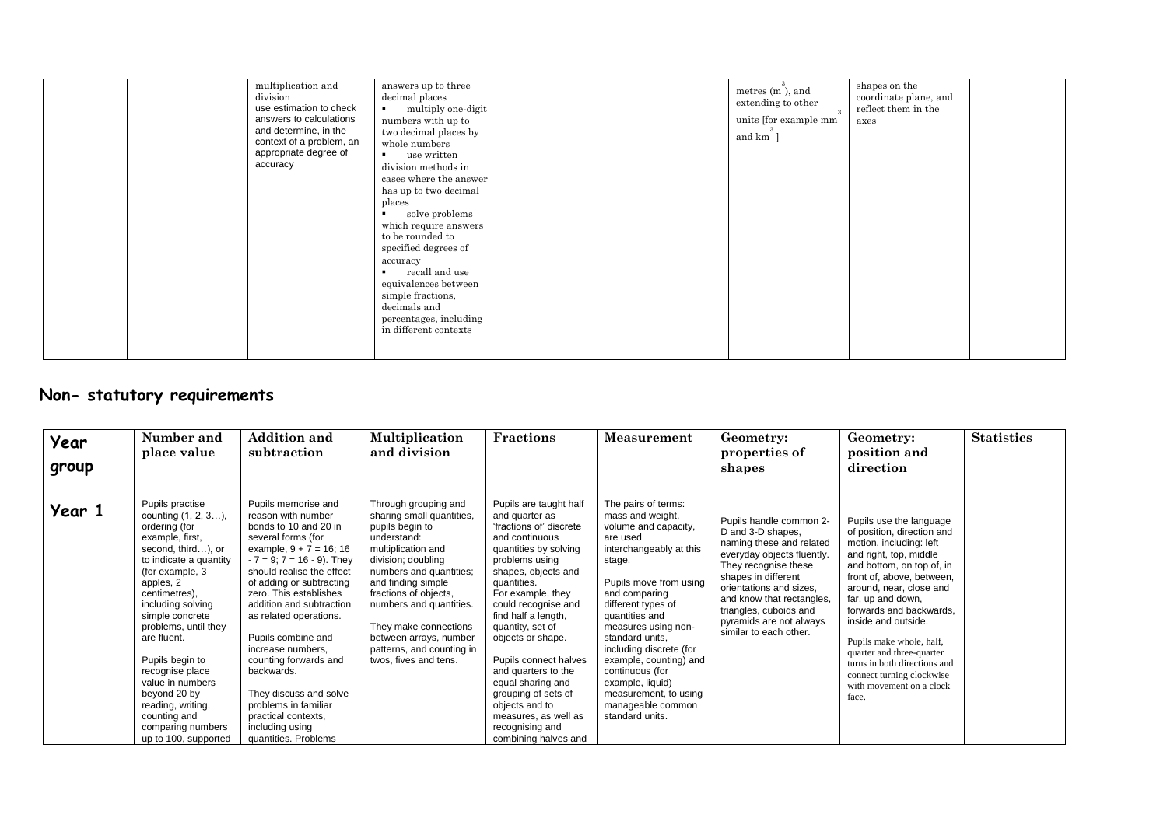| multiplication and<br>division<br>use estimation to check<br>answers to calculations<br>and determine, in the<br>context of a problem, an<br>appropriate degree of<br>accuracy | answers up to three<br>decimal places<br>multiply one-digit<br>$\mathbf{r}$<br>numbers with up to<br>two decimal places by<br>whole numbers<br>use written<br>$\blacksquare$<br>division methods in<br>cases where the answer<br>has up to two decimal<br>places<br>solve problems<br>which require answers<br>to be rounded to<br>specified degrees of<br>accuracy<br>recall and use<br>equivalences between<br>simple fractions,<br>decimals and<br>percentages, including<br>in different contexts | metres (m), and<br>extending to other<br>units [for example mm]<br>and km ] | shapes on the<br>coordinate plane, and<br>reflect them in the<br>axes |
|--------------------------------------------------------------------------------------------------------------------------------------------------------------------------------|-------------------------------------------------------------------------------------------------------------------------------------------------------------------------------------------------------------------------------------------------------------------------------------------------------------------------------------------------------------------------------------------------------------------------------------------------------------------------------------------------------|-----------------------------------------------------------------------------|-----------------------------------------------------------------------|
|--------------------------------------------------------------------------------------------------------------------------------------------------------------------------------|-------------------------------------------------------------------------------------------------------------------------------------------------------------------------------------------------------------------------------------------------------------------------------------------------------------------------------------------------------------------------------------------------------------------------------------------------------------------------------------------------------|-----------------------------------------------------------------------------|-----------------------------------------------------------------------|

## **Non- statutory requirements**

| Year<br>group | Number and<br>place value                                                                                                                                                                                                                                                                                                                                                                                                 | <b>Addition and</b><br>subtraction                                                                                                                                                                                                                                                                                                                                                                                                                                                                       | Multiplication<br>and division                                                                                                                                                                                                                                                                                                                | <b>Fractions</b>                                                                                                                                                                                                                                                                                                                                                                                                                                                    | <b>Measurement</b>                                                                                                                                                                                                                                                                                                                                                                                         | Geometry:<br>properties of<br>shapes                                                                                                                                                                                                                                                         | Geometry:<br>position and<br>direction                                                                                                                                                                                                                                                                                                                                                                                            | <b>Statistics</b> |
|---------------|---------------------------------------------------------------------------------------------------------------------------------------------------------------------------------------------------------------------------------------------------------------------------------------------------------------------------------------------------------------------------------------------------------------------------|----------------------------------------------------------------------------------------------------------------------------------------------------------------------------------------------------------------------------------------------------------------------------------------------------------------------------------------------------------------------------------------------------------------------------------------------------------------------------------------------------------|-----------------------------------------------------------------------------------------------------------------------------------------------------------------------------------------------------------------------------------------------------------------------------------------------------------------------------------------------|---------------------------------------------------------------------------------------------------------------------------------------------------------------------------------------------------------------------------------------------------------------------------------------------------------------------------------------------------------------------------------------------------------------------------------------------------------------------|------------------------------------------------------------------------------------------------------------------------------------------------------------------------------------------------------------------------------------------------------------------------------------------------------------------------------------------------------------------------------------------------------------|----------------------------------------------------------------------------------------------------------------------------------------------------------------------------------------------------------------------------------------------------------------------------------------------|-----------------------------------------------------------------------------------------------------------------------------------------------------------------------------------------------------------------------------------------------------------------------------------------------------------------------------------------------------------------------------------------------------------------------------------|-------------------|
| Year 1        | Pupils practise<br>counting $(1, 2, 3),$<br>ordering (for<br>example, first,<br>second, third), or<br>to indicate a quantity<br>(for example, 3)<br>apples, 2<br>centimetres),<br>including solving<br>simple concrete<br>problems, until they<br>are fluent.<br>Pupils begin to<br>recognise place<br>value in numbers<br>beyond 20 by<br>reading, writing,<br>counting and<br>comparing numbers<br>up to 100, supported | Pupils memorise and<br>reason with number<br>bonds to 10 and 20 in<br>several forms (for<br>example, $9 + 7 = 16$ ; 16<br>$-7 = 9$ ; $7 = 16 - 9$ ). They<br>should realise the effect<br>of adding or subtracting<br>zero. This establishes<br>addition and subtraction<br>as related operations.<br>Pupils combine and<br>increase numbers.<br>counting forwards and<br>backwards.<br>They discuss and solve<br>problems in familiar<br>practical contexts,<br>including using<br>quantities. Problems | Through grouping and<br>sharing small quantities,<br>pupils begin to<br>understand:<br>multiplication and<br>division; doubling<br>numbers and quantities;<br>and finding simple<br>fractions of objects,<br>numbers and quantities.<br>They make connections<br>between arrays, number<br>patterns, and counting in<br>twos, fives and tens. | Pupils are taught half<br>and quarter as<br>'fractions of' discrete<br>and continuous<br>quantities by solving<br>problems using<br>shapes, objects and<br>quantities.<br>For example, they<br>could recognise and<br>find half a length,<br>quantity, set of<br>objects or shape.<br>Pupils connect halves<br>and quarters to the<br>equal sharing and<br>grouping of sets of<br>objects and to<br>measures, as well as<br>recognising and<br>combining halves and | The pairs of terms:<br>mass and weight,<br>volume and capacity,<br>are used<br>interchangeably at this<br>stage.<br>Pupils move from using<br>and comparing<br>different types of<br>quantities and<br>measures using non-<br>standard units,<br>including discrete (for<br>example, counting) and<br>continuous (for<br>example, liquid)<br>measurement, to using<br>manageable common<br>standard units. | Pupils handle common 2-<br>D and 3-D shapes.<br>naming these and related<br>everyday objects fluently.<br>They recognise these<br>shapes in different<br>orientations and sizes.<br>and know that rectangles,<br>triangles, cuboids and<br>pyramids are not always<br>similar to each other. | Pupils use the language<br>of position, direction and<br>motion, including: left<br>and right, top, middle<br>and bottom, on top of, in<br>front of, above, between,<br>around, near, close and<br>far, up and down,<br>forwards and backwards,<br>inside and outside.<br>Pupils make whole, half,<br>quarter and three-quarter<br>turns in both directions and<br>connect turning clockwise<br>with movement on a clock<br>face. |                   |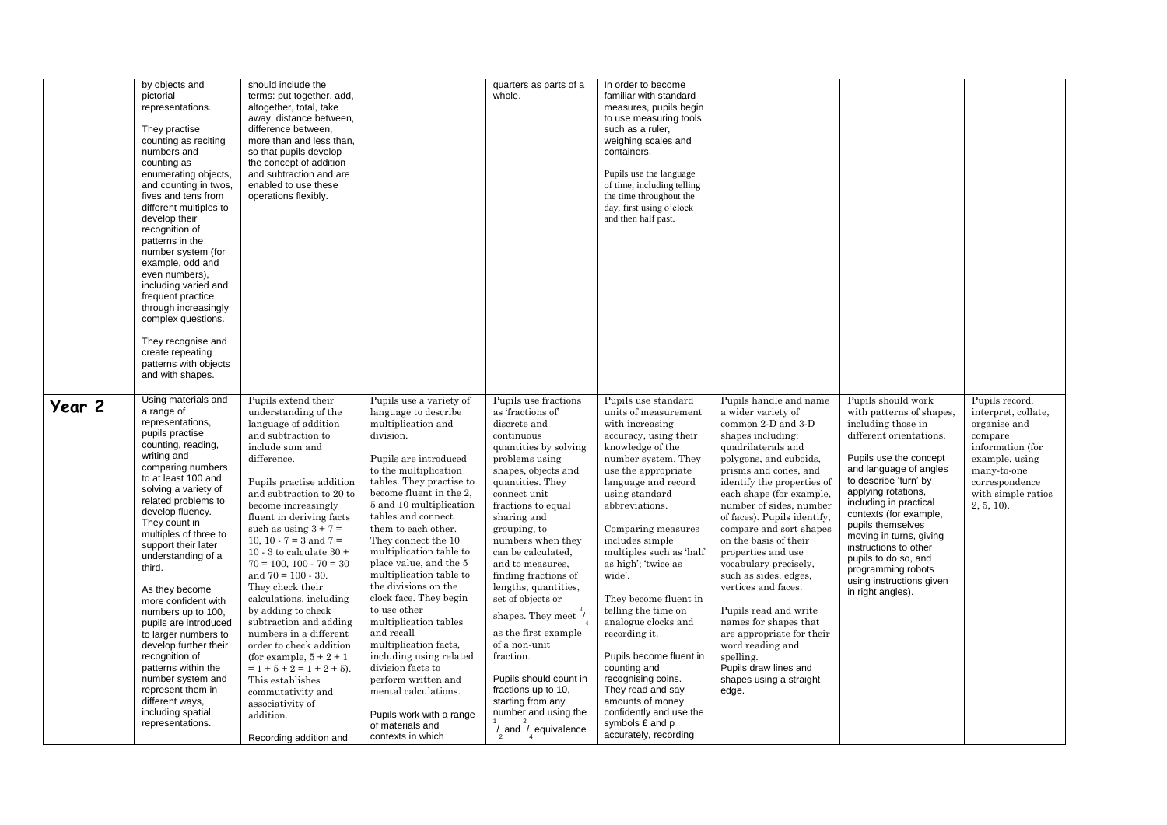|        | by objects and<br>pictorial                                                                                                                                                                                                                                                                                                                                                                                                                                                                                                          | should include the<br>terms: put together, add,                                                                                                                                                                                                                                                                                                                                                                                                                                                                                                                                                                       |                                                                                                                                                                                                                                                                                                                                                                                                                                                                                                                                                                                     | quarters as parts of a<br>whole.                                                                                                                                                                                                                                                                                                                                                                                                                                              | In order to become<br>familiar with standard                                                                                                                                                                                                                                                                                                                                                                                                                                       |                                                                                                                                                                                                                                                                                                                                                                                                                                                                                                                                                                                                             |                                                                                                                                                                                                                                                                                                                                                                                                                                 |                                                                                                                                                                                |
|--------|--------------------------------------------------------------------------------------------------------------------------------------------------------------------------------------------------------------------------------------------------------------------------------------------------------------------------------------------------------------------------------------------------------------------------------------------------------------------------------------------------------------------------------------|-----------------------------------------------------------------------------------------------------------------------------------------------------------------------------------------------------------------------------------------------------------------------------------------------------------------------------------------------------------------------------------------------------------------------------------------------------------------------------------------------------------------------------------------------------------------------------------------------------------------------|-------------------------------------------------------------------------------------------------------------------------------------------------------------------------------------------------------------------------------------------------------------------------------------------------------------------------------------------------------------------------------------------------------------------------------------------------------------------------------------------------------------------------------------------------------------------------------------|-------------------------------------------------------------------------------------------------------------------------------------------------------------------------------------------------------------------------------------------------------------------------------------------------------------------------------------------------------------------------------------------------------------------------------------------------------------------------------|------------------------------------------------------------------------------------------------------------------------------------------------------------------------------------------------------------------------------------------------------------------------------------------------------------------------------------------------------------------------------------------------------------------------------------------------------------------------------------|-------------------------------------------------------------------------------------------------------------------------------------------------------------------------------------------------------------------------------------------------------------------------------------------------------------------------------------------------------------------------------------------------------------------------------------------------------------------------------------------------------------------------------------------------------------------------------------------------------------|---------------------------------------------------------------------------------------------------------------------------------------------------------------------------------------------------------------------------------------------------------------------------------------------------------------------------------------------------------------------------------------------------------------------------------|--------------------------------------------------------------------------------------------------------------------------------------------------------------------------------|
|        | representations.<br>They practise                                                                                                                                                                                                                                                                                                                                                                                                                                                                                                    | altogether, total, take<br>away, distance between,<br>difference between,                                                                                                                                                                                                                                                                                                                                                                                                                                                                                                                                             |                                                                                                                                                                                                                                                                                                                                                                                                                                                                                                                                                                                     |                                                                                                                                                                                                                                                                                                                                                                                                                                                                               | measures, pupils begin<br>to use measuring tools<br>such as a ruler,                                                                                                                                                                                                                                                                                                                                                                                                               |                                                                                                                                                                                                                                                                                                                                                                                                                                                                                                                                                                                                             |                                                                                                                                                                                                                                                                                                                                                                                                                                 |                                                                                                                                                                                |
|        | counting as reciting<br>numbers and<br>counting as                                                                                                                                                                                                                                                                                                                                                                                                                                                                                   | more than and less than,<br>so that pupils develop<br>the concept of addition                                                                                                                                                                                                                                                                                                                                                                                                                                                                                                                                         |                                                                                                                                                                                                                                                                                                                                                                                                                                                                                                                                                                                     |                                                                                                                                                                                                                                                                                                                                                                                                                                                                               | weighing scales and<br>containers.                                                                                                                                                                                                                                                                                                                                                                                                                                                 |                                                                                                                                                                                                                                                                                                                                                                                                                                                                                                                                                                                                             |                                                                                                                                                                                                                                                                                                                                                                                                                                 |                                                                                                                                                                                |
|        | enumerating objects,<br>and counting in twos,<br>fives and tens from<br>different multiples to<br>develop their<br>recognition of                                                                                                                                                                                                                                                                                                                                                                                                    | and subtraction and are<br>enabled to use these<br>operations flexibly.                                                                                                                                                                                                                                                                                                                                                                                                                                                                                                                                               |                                                                                                                                                                                                                                                                                                                                                                                                                                                                                                                                                                                     |                                                                                                                                                                                                                                                                                                                                                                                                                                                                               | Pupils use the language<br>of time, including telling<br>the time throughout the<br>day, first using o'clock<br>and then half past.                                                                                                                                                                                                                                                                                                                                                |                                                                                                                                                                                                                                                                                                                                                                                                                                                                                                                                                                                                             |                                                                                                                                                                                                                                                                                                                                                                                                                                 |                                                                                                                                                                                |
|        | patterns in the<br>number system (for<br>example, odd and<br>even numbers),<br>including varied and<br>frequent practice<br>through increasingly                                                                                                                                                                                                                                                                                                                                                                                     |                                                                                                                                                                                                                                                                                                                                                                                                                                                                                                                                                                                                                       |                                                                                                                                                                                                                                                                                                                                                                                                                                                                                                                                                                                     |                                                                                                                                                                                                                                                                                                                                                                                                                                                                               |                                                                                                                                                                                                                                                                                                                                                                                                                                                                                    |                                                                                                                                                                                                                                                                                                                                                                                                                                                                                                                                                                                                             |                                                                                                                                                                                                                                                                                                                                                                                                                                 |                                                                                                                                                                                |
|        | complex questions.<br>They recognise and                                                                                                                                                                                                                                                                                                                                                                                                                                                                                             |                                                                                                                                                                                                                                                                                                                                                                                                                                                                                                                                                                                                                       |                                                                                                                                                                                                                                                                                                                                                                                                                                                                                                                                                                                     |                                                                                                                                                                                                                                                                                                                                                                                                                                                                               |                                                                                                                                                                                                                                                                                                                                                                                                                                                                                    |                                                                                                                                                                                                                                                                                                                                                                                                                                                                                                                                                                                                             |                                                                                                                                                                                                                                                                                                                                                                                                                                 |                                                                                                                                                                                |
|        | create repeating<br>patterns with objects<br>and with shapes.                                                                                                                                                                                                                                                                                                                                                                                                                                                                        |                                                                                                                                                                                                                                                                                                                                                                                                                                                                                                                                                                                                                       |                                                                                                                                                                                                                                                                                                                                                                                                                                                                                                                                                                                     |                                                                                                                                                                                                                                                                                                                                                                                                                                                                               |                                                                                                                                                                                                                                                                                                                                                                                                                                                                                    |                                                                                                                                                                                                                                                                                                                                                                                                                                                                                                                                                                                                             |                                                                                                                                                                                                                                                                                                                                                                                                                                 |                                                                                                                                                                                |
| Year 2 | Using materials and<br>a range of<br>representations,<br>pupils practise<br>counting, reading,<br>writing and<br>comparing numbers<br>to at least 100 and<br>solving a variety of<br>related problems to<br>develop fluency.<br>They count in<br>multiples of three to<br>support their later<br>understanding of a<br>third.<br>As they become<br>more confident with<br>numbers up to 100,<br>pupils are introduced<br>to larger numbers to<br>develop further their<br>recognition of<br>patterns within the<br>number system and | Pupils extend their<br>understanding of the<br>language of addition<br>and subtraction to<br>include sum and<br>difference.<br>Pupils practise addition<br>and subtraction to 20 to<br>become increasingly<br>fluent in deriving facts<br>such as using $3 + 7 =$<br>10, 10 - 7 = 3 and 7 =<br>10 - 3 to calculate $30 +$<br>$70 = 100, 100 - 70 = 30$<br>and $70 = 100 - 30$ .<br>They check their<br>calculations, including<br>by adding to check<br>subtraction and adding<br>numbers in a different<br>order to check addition<br>(for example, $5 + 2 + 1$ )<br>$= 1 + 5 + 2 = 1 + 2 + 5$ .<br>This establishes | Pupils use a variety of<br>language to describe<br>multiplication and<br>division.<br>Pupils are introduced<br>to the multiplication<br>tables. They practise to<br>become fluent in the 2,<br>5 and 10 multiplication<br>tables and connect<br>them to each other.<br>They connect the 10<br>multiplication table to<br>place value, and the 5<br>multiplication table to<br>the divisions on the<br>clock face. They begin<br>to use other<br>multiplication tables<br>and recall<br>multiplication facts,<br>including using related<br>division facts to<br>perform written and | Pupils use fractions<br>as 'fractions of'<br>discrete and<br>continuous<br>quantities by solving<br>problems using<br>shapes, objects and<br>quantities. They<br>connect unit<br>fractions to equal<br>sharing and<br>grouping, to<br>numbers when they<br>can be calculated.<br>and to measures,<br>finding fractions of<br>lengths, quantities,<br>set of objects or<br>shapes. They meet /<br>as the first example<br>of a non-unit<br>fraction.<br>Pupils should count in | Pupils use standard<br>units of measurement<br>with increasing<br>accuracy, using their<br>knowledge of the<br>number system. They<br>use the appropriate<br>language and record<br>using standard<br>abbreviations.<br>Comparing measures<br>includes simple<br>multiples such as 'half<br>as high'; 'twice as<br>wide'.<br>They become fluent in<br>telling the time on<br>analogue clocks and<br>recording it.<br>Pupils become fluent in<br>counting and<br>recognising coins. | Pupils handle and name<br>a wider variety of<br>common 2-D and 3-D<br>shapes including:<br>quadrilaterals and<br>polygons, and cuboids,<br>prisms and cones, and<br>identify the properties of<br>each shape (for example,<br>number of sides, number<br>of faces). Pupils identify,<br>compare and sort shapes<br>on the basis of their<br>properties and use<br>vocabulary precisely,<br>such as sides, edges,<br>vertices and faces.<br>Pupils read and write<br>names for shapes that<br>are appropriate for their<br>word reading and<br>spelling.<br>Pupils draw lines and<br>shapes using a straight | Pupils should work<br>with patterns of shapes,<br>including those in<br>different orientations.<br>Pupils use the concept<br>and language of angles<br>to describe 'turn' by<br>applying rotations,<br>including in practical<br>contexts (for example,<br>pupils themselves<br>moving in turns, giving<br>instructions to other<br>pupils to do so, and<br>programming robots<br>using instructions given<br>in right angles). | Pupils record,<br>interpret, collate,<br>organise and<br>compare<br>information (for<br>example, using<br>many-to-one<br>correspondence<br>with simple ratios<br>$2, 5, 10$ ). |
|        | represent them in<br>different ways,<br>including spatial<br>representations.                                                                                                                                                                                                                                                                                                                                                                                                                                                        | commutativity and<br>associativity of<br>addition.<br>Recording addition and                                                                                                                                                                                                                                                                                                                                                                                                                                                                                                                                          | mental calculations.<br>Pupils work with a range<br>of materials and<br>contexts in which                                                                                                                                                                                                                                                                                                                                                                                                                                                                                           | fractions up to 10,<br>starting from any<br>number and using the<br>$\frac{1}{2}$ and $\frac{1}{2}$ equivalence                                                                                                                                                                                                                                                                                                                                                               | They read and say<br>amounts of money<br>confidently and use the<br>symbols £ and p<br>accurately, recording                                                                                                                                                                                                                                                                                                                                                                       | edge.                                                                                                                                                                                                                                                                                                                                                                                                                                                                                                                                                                                                       |                                                                                                                                                                                                                                                                                                                                                                                                                                 |                                                                                                                                                                                |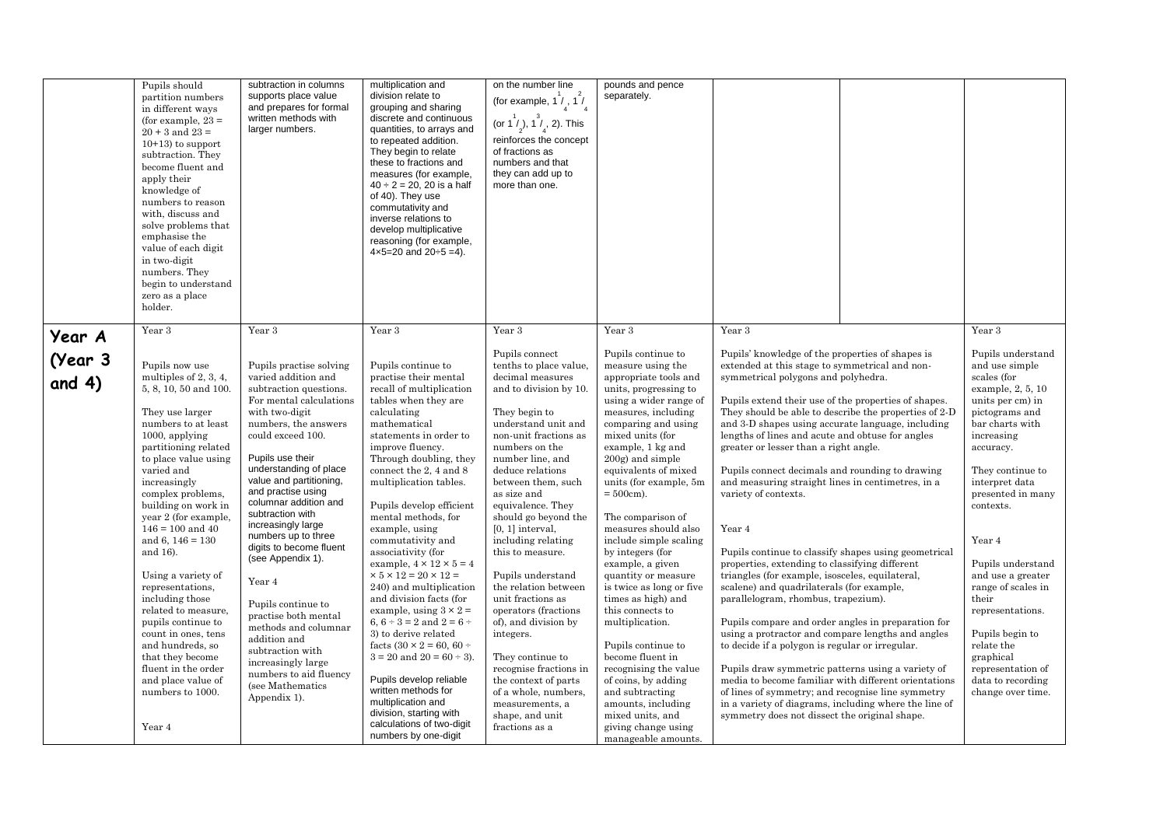|                             | Pupils should<br>partition numbers<br>in different ways<br>(for example, $23 =$<br>$20 + 3$ and $23 =$<br>$10+13$ to support<br>subtraction. They<br>become fluent and<br>apply their<br>knowledge of<br>numbers to reason<br>with, discuss and<br>solve problems that<br>emphasise the<br>value of each digit<br>in two-digit<br>numbers. They<br>begin to understand<br>zero as a place<br>holder.                                                                                                                                                                                                      | subtraction in columns<br>supports place value<br>and prepares for formal<br>written methods with<br>larger numbers.                                                                                                                                                                                                                                                                                                                                                                                                                                                                                                          | multiplication and<br>division relate to<br>grouping and sharing<br>discrete and continuous<br>quantities, to arrays and<br>to repeated addition.<br>They begin to relate<br>these to fractions and<br>measures (for example,<br>$40 \div 2 = 20$ , 20 is a half<br>of 40). They use<br>commutativity and<br>inverse relations to<br>develop multiplicative<br>reasoning (for example,<br>$4 \times 5 = 20$ and $20 \div 5 = 4$ ).                                                                                                                                                                                                                                                                                                                                                                                                                             | on the number line<br>(for example, 1 $\frac{1}{4}$ , 1 $\frac{1}{4}$<br>(or 1 $\binom{1}{2}$ , 1 $\binom{7}{4}$ , 2). This<br>reinforces the concept<br>of fractions as<br>numbers and that<br>they can add up to<br>more than one.                                                                                                                                                                                                                                                                                                                                                                                                                               | pounds and pence<br>separately.                                                                                                                                                                                                                                                                                                                                                                                                                                                                                                                                                                                                                                                                                                               |                                                                                                                                                                                                                                                                                                                                                                                                                                                                                                                                                                                                                                                                                                                                                                                                                                                                                                                                                                                                                                                                                                                                                                                                                                                             |                                                                                                                                                                                                                                                                                                                                                                                                                                                                   |
|-----------------------------|-----------------------------------------------------------------------------------------------------------------------------------------------------------------------------------------------------------------------------------------------------------------------------------------------------------------------------------------------------------------------------------------------------------------------------------------------------------------------------------------------------------------------------------------------------------------------------------------------------------|-------------------------------------------------------------------------------------------------------------------------------------------------------------------------------------------------------------------------------------------------------------------------------------------------------------------------------------------------------------------------------------------------------------------------------------------------------------------------------------------------------------------------------------------------------------------------------------------------------------------------------|----------------------------------------------------------------------------------------------------------------------------------------------------------------------------------------------------------------------------------------------------------------------------------------------------------------------------------------------------------------------------------------------------------------------------------------------------------------------------------------------------------------------------------------------------------------------------------------------------------------------------------------------------------------------------------------------------------------------------------------------------------------------------------------------------------------------------------------------------------------|--------------------------------------------------------------------------------------------------------------------------------------------------------------------------------------------------------------------------------------------------------------------------------------------------------------------------------------------------------------------------------------------------------------------------------------------------------------------------------------------------------------------------------------------------------------------------------------------------------------------------------------------------------------------|-----------------------------------------------------------------------------------------------------------------------------------------------------------------------------------------------------------------------------------------------------------------------------------------------------------------------------------------------------------------------------------------------------------------------------------------------------------------------------------------------------------------------------------------------------------------------------------------------------------------------------------------------------------------------------------------------------------------------------------------------|-------------------------------------------------------------------------------------------------------------------------------------------------------------------------------------------------------------------------------------------------------------------------------------------------------------------------------------------------------------------------------------------------------------------------------------------------------------------------------------------------------------------------------------------------------------------------------------------------------------------------------------------------------------------------------------------------------------------------------------------------------------------------------------------------------------------------------------------------------------------------------------------------------------------------------------------------------------------------------------------------------------------------------------------------------------------------------------------------------------------------------------------------------------------------------------------------------------------------------------------------------------|-------------------------------------------------------------------------------------------------------------------------------------------------------------------------------------------------------------------------------------------------------------------------------------------------------------------------------------------------------------------------------------------------------------------------------------------------------------------|
| Year A<br>(Year 3<br>and 4) | Year 3<br>Pupils now use<br>multiples of 2, 3, 4,<br>5, 8, 10, 50 and 100.<br>They use larger<br>numbers to at least<br>$1000$ , applying<br>partitioning related<br>to place value using<br>varied and<br>increasingly<br>complex problems,<br>building on work in<br>year 2 (for example,<br>$146 = 100$ and $40$<br>and 6, $146 = 130$<br>and 16).<br>Using a variety of<br>representations,<br>including those<br>related to measure,<br>pupils continue to<br>count in ones, tens<br>and hundreds, so<br>that they become<br>fluent in the order<br>and place value of<br>numbers to 1000.<br>Year 4 | Year 3<br>Pupils practise solving<br>varied addition and<br>subtraction questions.<br>For mental calculations<br>with two-digit<br>numbers, the answers<br>could exceed 100.<br>Pupils use their<br>understanding of place<br>value and partitioning,<br>and practise using<br>columnar addition and<br>subtraction with<br>increasingly large<br>numbers up to three<br>digits to become fluent<br>(see Appendix 1).<br>Year 4<br>Pupils continue to<br>practise both mental<br>methods and columnar<br>addition and<br>subtraction with<br>increasingly large<br>numbers to aid fluency<br>(see Mathematics<br>Appendix 1). | Year 3<br>Pupils continue to<br>practise their mental<br>recall of multiplication<br>tables when they are<br>calculating<br>mathematical<br>statements in order to<br>improve fluency.<br>Through doubling, they<br>connect the 2, 4 and 8<br>multiplication tables.<br>Pupils develop efficient<br>mental methods, for<br>example, using<br>commutativity and<br>associativity (for<br>example, $4 \times 12 \times 5 = 4$<br>$\times$ 5 $\times$ 12 = 20 $\times$ 12 =<br>240) and multiplication<br>and division facts (for<br>example, using $3 \times 2 =$<br>6, $6 \div 3 = 2$ and $2 = 6 \div 3$<br>3) to derive related<br>facts $(30 \times 2 = 60, 60 +$<br>$3 = 20$ and $20 = 60 \div 3$ ).<br>Pupils develop reliable<br>written methods for<br>multiplication and<br>division, starting with<br>calculations of two-digit<br>numbers by one-digit | Year 3<br>Pupils connect<br>tenths to place value,<br>decimal measures<br>and to division by 10.<br>They begin to<br>understand unit and<br>non-unit fractions as<br>numbers on the<br>number line, and<br>deduce relations<br>between them, such<br>as size and<br>equivalence. They<br>should go beyond the<br>$[0, 1]$ interval,<br>including relating<br>this to measure.<br>Pupils understand<br>the relation between<br>unit fractions as<br>operators (fractions<br>of), and division by<br>integers.<br>They continue to<br>recognise fractions in<br>the context of parts<br>of a whole, numbers,<br>measurements, a<br>shape, and unit<br>fractions as a | Year 3<br>Pupils continue to<br>measure using the<br>appropriate tools and<br>units, progressing to<br>using a wider range of<br>measures, including<br>comparing and using<br>mixed units (for<br>example, 1 kg and<br>200g) and simple<br>equivalents of mixed<br>units (for example, 5m<br>$= 500cm$ .<br>The comparison of<br>measures should also<br>include simple scaling<br>by integers (for<br>example, a given<br>quantity or measure<br>is twice as long or five<br>times as high) and<br>this connects to<br>multiplication.<br>Pupils continue to<br>become fluent in<br>recognising the value<br>of coins, by adding<br>and subtracting<br>amounts, including<br>mixed units, and<br>giving change using<br>manageable amounts. | Year 3<br>Pupils' knowledge of the properties of shapes is<br>extended at this stage to symmetrical and non-<br>symmetrical polygons and polyhedra.<br>Pupils extend their use of the properties of shapes.<br>They should be able to describe the properties of 2-D<br>and 3-D shapes using accurate language, including<br>lengths of lines and acute and obtuse for angles<br>greater or lesser than a right angle.<br>Pupils connect decimals and rounding to drawing<br>and measuring straight lines in centimetres, in a<br>variety of contexts.<br>Year 4<br>Pupils continue to classify shapes using geometrical<br>properties, extending to classifying different<br>triangles (for example, isosceles, equilateral,<br>scalene) and quadrilaterals (for example,<br>parallelogram, rhombus, trapezium).<br>Pupils compare and order angles in preparation for<br>using a protractor and compare lengths and angles<br>to decide if a polygon is regular or irregular.<br>Pupils draw symmetric patterns using a variety of<br>media to become familiar with different orientations<br>of lines of symmetry; and recognise line symmetry<br>in a variety of diagrams, including where the line of<br>symmetry does not dissect the original shape. | Year 3<br>Pupils understand<br>and use simple<br>scales (for<br>example, 2, 5, 10<br>units per cm) in<br>pictograms and<br>bar charts with<br>increasing<br>accuracy.<br>They continue to<br>interpret data<br>presented in many<br>contexts.<br>Year 4<br>Pupils understand<br>and use a greater<br>range of scales in<br>their<br>representations.<br>Pupils begin to<br>relate the<br>graphical<br>representation of<br>data to recording<br>change over time. |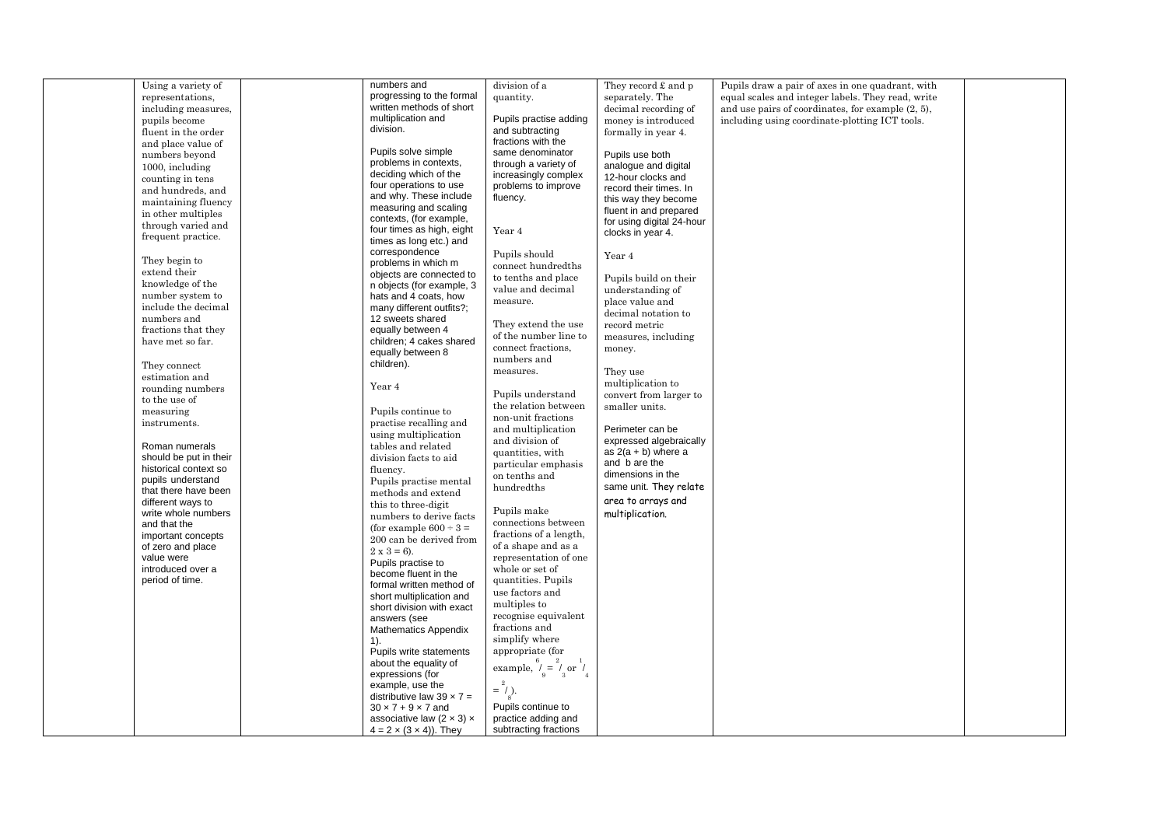| Using a variety of     | numbers and                           | division of a                                         | They record $\pounds$ and $p$ | Pupils draw a pair of axes in one quadrant, with     |  |
|------------------------|---------------------------------------|-------------------------------------------------------|-------------------------------|------------------------------------------------------|--|
| representations.       | progressing to the formal             | quantity.                                             | separately. The               | equal scales and integer labels. They read, write    |  |
| including measures,    | written methods of short              |                                                       | decimal recording of          | and use pairs of coordinates, for example $(2, 5)$ , |  |
|                        | multiplication and                    | Pupils practise adding                                |                               |                                                      |  |
| pupils become          | division.                             |                                                       | money is introduced           | including using coordinate-plotting ICT tools.       |  |
| fluent in the order    |                                       | and subtracting                                       | formally in year 4.           |                                                      |  |
| and place value of     |                                       | fractions with the                                    |                               |                                                      |  |
| numbers beyond         | Pupils solve simple                   | same denominator                                      | Pupils use both               |                                                      |  |
| 1000, including        | problems in contexts,                 | through a variety of                                  | analogue and digital          |                                                      |  |
|                        | deciding which of the                 | increasingly complex                                  | 12-hour clocks and            |                                                      |  |
| counting in tens       | four operations to use                | problems to improve                                   | record their times. In        |                                                      |  |
| and hundreds, and      | and why. These include                | fluency.                                              |                               |                                                      |  |
| maintaining fluency    | measuring and scaling                 |                                                       | this way they become          |                                                      |  |
| in other multiples     |                                       |                                                       | fluent in and prepared        |                                                      |  |
| through varied and     | contexts, (for example,               |                                                       | for using digital 24-hour     |                                                      |  |
| frequent practice.     | four times as high, eight             | Year 4                                                | clocks in year 4.             |                                                      |  |
|                        | times as long etc.) and               |                                                       |                               |                                                      |  |
|                        | correspondence                        | Pupils should                                         | Year 4                        |                                                      |  |
| They begin to          | problems in which m                   | connect hundredths                                    |                               |                                                      |  |
| extend their           | objects are connected to              | to tenths and place                                   | Pupils build on their         |                                                      |  |
| knowledge of the       | n objects (for example, 3             | value and decimal                                     |                               |                                                      |  |
| number system to       | hats and 4 coats, how                 |                                                       | understanding of              |                                                      |  |
| include the decimal    | many different outfits?;              | measure.                                              | place value and               |                                                      |  |
| numbers and            | 12 sweets shared                      |                                                       | decimal notation to           |                                                      |  |
| fractions that they    | equally between 4                     | They extend the use                                   | record metric                 |                                                      |  |
|                        |                                       | of the number line to                                 | measures, including           |                                                      |  |
| have met so far.       | children; 4 cakes shared              | connect fractions.                                    | money.                        |                                                      |  |
|                        | equally between 8                     | numbers and                                           |                               |                                                      |  |
| They connect           | children).                            | measures.                                             |                               |                                                      |  |
| estimation and         |                                       |                                                       | They use                      |                                                      |  |
| rounding numbers       | Year 4                                |                                                       | multiplication to             |                                                      |  |
| to the use of          |                                       | Pupils understand                                     | convert from larger to        |                                                      |  |
|                        |                                       | the relation between                                  | smaller units.                |                                                      |  |
| measuring              | Pupils continue to                    | non-unit fractions                                    |                               |                                                      |  |
| instruments.           | practise recalling and                | and multiplication                                    | Perimeter can be              |                                                      |  |
|                        | using multiplication                  | and division of                                       | expressed algebraically       |                                                      |  |
| Roman numerals         | tables and related                    |                                                       |                               |                                                      |  |
| should be put in their | division facts to aid                 | quantities, with                                      | as $2(a + b)$ where a         |                                                      |  |
| historical context so  | fluency.                              | particular emphasis                                   | and b are the                 |                                                      |  |
| pupils understand      | Pupils practise mental                | on tenths and                                         | dimensions in the             |                                                      |  |
| that there have been   |                                       | hundredths                                            | same unit. They relate        |                                                      |  |
| different ways to      | methods and extend                    |                                                       | area to arrays and            |                                                      |  |
|                        | this to three-digit                   | Pupils make                                           |                               |                                                      |  |
| write whole numbers    | numbers to derive facts               | connections between                                   | multiplication.               |                                                      |  |
| and that the           | (for example $600 \div 3 =$           |                                                       |                               |                                                      |  |
| important concepts     | 200 can be derived from               | fractions of a length,                                |                               |                                                      |  |
| of zero and place      | $2 \times 3 = 6$ ).                   | of a shape and as a                                   |                               |                                                      |  |
| value were             | Pupils practise to                    | representation of one                                 |                               |                                                      |  |
| introduced over a      | become fluent in the                  | whole or set of                                       |                               |                                                      |  |
| period of time.        |                                       | quantities. Pupils                                    |                               |                                                      |  |
|                        | formal written method of              | use factors and                                       |                               |                                                      |  |
|                        | short multiplication and              | multiples to                                          |                               |                                                      |  |
|                        | short division with exact             |                                                       |                               |                                                      |  |
|                        | answers (see                          | recognise equivalent                                  |                               |                                                      |  |
|                        | <b>Mathematics Appendix</b>           | fractions and                                         |                               |                                                      |  |
|                        | 1).                                   | simplify where                                        |                               |                                                      |  |
|                        | Pupils write statements               | appropriate (for                                      |                               |                                                      |  |
|                        | about the equality of                 | example, $\frac{6}{9} = \frac{2}{3}$ or $\frac{1}{4}$ |                               |                                                      |  |
|                        | expressions (for                      |                                                       |                               |                                                      |  |
|                        | example, use the                      |                                                       |                               |                                                      |  |
|                        | distributive law $39 \times 7 =$      | $=$ / ).                                              |                               |                                                      |  |
|                        | $30 \times 7 + 9 \times 7$ and        | Pupils continue to                                    |                               |                                                      |  |
|                        |                                       |                                                       |                               |                                                      |  |
|                        | associative law $(2 \times 3) \times$ | practice adding and                                   |                               |                                                      |  |
|                        | $4 = 2 \times (3 \times 4)$ ). They   | subtracting fractions                                 |                               |                                                      |  |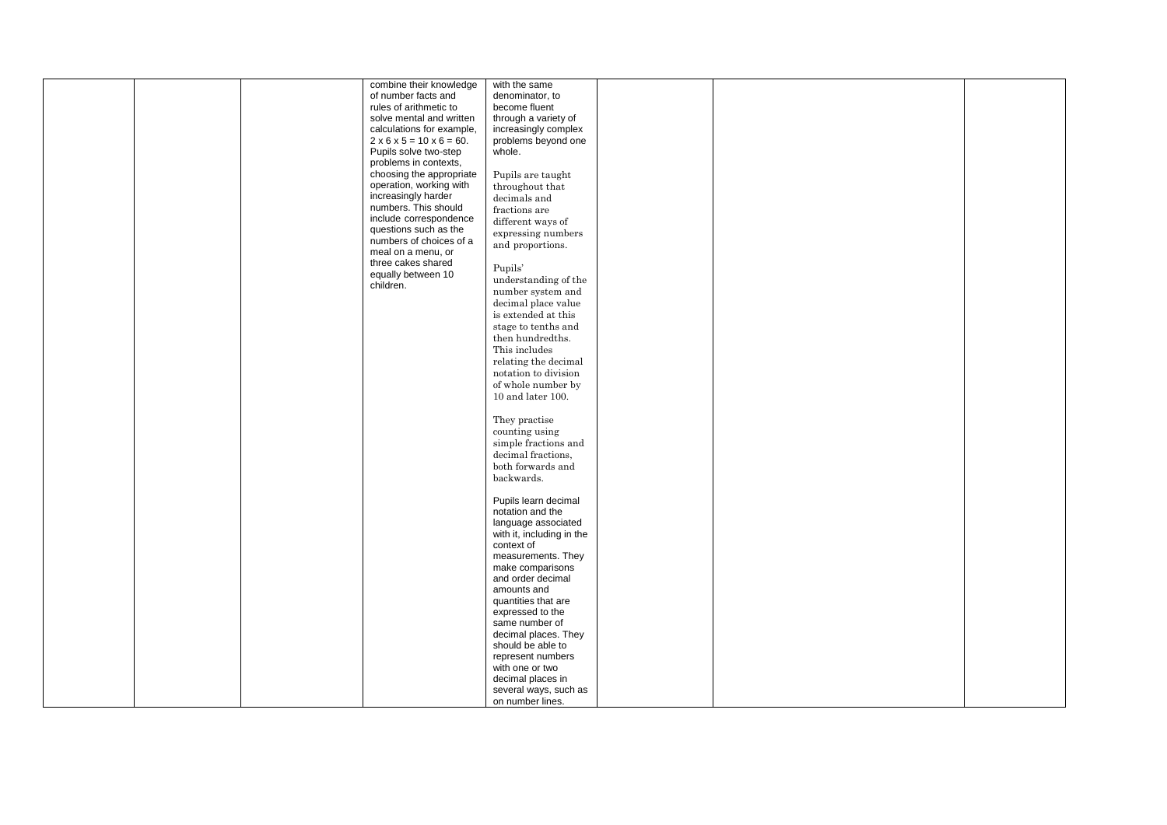| combine their knowledge                   | with the same             |  |  |
|-------------------------------------------|---------------------------|--|--|
| of number facts and                       | denominator, to           |  |  |
| rules of arithmetic to                    | become fluent             |  |  |
|                                           |                           |  |  |
| solve mental and written                  | through a variety of      |  |  |
| calculations for example,                 | increasingly complex      |  |  |
| $2 \times 6 \times 5 = 10 \times 6 = 60.$ | problems beyond one       |  |  |
|                                           |                           |  |  |
| Pupils solve two-step                     | whole.                    |  |  |
| problems in contexts,                     |                           |  |  |
| choosing the appropriate                  | Pupils are taught         |  |  |
| operation, working with                   |                           |  |  |
|                                           | throughout that           |  |  |
| increasingly harder                       | decimals and              |  |  |
| numbers. This should                      | fractions are             |  |  |
| include correspondence                    | different ways of         |  |  |
| questions such as the                     |                           |  |  |
|                                           | expressing numbers        |  |  |
| numbers of choices of a                   | and proportions.          |  |  |
| meal on a menu, or                        |                           |  |  |
| three cakes shared                        | Pupils'                   |  |  |
| equally between 10                        |                           |  |  |
| children.                                 | understanding of the      |  |  |
|                                           | number system and         |  |  |
|                                           | decimal place value       |  |  |
|                                           |                           |  |  |
|                                           | is extended at this       |  |  |
|                                           | stage to tenths and       |  |  |
|                                           | then hundredths.          |  |  |
|                                           |                           |  |  |
|                                           | This includes             |  |  |
|                                           | relating the decimal      |  |  |
|                                           | notation to division      |  |  |
|                                           |                           |  |  |
|                                           | of whole number by        |  |  |
|                                           | $10$ and later $100.$     |  |  |
|                                           |                           |  |  |
|                                           | They practise             |  |  |
|                                           |                           |  |  |
|                                           | counting using            |  |  |
|                                           | simple fractions and      |  |  |
|                                           | decimal fractions,        |  |  |
|                                           |                           |  |  |
|                                           | both forwards and         |  |  |
|                                           | backwards.                |  |  |
|                                           |                           |  |  |
|                                           | Pupils learn decimal      |  |  |
|                                           |                           |  |  |
|                                           | notation and the          |  |  |
|                                           | language associated       |  |  |
|                                           | with it, including in the |  |  |
|                                           | context of                |  |  |
|                                           |                           |  |  |
|                                           | measurements. They        |  |  |
|                                           | make comparisons          |  |  |
|                                           | and order decimal         |  |  |
|                                           | amounts and               |  |  |
|                                           |                           |  |  |
|                                           | quantities that are       |  |  |
|                                           | expressed to the          |  |  |
|                                           | same number of            |  |  |
|                                           | decimal places. They      |  |  |
|                                           |                           |  |  |
|                                           | should be able to         |  |  |
|                                           | represent numbers         |  |  |
|                                           | with one or two           |  |  |
|                                           | decimal places in         |  |  |
|                                           |                           |  |  |
|                                           | several ways, such as     |  |  |
|                                           | on number lines.          |  |  |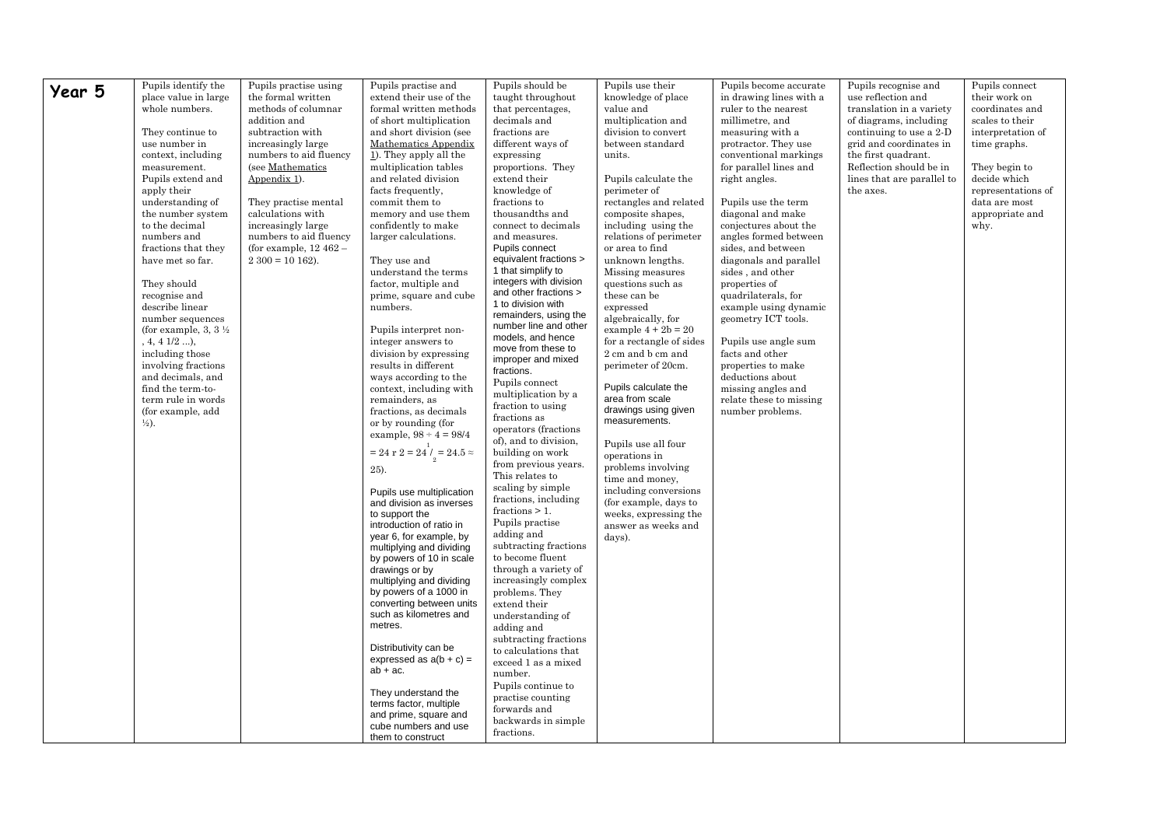| Year 5<br>place value in large<br>use reflection and<br>the formal written<br>extend their use of the<br>taught throughout<br>knowledge of place<br>in drawing lines with a<br>their work on<br>whole numbers.<br>methods of columnar<br>formal written methods<br>that percentages,<br>value and<br>ruler to the nearest<br>translation in a variety<br>coordinates and<br>multiplication and<br>scales to their<br>addition and<br>of short multiplication<br>decimals and<br>millimetre, and<br>of diagrams, including<br>and short division (see<br>They continue to<br>subtraction with<br>fractions are<br>division to convert<br>measuring with a<br>continuing to use a 2-D<br>interpretation of<br>use number in<br>increasingly large<br>Mathematics Appendix<br>different ways of<br>between standard<br>grid and coordinates in<br>protractor. They use<br>time graphs.<br>1). They apply all the<br>context, including<br>numbers to aid fluency<br>expressing<br>conventional markings<br>the first quadrant.<br>units.<br>(see Mathematics<br>multiplication tables<br>proportions. They<br>for parallel lines and<br>Reflection should be in<br>measurement.<br>They begin to<br>Appendix 1).<br>and related division<br>extend their<br>lines that are parallel to<br>decide which<br>Pupils extend and<br>Pupils calculate the<br>right angles.<br>apply their<br>facts frequently,<br>knowledge of<br>representations of<br>perimeter of<br>the axes.<br>commit them to<br>fractions to<br>data are most<br>understanding of<br>They practise mental<br>rectangles and related<br>Pupils use the term<br>the number system<br>calculations with<br>thousandths and<br>memory and use them<br>composite shapes,<br>diagonal and make<br>appropriate and<br>to the decimal<br>confidently to make<br>increasingly large<br>connect to decimals<br>including using the<br>conjectures about the<br>why.<br>numbers and<br>numbers to aid fluency<br>larger calculations.<br>and measures.<br>relations of perimeter<br>angles formed between<br>fractions that they<br>(for example, $12\,462$ –<br>Pupils connect<br>or area to find<br>sides, and between<br>equivalent fractions ><br>unknown lengths.<br>have met so far.<br>$2\,300 = 10\,162$ ).<br>They use and<br>diagonals and parallel<br>1 that simplify to<br>understand the terms<br>Missing measures<br>sides, and other<br>integers with division<br>They should<br>factor, multiple and<br>questions such as<br>properties of<br>and other fractions ><br>prime, square and cube<br>these can be<br>quadrilaterals, for<br>recognise and<br>1 to division with<br>describe linear<br>example using dynamic<br>numbers.<br>expressed<br>remainders, using the<br>number sequences<br>algebraically, for<br>geometry ICT tools.<br>number line and other<br>example $4 + 2b = 20$<br>(for example, 3, 3 $\frac{1}{2}$ )<br>Pupils interpret non-<br>models, and hence<br>$, 4, 4$ $1/2$ ),<br>integer answers to<br>for a rectangle of sides<br>Pupils use angle sum<br>move from these to<br>including those<br>division by expressing<br>2 cm and b cm and<br>facts and other<br>improper and mixed<br>results in different<br>properties to make<br>involving fractions<br>perimeter of 20cm.<br>fractions.<br>and decimals, and<br>ways according to the<br>deductions about<br>Pupils connect<br>Pupils calculate the<br>find the term-to-<br>context, including with<br>missing angles and<br>multiplication by a<br>area from scale<br>term rule in words<br>remainders, as<br>relate these to missing<br>fraction to using<br>drawings using given<br>(for example, add<br>fractions, as decimals<br>number problems.<br>fractions as<br>measurements.<br>or by rounding (for<br>$\frac{1}{2}$ .<br>operators (fractions)<br>example, $98 \div 4 = 98/4$<br>of), and to division,<br>Pupils use all four<br>= 24 r 2 = $24\stackrel{1}{\prime}_2$ = 24.5 $\approx$<br>building on work<br>operations in<br>from previous years.<br>problems involving<br>25).<br>This relates to<br>time and money,<br>scaling by simple<br>including conversions<br>Pupils use multiplication<br>fractions, including<br>(for example, days to<br>and division as inverses<br>fractions $> 1$ .<br>weeks, expressing the<br>to support the<br>Pupils practise<br>introduction of ratio in<br>answer as weeks and<br>adding and<br>year 6, for example, by<br>days).<br>subtracting fractions<br>multiplying and dividing<br>to become fluent<br>by powers of 10 in scale<br>through a variety of<br>drawings or by<br>multiplying and dividing<br>increasingly complex<br>by powers of a 1000 in<br>problems. They<br>converting between units<br>extend their<br>such as kilometres and<br>understanding of<br>metres.<br>adding and<br>subtracting fractions<br>Distributivity can be<br>to calculations that<br>expressed as $a(b + c) =$<br>exceed 1 as a mixed<br>$ab + ac$ .<br>number.<br>Pupils continue to<br>They understand the<br>practise counting<br>terms factor, multiple<br>forwards and<br>and prime, square and<br>backwards in simple<br>cube numbers and use<br>fractions. | Pupils identify the |                       | Pupils practise and | Pupils should be | Pupils use their | Pupils become accurate |                      | Pupils connect |
|------------------------------------------------------------------------------------------------------------------------------------------------------------------------------------------------------------------------------------------------------------------------------------------------------------------------------------------------------------------------------------------------------------------------------------------------------------------------------------------------------------------------------------------------------------------------------------------------------------------------------------------------------------------------------------------------------------------------------------------------------------------------------------------------------------------------------------------------------------------------------------------------------------------------------------------------------------------------------------------------------------------------------------------------------------------------------------------------------------------------------------------------------------------------------------------------------------------------------------------------------------------------------------------------------------------------------------------------------------------------------------------------------------------------------------------------------------------------------------------------------------------------------------------------------------------------------------------------------------------------------------------------------------------------------------------------------------------------------------------------------------------------------------------------------------------------------------------------------------------------------------------------------------------------------------------------------------------------------------------------------------------------------------------------------------------------------------------------------------------------------------------------------------------------------------------------------------------------------------------------------------------------------------------------------------------------------------------------------------------------------------------------------------------------------------------------------------------------------------------------------------------------------------------------------------------------------------------------------------------------------------------------------------------------------------------------------------------------------------------------------------------------------------------------------------------------------------------------------------------------------------------------------------------------------------------------------------------------------------------------------------------------------------------------------------------------------------------------------------------------------------------------------------------------------------------------------------------------------------------------------------------------------------------------------------------------------------------------------------------------------------------------------------------------------------------------------------------------------------------------------------------------------------------------------------------------------------------------------------------------------------------------------------------------------------------------------------------------------------------------------------------------------------------------------------------------------------------------------------------------------------------------------------------------------------------------------------------------------------------------------------------------------------------------------------------------------------------------------------------------------------------------------------------------------------------------------------------------------------------------------------------------------------------------------------------------------------------------------------------------------------------------------------------------------------------------------------------------------------------------------------------------------------------------------------------------------------------------------------------------------------------------------------------------------------------------------------------------------------------------------------------------------------------------------------------------------------------------------------------------------------------------------------------------------------------------------------------------------------------------------------------------------------------------------------------------------------------------------------------------------------------------------------------------|---------------------|-----------------------|---------------------|------------------|------------------|------------------------|----------------------|----------------|
|                                                                                                                                                                                                                                                                                                                                                                                                                                                                                                                                                                                                                                                                                                                                                                                                                                                                                                                                                                                                                                                                                                                                                                                                                                                                                                                                                                                                                                                                                                                                                                                                                                                                                                                                                                                                                                                                                                                                                                                                                                                                                                                                                                                                                                                                                                                                                                                                                                                                                                                                                                                                                                                                                                                                                                                                                                                                                                                                                                                                                                                                                                                                                                                                                                                                                                                                                                                                                                                                                                                                                                                                                                                                                                                                                                                                                                                                                                                                                                                                                                                                                                                                                                                                                                                                                                                                                                                                                                                                                                                                                                                                                                                                                                                                                                                                                                                                                                                                                                                                                                                                                                                                                                        |                     | Pupils practise using |                     |                  |                  |                        | Pupils recognise and |                |
|                                                                                                                                                                                                                                                                                                                                                                                                                                                                                                                                                                                                                                                                                                                                                                                                                                                                                                                                                                                                                                                                                                                                                                                                                                                                                                                                                                                                                                                                                                                                                                                                                                                                                                                                                                                                                                                                                                                                                                                                                                                                                                                                                                                                                                                                                                                                                                                                                                                                                                                                                                                                                                                                                                                                                                                                                                                                                                                                                                                                                                                                                                                                                                                                                                                                                                                                                                                                                                                                                                                                                                                                                                                                                                                                                                                                                                                                                                                                                                                                                                                                                                                                                                                                                                                                                                                                                                                                                                                                                                                                                                                                                                                                                                                                                                                                                                                                                                                                                                                                                                                                                                                                                                        |                     |                       |                     |                  |                  |                        |                      |                |
|                                                                                                                                                                                                                                                                                                                                                                                                                                                                                                                                                                                                                                                                                                                                                                                                                                                                                                                                                                                                                                                                                                                                                                                                                                                                                                                                                                                                                                                                                                                                                                                                                                                                                                                                                                                                                                                                                                                                                                                                                                                                                                                                                                                                                                                                                                                                                                                                                                                                                                                                                                                                                                                                                                                                                                                                                                                                                                                                                                                                                                                                                                                                                                                                                                                                                                                                                                                                                                                                                                                                                                                                                                                                                                                                                                                                                                                                                                                                                                                                                                                                                                                                                                                                                                                                                                                                                                                                                                                                                                                                                                                                                                                                                                                                                                                                                                                                                                                                                                                                                                                                                                                                                                        |                     |                       |                     |                  |                  |                        |                      |                |
|                                                                                                                                                                                                                                                                                                                                                                                                                                                                                                                                                                                                                                                                                                                                                                                                                                                                                                                                                                                                                                                                                                                                                                                                                                                                                                                                                                                                                                                                                                                                                                                                                                                                                                                                                                                                                                                                                                                                                                                                                                                                                                                                                                                                                                                                                                                                                                                                                                                                                                                                                                                                                                                                                                                                                                                                                                                                                                                                                                                                                                                                                                                                                                                                                                                                                                                                                                                                                                                                                                                                                                                                                                                                                                                                                                                                                                                                                                                                                                                                                                                                                                                                                                                                                                                                                                                                                                                                                                                                                                                                                                                                                                                                                                                                                                                                                                                                                                                                                                                                                                                                                                                                                                        |                     |                       |                     |                  |                  |                        |                      |                |
|                                                                                                                                                                                                                                                                                                                                                                                                                                                                                                                                                                                                                                                                                                                                                                                                                                                                                                                                                                                                                                                                                                                                                                                                                                                                                                                                                                                                                                                                                                                                                                                                                                                                                                                                                                                                                                                                                                                                                                                                                                                                                                                                                                                                                                                                                                                                                                                                                                                                                                                                                                                                                                                                                                                                                                                                                                                                                                                                                                                                                                                                                                                                                                                                                                                                                                                                                                                                                                                                                                                                                                                                                                                                                                                                                                                                                                                                                                                                                                                                                                                                                                                                                                                                                                                                                                                                                                                                                                                                                                                                                                                                                                                                                                                                                                                                                                                                                                                                                                                                                                                                                                                                                                        |                     |                       |                     |                  |                  |                        |                      |                |
|                                                                                                                                                                                                                                                                                                                                                                                                                                                                                                                                                                                                                                                                                                                                                                                                                                                                                                                                                                                                                                                                                                                                                                                                                                                                                                                                                                                                                                                                                                                                                                                                                                                                                                                                                                                                                                                                                                                                                                                                                                                                                                                                                                                                                                                                                                                                                                                                                                                                                                                                                                                                                                                                                                                                                                                                                                                                                                                                                                                                                                                                                                                                                                                                                                                                                                                                                                                                                                                                                                                                                                                                                                                                                                                                                                                                                                                                                                                                                                                                                                                                                                                                                                                                                                                                                                                                                                                                                                                                                                                                                                                                                                                                                                                                                                                                                                                                                                                                                                                                                                                                                                                                                                        |                     |                       |                     |                  |                  |                        |                      |                |
|                                                                                                                                                                                                                                                                                                                                                                                                                                                                                                                                                                                                                                                                                                                                                                                                                                                                                                                                                                                                                                                                                                                                                                                                                                                                                                                                                                                                                                                                                                                                                                                                                                                                                                                                                                                                                                                                                                                                                                                                                                                                                                                                                                                                                                                                                                                                                                                                                                                                                                                                                                                                                                                                                                                                                                                                                                                                                                                                                                                                                                                                                                                                                                                                                                                                                                                                                                                                                                                                                                                                                                                                                                                                                                                                                                                                                                                                                                                                                                                                                                                                                                                                                                                                                                                                                                                                                                                                                                                                                                                                                                                                                                                                                                                                                                                                                                                                                                                                                                                                                                                                                                                                                                        |                     |                       |                     |                  |                  |                        |                      |                |
|                                                                                                                                                                                                                                                                                                                                                                                                                                                                                                                                                                                                                                                                                                                                                                                                                                                                                                                                                                                                                                                                                                                                                                                                                                                                                                                                                                                                                                                                                                                                                                                                                                                                                                                                                                                                                                                                                                                                                                                                                                                                                                                                                                                                                                                                                                                                                                                                                                                                                                                                                                                                                                                                                                                                                                                                                                                                                                                                                                                                                                                                                                                                                                                                                                                                                                                                                                                                                                                                                                                                                                                                                                                                                                                                                                                                                                                                                                                                                                                                                                                                                                                                                                                                                                                                                                                                                                                                                                                                                                                                                                                                                                                                                                                                                                                                                                                                                                                                                                                                                                                                                                                                                                        |                     |                       |                     |                  |                  |                        |                      |                |
|                                                                                                                                                                                                                                                                                                                                                                                                                                                                                                                                                                                                                                                                                                                                                                                                                                                                                                                                                                                                                                                                                                                                                                                                                                                                                                                                                                                                                                                                                                                                                                                                                                                                                                                                                                                                                                                                                                                                                                                                                                                                                                                                                                                                                                                                                                                                                                                                                                                                                                                                                                                                                                                                                                                                                                                                                                                                                                                                                                                                                                                                                                                                                                                                                                                                                                                                                                                                                                                                                                                                                                                                                                                                                                                                                                                                                                                                                                                                                                                                                                                                                                                                                                                                                                                                                                                                                                                                                                                                                                                                                                                                                                                                                                                                                                                                                                                                                                                                                                                                                                                                                                                                                                        |                     |                       |                     |                  |                  |                        |                      |                |
|                                                                                                                                                                                                                                                                                                                                                                                                                                                                                                                                                                                                                                                                                                                                                                                                                                                                                                                                                                                                                                                                                                                                                                                                                                                                                                                                                                                                                                                                                                                                                                                                                                                                                                                                                                                                                                                                                                                                                                                                                                                                                                                                                                                                                                                                                                                                                                                                                                                                                                                                                                                                                                                                                                                                                                                                                                                                                                                                                                                                                                                                                                                                                                                                                                                                                                                                                                                                                                                                                                                                                                                                                                                                                                                                                                                                                                                                                                                                                                                                                                                                                                                                                                                                                                                                                                                                                                                                                                                                                                                                                                                                                                                                                                                                                                                                                                                                                                                                                                                                                                                                                                                                                                        |                     |                       |                     |                  |                  |                        |                      |                |
|                                                                                                                                                                                                                                                                                                                                                                                                                                                                                                                                                                                                                                                                                                                                                                                                                                                                                                                                                                                                                                                                                                                                                                                                                                                                                                                                                                                                                                                                                                                                                                                                                                                                                                                                                                                                                                                                                                                                                                                                                                                                                                                                                                                                                                                                                                                                                                                                                                                                                                                                                                                                                                                                                                                                                                                                                                                                                                                                                                                                                                                                                                                                                                                                                                                                                                                                                                                                                                                                                                                                                                                                                                                                                                                                                                                                                                                                                                                                                                                                                                                                                                                                                                                                                                                                                                                                                                                                                                                                                                                                                                                                                                                                                                                                                                                                                                                                                                                                                                                                                                                                                                                                                                        |                     |                       |                     |                  |                  |                        |                      |                |
|                                                                                                                                                                                                                                                                                                                                                                                                                                                                                                                                                                                                                                                                                                                                                                                                                                                                                                                                                                                                                                                                                                                                                                                                                                                                                                                                                                                                                                                                                                                                                                                                                                                                                                                                                                                                                                                                                                                                                                                                                                                                                                                                                                                                                                                                                                                                                                                                                                                                                                                                                                                                                                                                                                                                                                                                                                                                                                                                                                                                                                                                                                                                                                                                                                                                                                                                                                                                                                                                                                                                                                                                                                                                                                                                                                                                                                                                                                                                                                                                                                                                                                                                                                                                                                                                                                                                                                                                                                                                                                                                                                                                                                                                                                                                                                                                                                                                                                                                                                                                                                                                                                                                                                        |                     |                       |                     |                  |                  |                        |                      |                |
|                                                                                                                                                                                                                                                                                                                                                                                                                                                                                                                                                                                                                                                                                                                                                                                                                                                                                                                                                                                                                                                                                                                                                                                                                                                                                                                                                                                                                                                                                                                                                                                                                                                                                                                                                                                                                                                                                                                                                                                                                                                                                                                                                                                                                                                                                                                                                                                                                                                                                                                                                                                                                                                                                                                                                                                                                                                                                                                                                                                                                                                                                                                                                                                                                                                                                                                                                                                                                                                                                                                                                                                                                                                                                                                                                                                                                                                                                                                                                                                                                                                                                                                                                                                                                                                                                                                                                                                                                                                                                                                                                                                                                                                                                                                                                                                                                                                                                                                                                                                                                                                                                                                                                                        |                     |                       |                     |                  |                  |                        |                      |                |
|                                                                                                                                                                                                                                                                                                                                                                                                                                                                                                                                                                                                                                                                                                                                                                                                                                                                                                                                                                                                                                                                                                                                                                                                                                                                                                                                                                                                                                                                                                                                                                                                                                                                                                                                                                                                                                                                                                                                                                                                                                                                                                                                                                                                                                                                                                                                                                                                                                                                                                                                                                                                                                                                                                                                                                                                                                                                                                                                                                                                                                                                                                                                                                                                                                                                                                                                                                                                                                                                                                                                                                                                                                                                                                                                                                                                                                                                                                                                                                                                                                                                                                                                                                                                                                                                                                                                                                                                                                                                                                                                                                                                                                                                                                                                                                                                                                                                                                                                                                                                                                                                                                                                                                        |                     |                       |                     |                  |                  |                        |                      |                |
|                                                                                                                                                                                                                                                                                                                                                                                                                                                                                                                                                                                                                                                                                                                                                                                                                                                                                                                                                                                                                                                                                                                                                                                                                                                                                                                                                                                                                                                                                                                                                                                                                                                                                                                                                                                                                                                                                                                                                                                                                                                                                                                                                                                                                                                                                                                                                                                                                                                                                                                                                                                                                                                                                                                                                                                                                                                                                                                                                                                                                                                                                                                                                                                                                                                                                                                                                                                                                                                                                                                                                                                                                                                                                                                                                                                                                                                                                                                                                                                                                                                                                                                                                                                                                                                                                                                                                                                                                                                                                                                                                                                                                                                                                                                                                                                                                                                                                                                                                                                                                                                                                                                                                                        |                     |                       |                     |                  |                  |                        |                      |                |
|                                                                                                                                                                                                                                                                                                                                                                                                                                                                                                                                                                                                                                                                                                                                                                                                                                                                                                                                                                                                                                                                                                                                                                                                                                                                                                                                                                                                                                                                                                                                                                                                                                                                                                                                                                                                                                                                                                                                                                                                                                                                                                                                                                                                                                                                                                                                                                                                                                                                                                                                                                                                                                                                                                                                                                                                                                                                                                                                                                                                                                                                                                                                                                                                                                                                                                                                                                                                                                                                                                                                                                                                                                                                                                                                                                                                                                                                                                                                                                                                                                                                                                                                                                                                                                                                                                                                                                                                                                                                                                                                                                                                                                                                                                                                                                                                                                                                                                                                                                                                                                                                                                                                                                        |                     |                       |                     |                  |                  |                        |                      |                |
|                                                                                                                                                                                                                                                                                                                                                                                                                                                                                                                                                                                                                                                                                                                                                                                                                                                                                                                                                                                                                                                                                                                                                                                                                                                                                                                                                                                                                                                                                                                                                                                                                                                                                                                                                                                                                                                                                                                                                                                                                                                                                                                                                                                                                                                                                                                                                                                                                                                                                                                                                                                                                                                                                                                                                                                                                                                                                                                                                                                                                                                                                                                                                                                                                                                                                                                                                                                                                                                                                                                                                                                                                                                                                                                                                                                                                                                                                                                                                                                                                                                                                                                                                                                                                                                                                                                                                                                                                                                                                                                                                                                                                                                                                                                                                                                                                                                                                                                                                                                                                                                                                                                                                                        |                     |                       |                     |                  |                  |                        |                      |                |
|                                                                                                                                                                                                                                                                                                                                                                                                                                                                                                                                                                                                                                                                                                                                                                                                                                                                                                                                                                                                                                                                                                                                                                                                                                                                                                                                                                                                                                                                                                                                                                                                                                                                                                                                                                                                                                                                                                                                                                                                                                                                                                                                                                                                                                                                                                                                                                                                                                                                                                                                                                                                                                                                                                                                                                                                                                                                                                                                                                                                                                                                                                                                                                                                                                                                                                                                                                                                                                                                                                                                                                                                                                                                                                                                                                                                                                                                                                                                                                                                                                                                                                                                                                                                                                                                                                                                                                                                                                                                                                                                                                                                                                                                                                                                                                                                                                                                                                                                                                                                                                                                                                                                                                        |                     |                       |                     |                  |                  |                        |                      |                |
|                                                                                                                                                                                                                                                                                                                                                                                                                                                                                                                                                                                                                                                                                                                                                                                                                                                                                                                                                                                                                                                                                                                                                                                                                                                                                                                                                                                                                                                                                                                                                                                                                                                                                                                                                                                                                                                                                                                                                                                                                                                                                                                                                                                                                                                                                                                                                                                                                                                                                                                                                                                                                                                                                                                                                                                                                                                                                                                                                                                                                                                                                                                                                                                                                                                                                                                                                                                                                                                                                                                                                                                                                                                                                                                                                                                                                                                                                                                                                                                                                                                                                                                                                                                                                                                                                                                                                                                                                                                                                                                                                                                                                                                                                                                                                                                                                                                                                                                                                                                                                                                                                                                                                                        |                     |                       |                     |                  |                  |                        |                      |                |
|                                                                                                                                                                                                                                                                                                                                                                                                                                                                                                                                                                                                                                                                                                                                                                                                                                                                                                                                                                                                                                                                                                                                                                                                                                                                                                                                                                                                                                                                                                                                                                                                                                                                                                                                                                                                                                                                                                                                                                                                                                                                                                                                                                                                                                                                                                                                                                                                                                                                                                                                                                                                                                                                                                                                                                                                                                                                                                                                                                                                                                                                                                                                                                                                                                                                                                                                                                                                                                                                                                                                                                                                                                                                                                                                                                                                                                                                                                                                                                                                                                                                                                                                                                                                                                                                                                                                                                                                                                                                                                                                                                                                                                                                                                                                                                                                                                                                                                                                                                                                                                                                                                                                                                        |                     |                       |                     |                  |                  |                        |                      |                |
|                                                                                                                                                                                                                                                                                                                                                                                                                                                                                                                                                                                                                                                                                                                                                                                                                                                                                                                                                                                                                                                                                                                                                                                                                                                                                                                                                                                                                                                                                                                                                                                                                                                                                                                                                                                                                                                                                                                                                                                                                                                                                                                                                                                                                                                                                                                                                                                                                                                                                                                                                                                                                                                                                                                                                                                                                                                                                                                                                                                                                                                                                                                                                                                                                                                                                                                                                                                                                                                                                                                                                                                                                                                                                                                                                                                                                                                                                                                                                                                                                                                                                                                                                                                                                                                                                                                                                                                                                                                                                                                                                                                                                                                                                                                                                                                                                                                                                                                                                                                                                                                                                                                                                                        |                     |                       |                     |                  |                  |                        |                      |                |
|                                                                                                                                                                                                                                                                                                                                                                                                                                                                                                                                                                                                                                                                                                                                                                                                                                                                                                                                                                                                                                                                                                                                                                                                                                                                                                                                                                                                                                                                                                                                                                                                                                                                                                                                                                                                                                                                                                                                                                                                                                                                                                                                                                                                                                                                                                                                                                                                                                                                                                                                                                                                                                                                                                                                                                                                                                                                                                                                                                                                                                                                                                                                                                                                                                                                                                                                                                                                                                                                                                                                                                                                                                                                                                                                                                                                                                                                                                                                                                                                                                                                                                                                                                                                                                                                                                                                                                                                                                                                                                                                                                                                                                                                                                                                                                                                                                                                                                                                                                                                                                                                                                                                                                        |                     |                       |                     |                  |                  |                        |                      |                |
|                                                                                                                                                                                                                                                                                                                                                                                                                                                                                                                                                                                                                                                                                                                                                                                                                                                                                                                                                                                                                                                                                                                                                                                                                                                                                                                                                                                                                                                                                                                                                                                                                                                                                                                                                                                                                                                                                                                                                                                                                                                                                                                                                                                                                                                                                                                                                                                                                                                                                                                                                                                                                                                                                                                                                                                                                                                                                                                                                                                                                                                                                                                                                                                                                                                                                                                                                                                                                                                                                                                                                                                                                                                                                                                                                                                                                                                                                                                                                                                                                                                                                                                                                                                                                                                                                                                                                                                                                                                                                                                                                                                                                                                                                                                                                                                                                                                                                                                                                                                                                                                                                                                                                                        |                     |                       |                     |                  |                  |                        |                      |                |
|                                                                                                                                                                                                                                                                                                                                                                                                                                                                                                                                                                                                                                                                                                                                                                                                                                                                                                                                                                                                                                                                                                                                                                                                                                                                                                                                                                                                                                                                                                                                                                                                                                                                                                                                                                                                                                                                                                                                                                                                                                                                                                                                                                                                                                                                                                                                                                                                                                                                                                                                                                                                                                                                                                                                                                                                                                                                                                                                                                                                                                                                                                                                                                                                                                                                                                                                                                                                                                                                                                                                                                                                                                                                                                                                                                                                                                                                                                                                                                                                                                                                                                                                                                                                                                                                                                                                                                                                                                                                                                                                                                                                                                                                                                                                                                                                                                                                                                                                                                                                                                                                                                                                                                        |                     |                       |                     |                  |                  |                        |                      |                |
|                                                                                                                                                                                                                                                                                                                                                                                                                                                                                                                                                                                                                                                                                                                                                                                                                                                                                                                                                                                                                                                                                                                                                                                                                                                                                                                                                                                                                                                                                                                                                                                                                                                                                                                                                                                                                                                                                                                                                                                                                                                                                                                                                                                                                                                                                                                                                                                                                                                                                                                                                                                                                                                                                                                                                                                                                                                                                                                                                                                                                                                                                                                                                                                                                                                                                                                                                                                                                                                                                                                                                                                                                                                                                                                                                                                                                                                                                                                                                                                                                                                                                                                                                                                                                                                                                                                                                                                                                                                                                                                                                                                                                                                                                                                                                                                                                                                                                                                                                                                                                                                                                                                                                                        |                     |                       |                     |                  |                  |                        |                      |                |
|                                                                                                                                                                                                                                                                                                                                                                                                                                                                                                                                                                                                                                                                                                                                                                                                                                                                                                                                                                                                                                                                                                                                                                                                                                                                                                                                                                                                                                                                                                                                                                                                                                                                                                                                                                                                                                                                                                                                                                                                                                                                                                                                                                                                                                                                                                                                                                                                                                                                                                                                                                                                                                                                                                                                                                                                                                                                                                                                                                                                                                                                                                                                                                                                                                                                                                                                                                                                                                                                                                                                                                                                                                                                                                                                                                                                                                                                                                                                                                                                                                                                                                                                                                                                                                                                                                                                                                                                                                                                                                                                                                                                                                                                                                                                                                                                                                                                                                                                                                                                                                                                                                                                                                        |                     |                       |                     |                  |                  |                        |                      |                |
|                                                                                                                                                                                                                                                                                                                                                                                                                                                                                                                                                                                                                                                                                                                                                                                                                                                                                                                                                                                                                                                                                                                                                                                                                                                                                                                                                                                                                                                                                                                                                                                                                                                                                                                                                                                                                                                                                                                                                                                                                                                                                                                                                                                                                                                                                                                                                                                                                                                                                                                                                                                                                                                                                                                                                                                                                                                                                                                                                                                                                                                                                                                                                                                                                                                                                                                                                                                                                                                                                                                                                                                                                                                                                                                                                                                                                                                                                                                                                                                                                                                                                                                                                                                                                                                                                                                                                                                                                                                                                                                                                                                                                                                                                                                                                                                                                                                                                                                                                                                                                                                                                                                                                                        |                     |                       |                     |                  |                  |                        |                      |                |
|                                                                                                                                                                                                                                                                                                                                                                                                                                                                                                                                                                                                                                                                                                                                                                                                                                                                                                                                                                                                                                                                                                                                                                                                                                                                                                                                                                                                                                                                                                                                                                                                                                                                                                                                                                                                                                                                                                                                                                                                                                                                                                                                                                                                                                                                                                                                                                                                                                                                                                                                                                                                                                                                                                                                                                                                                                                                                                                                                                                                                                                                                                                                                                                                                                                                                                                                                                                                                                                                                                                                                                                                                                                                                                                                                                                                                                                                                                                                                                                                                                                                                                                                                                                                                                                                                                                                                                                                                                                                                                                                                                                                                                                                                                                                                                                                                                                                                                                                                                                                                                                                                                                                                                        |                     |                       |                     |                  |                  |                        |                      |                |
|                                                                                                                                                                                                                                                                                                                                                                                                                                                                                                                                                                                                                                                                                                                                                                                                                                                                                                                                                                                                                                                                                                                                                                                                                                                                                                                                                                                                                                                                                                                                                                                                                                                                                                                                                                                                                                                                                                                                                                                                                                                                                                                                                                                                                                                                                                                                                                                                                                                                                                                                                                                                                                                                                                                                                                                                                                                                                                                                                                                                                                                                                                                                                                                                                                                                                                                                                                                                                                                                                                                                                                                                                                                                                                                                                                                                                                                                                                                                                                                                                                                                                                                                                                                                                                                                                                                                                                                                                                                                                                                                                                                                                                                                                                                                                                                                                                                                                                                                                                                                                                                                                                                                                                        |                     |                       |                     |                  |                  |                        |                      |                |
|                                                                                                                                                                                                                                                                                                                                                                                                                                                                                                                                                                                                                                                                                                                                                                                                                                                                                                                                                                                                                                                                                                                                                                                                                                                                                                                                                                                                                                                                                                                                                                                                                                                                                                                                                                                                                                                                                                                                                                                                                                                                                                                                                                                                                                                                                                                                                                                                                                                                                                                                                                                                                                                                                                                                                                                                                                                                                                                                                                                                                                                                                                                                                                                                                                                                                                                                                                                                                                                                                                                                                                                                                                                                                                                                                                                                                                                                                                                                                                                                                                                                                                                                                                                                                                                                                                                                                                                                                                                                                                                                                                                                                                                                                                                                                                                                                                                                                                                                                                                                                                                                                                                                                                        |                     |                       |                     |                  |                  |                        |                      |                |
|                                                                                                                                                                                                                                                                                                                                                                                                                                                                                                                                                                                                                                                                                                                                                                                                                                                                                                                                                                                                                                                                                                                                                                                                                                                                                                                                                                                                                                                                                                                                                                                                                                                                                                                                                                                                                                                                                                                                                                                                                                                                                                                                                                                                                                                                                                                                                                                                                                                                                                                                                                                                                                                                                                                                                                                                                                                                                                                                                                                                                                                                                                                                                                                                                                                                                                                                                                                                                                                                                                                                                                                                                                                                                                                                                                                                                                                                                                                                                                                                                                                                                                                                                                                                                                                                                                                                                                                                                                                                                                                                                                                                                                                                                                                                                                                                                                                                                                                                                                                                                                                                                                                                                                        |                     |                       |                     |                  |                  |                        |                      |                |
|                                                                                                                                                                                                                                                                                                                                                                                                                                                                                                                                                                                                                                                                                                                                                                                                                                                                                                                                                                                                                                                                                                                                                                                                                                                                                                                                                                                                                                                                                                                                                                                                                                                                                                                                                                                                                                                                                                                                                                                                                                                                                                                                                                                                                                                                                                                                                                                                                                                                                                                                                                                                                                                                                                                                                                                                                                                                                                                                                                                                                                                                                                                                                                                                                                                                                                                                                                                                                                                                                                                                                                                                                                                                                                                                                                                                                                                                                                                                                                                                                                                                                                                                                                                                                                                                                                                                                                                                                                                                                                                                                                                                                                                                                                                                                                                                                                                                                                                                                                                                                                                                                                                                                                        |                     |                       |                     |                  |                  |                        |                      |                |
|                                                                                                                                                                                                                                                                                                                                                                                                                                                                                                                                                                                                                                                                                                                                                                                                                                                                                                                                                                                                                                                                                                                                                                                                                                                                                                                                                                                                                                                                                                                                                                                                                                                                                                                                                                                                                                                                                                                                                                                                                                                                                                                                                                                                                                                                                                                                                                                                                                                                                                                                                                                                                                                                                                                                                                                                                                                                                                                                                                                                                                                                                                                                                                                                                                                                                                                                                                                                                                                                                                                                                                                                                                                                                                                                                                                                                                                                                                                                                                                                                                                                                                                                                                                                                                                                                                                                                                                                                                                                                                                                                                                                                                                                                                                                                                                                                                                                                                                                                                                                                                                                                                                                                                        |                     |                       |                     |                  |                  |                        |                      |                |
|                                                                                                                                                                                                                                                                                                                                                                                                                                                                                                                                                                                                                                                                                                                                                                                                                                                                                                                                                                                                                                                                                                                                                                                                                                                                                                                                                                                                                                                                                                                                                                                                                                                                                                                                                                                                                                                                                                                                                                                                                                                                                                                                                                                                                                                                                                                                                                                                                                                                                                                                                                                                                                                                                                                                                                                                                                                                                                                                                                                                                                                                                                                                                                                                                                                                                                                                                                                                                                                                                                                                                                                                                                                                                                                                                                                                                                                                                                                                                                                                                                                                                                                                                                                                                                                                                                                                                                                                                                                                                                                                                                                                                                                                                                                                                                                                                                                                                                                                                                                                                                                                                                                                                                        |                     |                       |                     |                  |                  |                        |                      |                |
|                                                                                                                                                                                                                                                                                                                                                                                                                                                                                                                                                                                                                                                                                                                                                                                                                                                                                                                                                                                                                                                                                                                                                                                                                                                                                                                                                                                                                                                                                                                                                                                                                                                                                                                                                                                                                                                                                                                                                                                                                                                                                                                                                                                                                                                                                                                                                                                                                                                                                                                                                                                                                                                                                                                                                                                                                                                                                                                                                                                                                                                                                                                                                                                                                                                                                                                                                                                                                                                                                                                                                                                                                                                                                                                                                                                                                                                                                                                                                                                                                                                                                                                                                                                                                                                                                                                                                                                                                                                                                                                                                                                                                                                                                                                                                                                                                                                                                                                                                                                                                                                                                                                                                                        |                     |                       |                     |                  |                  |                        |                      |                |
|                                                                                                                                                                                                                                                                                                                                                                                                                                                                                                                                                                                                                                                                                                                                                                                                                                                                                                                                                                                                                                                                                                                                                                                                                                                                                                                                                                                                                                                                                                                                                                                                                                                                                                                                                                                                                                                                                                                                                                                                                                                                                                                                                                                                                                                                                                                                                                                                                                                                                                                                                                                                                                                                                                                                                                                                                                                                                                                                                                                                                                                                                                                                                                                                                                                                                                                                                                                                                                                                                                                                                                                                                                                                                                                                                                                                                                                                                                                                                                                                                                                                                                                                                                                                                                                                                                                                                                                                                                                                                                                                                                                                                                                                                                                                                                                                                                                                                                                                                                                                                                                                                                                                                                        |                     |                       |                     |                  |                  |                        |                      |                |
|                                                                                                                                                                                                                                                                                                                                                                                                                                                                                                                                                                                                                                                                                                                                                                                                                                                                                                                                                                                                                                                                                                                                                                                                                                                                                                                                                                                                                                                                                                                                                                                                                                                                                                                                                                                                                                                                                                                                                                                                                                                                                                                                                                                                                                                                                                                                                                                                                                                                                                                                                                                                                                                                                                                                                                                                                                                                                                                                                                                                                                                                                                                                                                                                                                                                                                                                                                                                                                                                                                                                                                                                                                                                                                                                                                                                                                                                                                                                                                                                                                                                                                                                                                                                                                                                                                                                                                                                                                                                                                                                                                                                                                                                                                                                                                                                                                                                                                                                                                                                                                                                                                                                                                        |                     |                       |                     |                  |                  |                        |                      |                |
|                                                                                                                                                                                                                                                                                                                                                                                                                                                                                                                                                                                                                                                                                                                                                                                                                                                                                                                                                                                                                                                                                                                                                                                                                                                                                                                                                                                                                                                                                                                                                                                                                                                                                                                                                                                                                                                                                                                                                                                                                                                                                                                                                                                                                                                                                                                                                                                                                                                                                                                                                                                                                                                                                                                                                                                                                                                                                                                                                                                                                                                                                                                                                                                                                                                                                                                                                                                                                                                                                                                                                                                                                                                                                                                                                                                                                                                                                                                                                                                                                                                                                                                                                                                                                                                                                                                                                                                                                                                                                                                                                                                                                                                                                                                                                                                                                                                                                                                                                                                                                                                                                                                                                                        |                     |                       |                     |                  |                  |                        |                      |                |
|                                                                                                                                                                                                                                                                                                                                                                                                                                                                                                                                                                                                                                                                                                                                                                                                                                                                                                                                                                                                                                                                                                                                                                                                                                                                                                                                                                                                                                                                                                                                                                                                                                                                                                                                                                                                                                                                                                                                                                                                                                                                                                                                                                                                                                                                                                                                                                                                                                                                                                                                                                                                                                                                                                                                                                                                                                                                                                                                                                                                                                                                                                                                                                                                                                                                                                                                                                                                                                                                                                                                                                                                                                                                                                                                                                                                                                                                                                                                                                                                                                                                                                                                                                                                                                                                                                                                                                                                                                                                                                                                                                                                                                                                                                                                                                                                                                                                                                                                                                                                                                                                                                                                                                        |                     |                       |                     |                  |                  |                        |                      |                |
|                                                                                                                                                                                                                                                                                                                                                                                                                                                                                                                                                                                                                                                                                                                                                                                                                                                                                                                                                                                                                                                                                                                                                                                                                                                                                                                                                                                                                                                                                                                                                                                                                                                                                                                                                                                                                                                                                                                                                                                                                                                                                                                                                                                                                                                                                                                                                                                                                                                                                                                                                                                                                                                                                                                                                                                                                                                                                                                                                                                                                                                                                                                                                                                                                                                                                                                                                                                                                                                                                                                                                                                                                                                                                                                                                                                                                                                                                                                                                                                                                                                                                                                                                                                                                                                                                                                                                                                                                                                                                                                                                                                                                                                                                                                                                                                                                                                                                                                                                                                                                                                                                                                                                                        |                     |                       |                     |                  |                  |                        |                      |                |
|                                                                                                                                                                                                                                                                                                                                                                                                                                                                                                                                                                                                                                                                                                                                                                                                                                                                                                                                                                                                                                                                                                                                                                                                                                                                                                                                                                                                                                                                                                                                                                                                                                                                                                                                                                                                                                                                                                                                                                                                                                                                                                                                                                                                                                                                                                                                                                                                                                                                                                                                                                                                                                                                                                                                                                                                                                                                                                                                                                                                                                                                                                                                                                                                                                                                                                                                                                                                                                                                                                                                                                                                                                                                                                                                                                                                                                                                                                                                                                                                                                                                                                                                                                                                                                                                                                                                                                                                                                                                                                                                                                                                                                                                                                                                                                                                                                                                                                                                                                                                                                                                                                                                                                        |                     |                       |                     |                  |                  |                        |                      |                |
|                                                                                                                                                                                                                                                                                                                                                                                                                                                                                                                                                                                                                                                                                                                                                                                                                                                                                                                                                                                                                                                                                                                                                                                                                                                                                                                                                                                                                                                                                                                                                                                                                                                                                                                                                                                                                                                                                                                                                                                                                                                                                                                                                                                                                                                                                                                                                                                                                                                                                                                                                                                                                                                                                                                                                                                                                                                                                                                                                                                                                                                                                                                                                                                                                                                                                                                                                                                                                                                                                                                                                                                                                                                                                                                                                                                                                                                                                                                                                                                                                                                                                                                                                                                                                                                                                                                                                                                                                                                                                                                                                                                                                                                                                                                                                                                                                                                                                                                                                                                                                                                                                                                                                                        |                     |                       |                     |                  |                  |                        |                      |                |
|                                                                                                                                                                                                                                                                                                                                                                                                                                                                                                                                                                                                                                                                                                                                                                                                                                                                                                                                                                                                                                                                                                                                                                                                                                                                                                                                                                                                                                                                                                                                                                                                                                                                                                                                                                                                                                                                                                                                                                                                                                                                                                                                                                                                                                                                                                                                                                                                                                                                                                                                                                                                                                                                                                                                                                                                                                                                                                                                                                                                                                                                                                                                                                                                                                                                                                                                                                                                                                                                                                                                                                                                                                                                                                                                                                                                                                                                                                                                                                                                                                                                                                                                                                                                                                                                                                                                                                                                                                                                                                                                                                                                                                                                                                                                                                                                                                                                                                                                                                                                                                                                                                                                                                        |                     |                       |                     |                  |                  |                        |                      |                |
|                                                                                                                                                                                                                                                                                                                                                                                                                                                                                                                                                                                                                                                                                                                                                                                                                                                                                                                                                                                                                                                                                                                                                                                                                                                                                                                                                                                                                                                                                                                                                                                                                                                                                                                                                                                                                                                                                                                                                                                                                                                                                                                                                                                                                                                                                                                                                                                                                                                                                                                                                                                                                                                                                                                                                                                                                                                                                                                                                                                                                                                                                                                                                                                                                                                                                                                                                                                                                                                                                                                                                                                                                                                                                                                                                                                                                                                                                                                                                                                                                                                                                                                                                                                                                                                                                                                                                                                                                                                                                                                                                                                                                                                                                                                                                                                                                                                                                                                                                                                                                                                                                                                                                                        |                     |                       |                     |                  |                  |                        |                      |                |
|                                                                                                                                                                                                                                                                                                                                                                                                                                                                                                                                                                                                                                                                                                                                                                                                                                                                                                                                                                                                                                                                                                                                                                                                                                                                                                                                                                                                                                                                                                                                                                                                                                                                                                                                                                                                                                                                                                                                                                                                                                                                                                                                                                                                                                                                                                                                                                                                                                                                                                                                                                                                                                                                                                                                                                                                                                                                                                                                                                                                                                                                                                                                                                                                                                                                                                                                                                                                                                                                                                                                                                                                                                                                                                                                                                                                                                                                                                                                                                                                                                                                                                                                                                                                                                                                                                                                                                                                                                                                                                                                                                                                                                                                                                                                                                                                                                                                                                                                                                                                                                                                                                                                                                        |                     |                       |                     |                  |                  |                        |                      |                |
|                                                                                                                                                                                                                                                                                                                                                                                                                                                                                                                                                                                                                                                                                                                                                                                                                                                                                                                                                                                                                                                                                                                                                                                                                                                                                                                                                                                                                                                                                                                                                                                                                                                                                                                                                                                                                                                                                                                                                                                                                                                                                                                                                                                                                                                                                                                                                                                                                                                                                                                                                                                                                                                                                                                                                                                                                                                                                                                                                                                                                                                                                                                                                                                                                                                                                                                                                                                                                                                                                                                                                                                                                                                                                                                                                                                                                                                                                                                                                                                                                                                                                                                                                                                                                                                                                                                                                                                                                                                                                                                                                                                                                                                                                                                                                                                                                                                                                                                                                                                                                                                                                                                                                                        |                     |                       |                     |                  |                  |                        |                      |                |
|                                                                                                                                                                                                                                                                                                                                                                                                                                                                                                                                                                                                                                                                                                                                                                                                                                                                                                                                                                                                                                                                                                                                                                                                                                                                                                                                                                                                                                                                                                                                                                                                                                                                                                                                                                                                                                                                                                                                                                                                                                                                                                                                                                                                                                                                                                                                                                                                                                                                                                                                                                                                                                                                                                                                                                                                                                                                                                                                                                                                                                                                                                                                                                                                                                                                                                                                                                                                                                                                                                                                                                                                                                                                                                                                                                                                                                                                                                                                                                                                                                                                                                                                                                                                                                                                                                                                                                                                                                                                                                                                                                                                                                                                                                                                                                                                                                                                                                                                                                                                                                                                                                                                                                        |                     |                       |                     |                  |                  |                        |                      |                |
|                                                                                                                                                                                                                                                                                                                                                                                                                                                                                                                                                                                                                                                                                                                                                                                                                                                                                                                                                                                                                                                                                                                                                                                                                                                                                                                                                                                                                                                                                                                                                                                                                                                                                                                                                                                                                                                                                                                                                                                                                                                                                                                                                                                                                                                                                                                                                                                                                                                                                                                                                                                                                                                                                                                                                                                                                                                                                                                                                                                                                                                                                                                                                                                                                                                                                                                                                                                                                                                                                                                                                                                                                                                                                                                                                                                                                                                                                                                                                                                                                                                                                                                                                                                                                                                                                                                                                                                                                                                                                                                                                                                                                                                                                                                                                                                                                                                                                                                                                                                                                                                                                                                                                                        |                     |                       |                     |                  |                  |                        |                      |                |
|                                                                                                                                                                                                                                                                                                                                                                                                                                                                                                                                                                                                                                                                                                                                                                                                                                                                                                                                                                                                                                                                                                                                                                                                                                                                                                                                                                                                                                                                                                                                                                                                                                                                                                                                                                                                                                                                                                                                                                                                                                                                                                                                                                                                                                                                                                                                                                                                                                                                                                                                                                                                                                                                                                                                                                                                                                                                                                                                                                                                                                                                                                                                                                                                                                                                                                                                                                                                                                                                                                                                                                                                                                                                                                                                                                                                                                                                                                                                                                                                                                                                                                                                                                                                                                                                                                                                                                                                                                                                                                                                                                                                                                                                                                                                                                                                                                                                                                                                                                                                                                                                                                                                                                        |                     |                       |                     |                  |                  |                        |                      |                |
|                                                                                                                                                                                                                                                                                                                                                                                                                                                                                                                                                                                                                                                                                                                                                                                                                                                                                                                                                                                                                                                                                                                                                                                                                                                                                                                                                                                                                                                                                                                                                                                                                                                                                                                                                                                                                                                                                                                                                                                                                                                                                                                                                                                                                                                                                                                                                                                                                                                                                                                                                                                                                                                                                                                                                                                                                                                                                                                                                                                                                                                                                                                                                                                                                                                                                                                                                                                                                                                                                                                                                                                                                                                                                                                                                                                                                                                                                                                                                                                                                                                                                                                                                                                                                                                                                                                                                                                                                                                                                                                                                                                                                                                                                                                                                                                                                                                                                                                                                                                                                                                                                                                                                                        |                     |                       |                     |                  |                  |                        |                      |                |
|                                                                                                                                                                                                                                                                                                                                                                                                                                                                                                                                                                                                                                                                                                                                                                                                                                                                                                                                                                                                                                                                                                                                                                                                                                                                                                                                                                                                                                                                                                                                                                                                                                                                                                                                                                                                                                                                                                                                                                                                                                                                                                                                                                                                                                                                                                                                                                                                                                                                                                                                                                                                                                                                                                                                                                                                                                                                                                                                                                                                                                                                                                                                                                                                                                                                                                                                                                                                                                                                                                                                                                                                                                                                                                                                                                                                                                                                                                                                                                                                                                                                                                                                                                                                                                                                                                                                                                                                                                                                                                                                                                                                                                                                                                                                                                                                                                                                                                                                                                                                                                                                                                                                                                        |                     |                       |                     |                  |                  |                        |                      |                |
|                                                                                                                                                                                                                                                                                                                                                                                                                                                                                                                                                                                                                                                                                                                                                                                                                                                                                                                                                                                                                                                                                                                                                                                                                                                                                                                                                                                                                                                                                                                                                                                                                                                                                                                                                                                                                                                                                                                                                                                                                                                                                                                                                                                                                                                                                                                                                                                                                                                                                                                                                                                                                                                                                                                                                                                                                                                                                                                                                                                                                                                                                                                                                                                                                                                                                                                                                                                                                                                                                                                                                                                                                                                                                                                                                                                                                                                                                                                                                                                                                                                                                                                                                                                                                                                                                                                                                                                                                                                                                                                                                                                                                                                                                                                                                                                                                                                                                                                                                                                                                                                                                                                                                                        |                     |                       |                     |                  |                  |                        |                      |                |
|                                                                                                                                                                                                                                                                                                                                                                                                                                                                                                                                                                                                                                                                                                                                                                                                                                                                                                                                                                                                                                                                                                                                                                                                                                                                                                                                                                                                                                                                                                                                                                                                                                                                                                                                                                                                                                                                                                                                                                                                                                                                                                                                                                                                                                                                                                                                                                                                                                                                                                                                                                                                                                                                                                                                                                                                                                                                                                                                                                                                                                                                                                                                                                                                                                                                                                                                                                                                                                                                                                                                                                                                                                                                                                                                                                                                                                                                                                                                                                                                                                                                                                                                                                                                                                                                                                                                                                                                                                                                                                                                                                                                                                                                                                                                                                                                                                                                                                                                                                                                                                                                                                                                                                        |                     |                       |                     |                  |                  |                        |                      |                |
|                                                                                                                                                                                                                                                                                                                                                                                                                                                                                                                                                                                                                                                                                                                                                                                                                                                                                                                                                                                                                                                                                                                                                                                                                                                                                                                                                                                                                                                                                                                                                                                                                                                                                                                                                                                                                                                                                                                                                                                                                                                                                                                                                                                                                                                                                                                                                                                                                                                                                                                                                                                                                                                                                                                                                                                                                                                                                                                                                                                                                                                                                                                                                                                                                                                                                                                                                                                                                                                                                                                                                                                                                                                                                                                                                                                                                                                                                                                                                                                                                                                                                                                                                                                                                                                                                                                                                                                                                                                                                                                                                                                                                                                                                                                                                                                                                                                                                                                                                                                                                                                                                                                                                                        |                     |                       |                     |                  |                  |                        |                      |                |
|                                                                                                                                                                                                                                                                                                                                                                                                                                                                                                                                                                                                                                                                                                                                                                                                                                                                                                                                                                                                                                                                                                                                                                                                                                                                                                                                                                                                                                                                                                                                                                                                                                                                                                                                                                                                                                                                                                                                                                                                                                                                                                                                                                                                                                                                                                                                                                                                                                                                                                                                                                                                                                                                                                                                                                                                                                                                                                                                                                                                                                                                                                                                                                                                                                                                                                                                                                                                                                                                                                                                                                                                                                                                                                                                                                                                                                                                                                                                                                                                                                                                                                                                                                                                                                                                                                                                                                                                                                                                                                                                                                                                                                                                                                                                                                                                                                                                                                                                                                                                                                                                                                                                                                        |                     |                       |                     |                  |                  |                        |                      |                |
|                                                                                                                                                                                                                                                                                                                                                                                                                                                                                                                                                                                                                                                                                                                                                                                                                                                                                                                                                                                                                                                                                                                                                                                                                                                                                                                                                                                                                                                                                                                                                                                                                                                                                                                                                                                                                                                                                                                                                                                                                                                                                                                                                                                                                                                                                                                                                                                                                                                                                                                                                                                                                                                                                                                                                                                                                                                                                                                                                                                                                                                                                                                                                                                                                                                                                                                                                                                                                                                                                                                                                                                                                                                                                                                                                                                                                                                                                                                                                                                                                                                                                                                                                                                                                                                                                                                                                                                                                                                                                                                                                                                                                                                                                                                                                                                                                                                                                                                                                                                                                                                                                                                                                                        |                     |                       |                     |                  |                  |                        |                      |                |
|                                                                                                                                                                                                                                                                                                                                                                                                                                                                                                                                                                                                                                                                                                                                                                                                                                                                                                                                                                                                                                                                                                                                                                                                                                                                                                                                                                                                                                                                                                                                                                                                                                                                                                                                                                                                                                                                                                                                                                                                                                                                                                                                                                                                                                                                                                                                                                                                                                                                                                                                                                                                                                                                                                                                                                                                                                                                                                                                                                                                                                                                                                                                                                                                                                                                                                                                                                                                                                                                                                                                                                                                                                                                                                                                                                                                                                                                                                                                                                                                                                                                                                                                                                                                                                                                                                                                                                                                                                                                                                                                                                                                                                                                                                                                                                                                                                                                                                                                                                                                                                                                                                                                                                        |                     |                       |                     |                  |                  |                        |                      |                |
|                                                                                                                                                                                                                                                                                                                                                                                                                                                                                                                                                                                                                                                                                                                                                                                                                                                                                                                                                                                                                                                                                                                                                                                                                                                                                                                                                                                                                                                                                                                                                                                                                                                                                                                                                                                                                                                                                                                                                                                                                                                                                                                                                                                                                                                                                                                                                                                                                                                                                                                                                                                                                                                                                                                                                                                                                                                                                                                                                                                                                                                                                                                                                                                                                                                                                                                                                                                                                                                                                                                                                                                                                                                                                                                                                                                                                                                                                                                                                                                                                                                                                                                                                                                                                                                                                                                                                                                                                                                                                                                                                                                                                                                                                                                                                                                                                                                                                                                                                                                                                                                                                                                                                                        |                     |                       |                     |                  |                  |                        |                      |                |
|                                                                                                                                                                                                                                                                                                                                                                                                                                                                                                                                                                                                                                                                                                                                                                                                                                                                                                                                                                                                                                                                                                                                                                                                                                                                                                                                                                                                                                                                                                                                                                                                                                                                                                                                                                                                                                                                                                                                                                                                                                                                                                                                                                                                                                                                                                                                                                                                                                                                                                                                                                                                                                                                                                                                                                                                                                                                                                                                                                                                                                                                                                                                                                                                                                                                                                                                                                                                                                                                                                                                                                                                                                                                                                                                                                                                                                                                                                                                                                                                                                                                                                                                                                                                                                                                                                                                                                                                                                                                                                                                                                                                                                                                                                                                                                                                                                                                                                                                                                                                                                                                                                                                                                        |                     |                       |                     |                  |                  |                        |                      |                |
|                                                                                                                                                                                                                                                                                                                                                                                                                                                                                                                                                                                                                                                                                                                                                                                                                                                                                                                                                                                                                                                                                                                                                                                                                                                                                                                                                                                                                                                                                                                                                                                                                                                                                                                                                                                                                                                                                                                                                                                                                                                                                                                                                                                                                                                                                                                                                                                                                                                                                                                                                                                                                                                                                                                                                                                                                                                                                                                                                                                                                                                                                                                                                                                                                                                                                                                                                                                                                                                                                                                                                                                                                                                                                                                                                                                                                                                                                                                                                                                                                                                                                                                                                                                                                                                                                                                                                                                                                                                                                                                                                                                                                                                                                                                                                                                                                                                                                                                                                                                                                                                                                                                                                                        |                     |                       | them to construct   |                  |                  |                        |                      |                |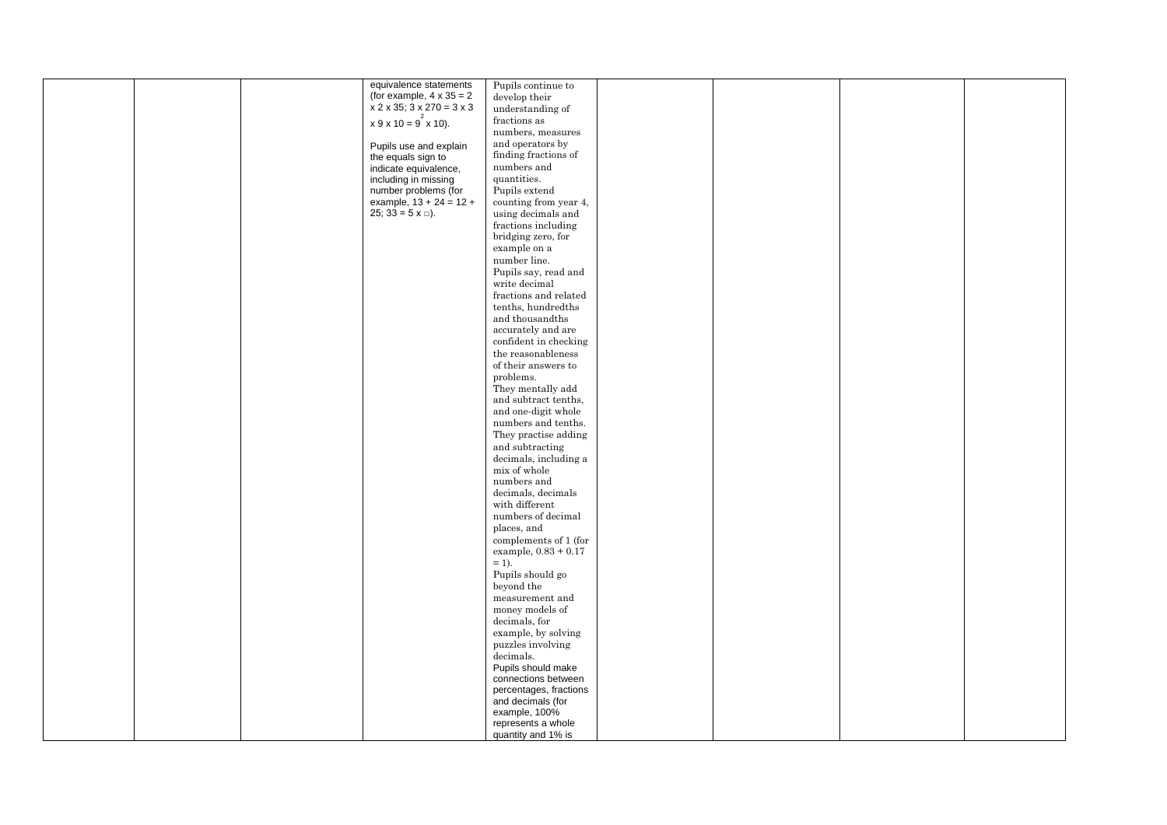|  | equivalence statements          | Pupils continue to                                                                    |  |  |
|--|---------------------------------|---------------------------------------------------------------------------------------|--|--|
|  | (for example, $4 \times 35 = 2$ | develop their                                                                         |  |  |
|  | $x$ 2 x 35; 3 x 270 = 3 x 3     | understanding of                                                                      |  |  |
|  |                                 | fractions as                                                                          |  |  |
|  | $x 9 x 10 = 9^2 x 10$ .         |                                                                                       |  |  |
|  |                                 | numbers, measures                                                                     |  |  |
|  | Pupils use and explain          | and operators by                                                                      |  |  |
|  | the equals sign to              | finding fractions of                                                                  |  |  |
|  | indicate equivalence,           | numbers and                                                                           |  |  |
|  | including in missing            | quantities.                                                                           |  |  |
|  |                                 |                                                                                       |  |  |
|  | number problems (for            | Pupils extend                                                                         |  |  |
|  | example, $13 + 24 = 12 +$       | counting from year 4,                                                                 |  |  |
|  | 25; 33 = $5 \times \square$ ).  | using decimals and                                                                    |  |  |
|  |                                 | fractions including                                                                   |  |  |
|  |                                 | bridging zero, for                                                                    |  |  |
|  |                                 | example on a                                                                          |  |  |
|  |                                 |                                                                                       |  |  |
|  |                                 | number line.                                                                          |  |  |
|  |                                 | Pupils say, read and                                                                  |  |  |
|  |                                 | write decimal                                                                         |  |  |
|  |                                 | fractions and related                                                                 |  |  |
|  |                                 | tenths, hundredths                                                                    |  |  |
|  |                                 | $% \left\vert \left( \mathbf{d}\right\vert \mathbf{d}\right\vert$ and thousand<br>ths |  |  |
|  |                                 |                                                                                       |  |  |
|  |                                 | accurately and are                                                                    |  |  |
|  |                                 | confident in checking                                                                 |  |  |
|  |                                 | the reasonableness                                                                    |  |  |
|  |                                 | of their answers to                                                                   |  |  |
|  |                                 | problems.                                                                             |  |  |
|  |                                 | They mentally add                                                                     |  |  |
|  |                                 | and subtract tenths,                                                                  |  |  |
|  |                                 |                                                                                       |  |  |
|  |                                 | and one-digit whole                                                                   |  |  |
|  |                                 | numbers and tenths.                                                                   |  |  |
|  |                                 | They practise adding                                                                  |  |  |
|  |                                 | and subtracting                                                                       |  |  |
|  |                                 | decimals, including a                                                                 |  |  |
|  |                                 | mix of whole                                                                          |  |  |
|  |                                 | numbers and                                                                           |  |  |
|  |                                 |                                                                                       |  |  |
|  |                                 | decimals, decimals                                                                    |  |  |
|  |                                 | with different                                                                        |  |  |
|  |                                 | numbers of decimal                                                                    |  |  |
|  |                                 | places, and                                                                           |  |  |
|  |                                 | complements of 1 (for                                                                 |  |  |
|  |                                 | example, $0.83 + 0.17$                                                                |  |  |
|  |                                 | $=$ 1).                                                                               |  |  |
|  |                                 | Pupils should go                                                                      |  |  |
|  |                                 |                                                                                       |  |  |
|  |                                 | beyond the                                                                            |  |  |
|  |                                 | measurement and                                                                       |  |  |
|  |                                 | money models of                                                                       |  |  |
|  |                                 | decimals, for                                                                         |  |  |
|  |                                 | example, by solving                                                                   |  |  |
|  |                                 | puzzles involving                                                                     |  |  |
|  |                                 | decimals.                                                                             |  |  |
|  |                                 | Pupils should make                                                                    |  |  |
|  |                                 |                                                                                       |  |  |
|  |                                 | connections between                                                                   |  |  |
|  |                                 | percentages, fractions                                                                |  |  |
|  |                                 | and decimals (for                                                                     |  |  |
|  |                                 | example, 100%                                                                         |  |  |
|  |                                 | represents a whole                                                                    |  |  |
|  |                                 | quantity and 1% is                                                                    |  |  |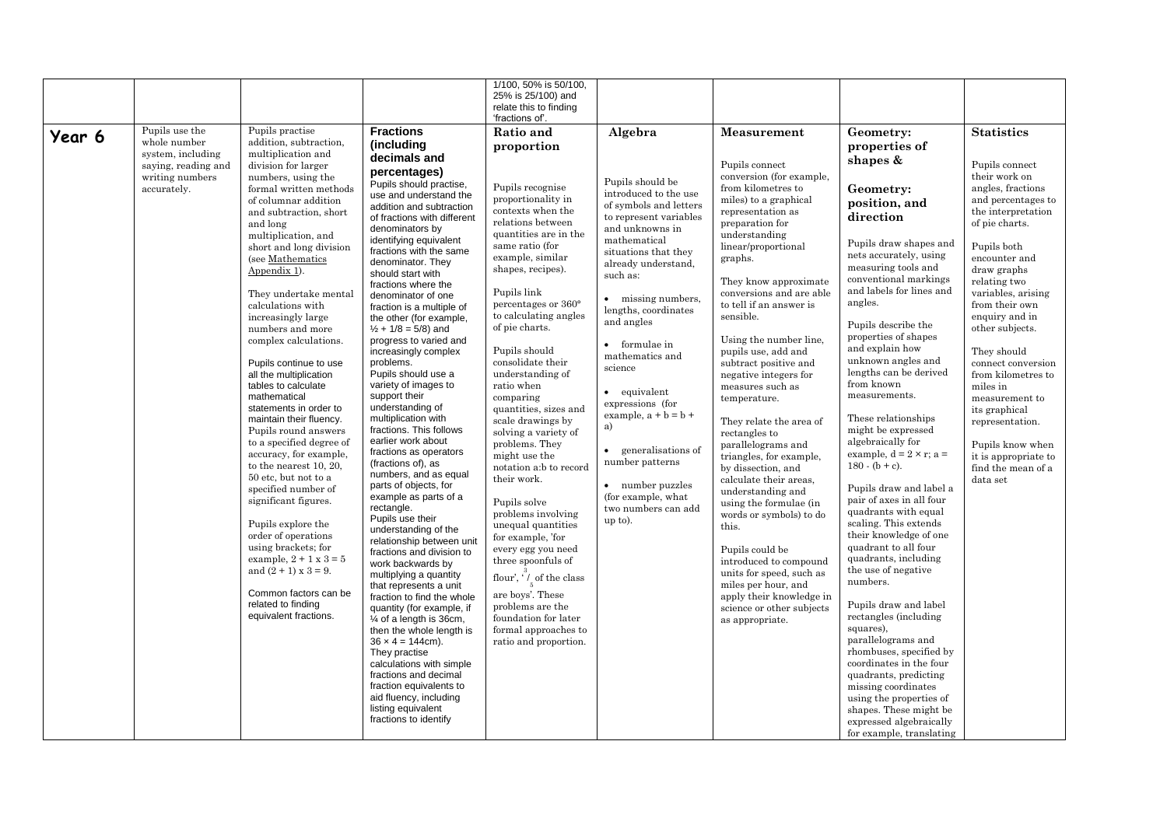|        |                                   |                                                     |                                                           | 1/100, 50% is 50/100,<br>25% is 25/100) and  |                                           |                                                 |                                                     |                                   |
|--------|-----------------------------------|-----------------------------------------------------|-----------------------------------------------------------|----------------------------------------------|-------------------------------------------|-------------------------------------------------|-----------------------------------------------------|-----------------------------------|
|        |                                   |                                                     |                                                           | relate this to finding<br>'fractions of'.    |                                           |                                                 |                                                     |                                   |
| Year 6 | Pupils use the                    | Pupils practise                                     | <b>Fractions</b>                                          | Ratio and                                    | Algebra                                   | <b>Measurement</b>                              | Geometry:                                           | <b>Statistics</b>                 |
|        | whole number<br>system, including | addition, subtraction,<br>multiplication and        | (including                                                | proportion                                   |                                           |                                                 | properties of                                       |                                   |
|        | saying, reading and               | division for larger                                 | decimals and                                              |                                              |                                           | Pupils connect                                  | shapes &                                            | Pupils connect                    |
|        | writing numbers                   | numbers, using the                                  | percentages)                                              |                                              |                                           | conversion (for example,                        |                                                     | their work on                     |
|        | accurately.                       | formal written methods                              | Pupils should practise,                                   | Pupils recognise                             | Pupils should be<br>introduced to the use | from kilometres to                              | Geometry:                                           | angles, fractions                 |
|        |                                   | of columnar addition                                | use and understand the<br>addition and subtraction        | proportionality in                           | of symbols and letters                    | miles) to a graphical                           | position, and                                       | and percentages to                |
|        |                                   | and subtraction, short                              | of fractions with different                               | contexts when the                            | to represent variables                    | representation as                               | direction                                           | the interpretation                |
|        |                                   | and long                                            | denominators by                                           | relations between<br>quantities are in the   | and unknowns in                           | preparation for                                 |                                                     | of pie charts.                    |
|        |                                   | multiplication, and<br>short and long division      | identifying equivalent                                    | same ratio (for                              | mathematical                              | understanding<br>linear/proportional            | Pupils draw shapes and                              | Pupils both                       |
|        |                                   | (see Mathematics                                    | fractions with the same                                   | example, similar                             | situations that they                      | graphs.                                         | nets accurately, using                              | encounter and                     |
|        |                                   | Appendix 1).                                        | denominator. They<br>should start with                    | shapes, recipes).                            | already understand,                       |                                                 | measuring tools and                                 | draw graphs                       |
|        |                                   |                                                     | fractions where the                                       |                                              | such as:                                  | They know approximate                           | conventional markings                               | relating two                      |
|        |                                   | They undertake mental                               | denominator of one                                        | Pupils link                                  | • missing numbers,                        | conversions and are able                        | and labels for lines and                            | variables, arising                |
|        |                                   | calculations with                                   | fraction is a multiple of                                 | percentages or 360°<br>to calculating angles | lengths, coordinates                      | to tell if an answer is                         | angles.                                             | from their own                    |
|        |                                   | increasingly large<br>numbers and more              | the other (for example,<br>$\frac{1}{2}$ + 1/8 = 5/8) and | of pie charts.                               | and angles                                | sensible.                                       | Pupils describe the                                 | enquiry and in<br>other subjects. |
|        |                                   | complex calculations.                               | progress to varied and                                    |                                              |                                           | Using the number line,                          | properties of shapes                                |                                   |
|        |                                   |                                                     | increasingly complex                                      | Pupils should                                | • formulae in                             | pupils use, add and                             | and explain how                                     | They should                       |
|        |                                   | Pupils continue to use                              | problems.                                                 | consolidate their                            | mathematics and<br>science                | subtract positive and                           | unknown angles and                                  | connect conversion                |
|        |                                   | all the multiplication                              | Pupils should use a                                       | understanding of                             |                                           | negative integers for                           | lengths can be derived                              | from kilometres to                |
|        |                                   | tables to calculate                                 | variety of images to                                      | ratio when                                   | • equivalent                              | measures such as                                | from known<br>measurements.                         | miles in                          |
|        |                                   | mathematical<br>statements in order to              | support their<br>understanding of                         | comparing<br>quantities, sizes and           | expressions (for                          | temperature.                                    |                                                     | measurement to                    |
|        |                                   | maintain their fluency.                             | multiplication with                                       | scale drawings by                            | example, $a + b = b +$                    | They relate the area of                         | These relationships                                 | its graphical<br>representation.  |
|        |                                   | Pupils round answers                                | fractions. This follows                                   | solving a variety of                         | a)                                        | rectangles to                                   | might be expressed                                  |                                   |
|        |                                   | to a specified degree of                            | earlier work about                                        | problems. They                               |                                           | parallelograms and                              | algebraically for                                   | Pupils know when                  |
|        |                                   | accuracy, for example,                              | fractions as operators                                    | might use the                                | • generalisations of<br>number patterns   | triangles, for example,                         | example, $d = 2 \times r$ ; a =                     | it is appropriate to              |
|        |                                   | to the nearest $10, 20$ ,                           | (fractions of), as<br>numbers, and as equal               | notation a:b to record                       |                                           | by dissection, and                              | $180 - (b + c)$ .                                   | find the mean of a                |
|        |                                   | $50$ etc, but not to a<br>specified number of       | parts of objects, for                                     | their work.                                  | • number puzzles                          | calculate their areas.                          | Pupils draw and label a                             | data set                          |
|        |                                   | significant figures.                                | example as parts of a                                     | Pupils solve                                 | (for example, what                        | understanding and<br>using the formulae (in     | pair of axes in all four                            |                                   |
|        |                                   |                                                     | rectangle.                                                | problems involving                           | two numbers can add                       | words or symbols) to do                         | quadrants with equal                                |                                   |
|        |                                   | Pupils explore the                                  | Pupils use their<br>understanding of the                  | unequal quantities                           | up to).                                   | this.                                           | scaling. This extends                               |                                   |
|        |                                   | order of operations                                 | relationship between unit                                 | for example, 'for                            |                                           |                                                 | their knowledge of one                              |                                   |
|        |                                   | using brackets; for                                 | fractions and division to                                 | every egg you need                           |                                           | Pupils could be                                 | quadrant to all four                                |                                   |
|        |                                   | example, $2 + 1x3 = 5$<br>and $(2 + 1)$ x $3 = 9$ . | work backwards by                                         | three spoonfuls of                           |                                           | introduced to compound                          | quadrants, including<br>the use of negative         |                                   |
|        |                                   |                                                     | multiplying a quantity                                    | flour', ' $\sqrt{\ }$ of the class           |                                           | units for speed, such as<br>miles per hour, and | numbers.                                            |                                   |
|        |                                   | Common factors can be                               | that represents a unit<br>fraction to find the whole      | are boys'. These                             |                                           | apply their knowledge in                        |                                                     |                                   |
|        |                                   | related to finding                                  | quantity (for example, if                                 | problems are the                             |                                           | science or other subjects                       | Pupils draw and label                               |                                   |
|        |                                   | equivalent fractions.                               | 1⁄4 of a length is 36cm,                                  | foundation for later                         |                                           | as appropriate.                                 | rectangles (including                               |                                   |
|        |                                   |                                                     | then the whole length is                                  | formal approaches to                         |                                           |                                                 | squares),                                           |                                   |
|        |                                   |                                                     | $36 \times 4 = 144$ cm).<br>They practise                 | ratio and proportion.                        |                                           |                                                 | parallelograms and<br>rhombuses, specified by       |                                   |
|        |                                   |                                                     | calculations with simple                                  |                                              |                                           |                                                 | coordinates in the four                             |                                   |
|        |                                   |                                                     | fractions and decimal                                     |                                              |                                           |                                                 | quadrants, predicting                               |                                   |
|        |                                   |                                                     | fraction equivalents to                                   |                                              |                                           |                                                 | missing coordinates                                 |                                   |
|        |                                   |                                                     | aid fluency, including                                    |                                              |                                           |                                                 | using the properties of                             |                                   |
|        |                                   |                                                     | listing equivalent<br>fractions to identify               |                                              |                                           |                                                 | shapes. These might be                              |                                   |
|        |                                   |                                                     |                                                           |                                              |                                           |                                                 | expressed algebraically<br>for example, translating |                                   |
|        |                                   |                                                     |                                                           |                                              |                                           |                                                 |                                                     |                                   |